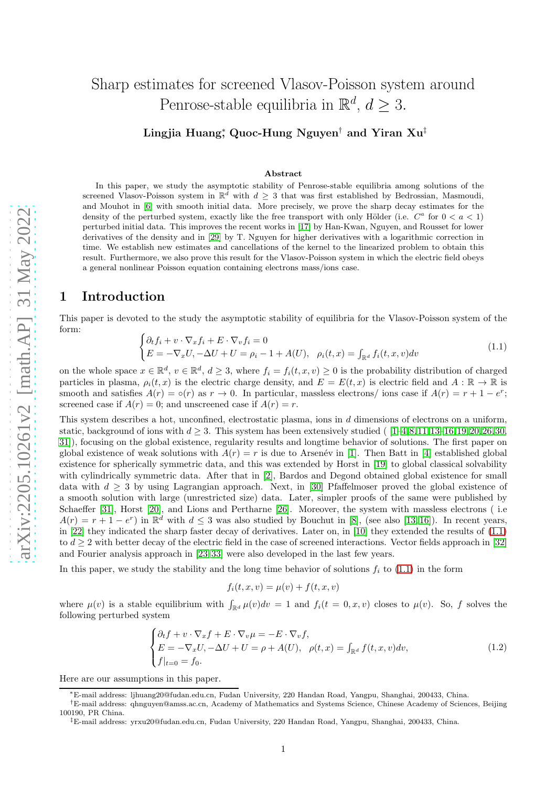# Sharp estimates for screened Vlasov-Poisson system around Penrose-stable equilibria in  $\mathbb{R}^d$ ,  $d \geq 3$ .

Lingjia Huang<sup>∗</sup> , Quoc-Hung Nguyen† and Yiran Xu‡

#### Abstract

In this paper, we study the asymptotic stability of Penrose-stable equilibria among solutions of the screened Vlasov-Poisson system in  $\mathbb{R}^{\tilde{d}}$  with  $d \geq 3$  that was first established by Bedrossian, Masmoudi, and Mouhot in [\[6\]](#page-44-0) with smooth initial data. More precisely, we prove the sharp decay estimates for the density of the perturbed system, exactly like the free transport with only Hölder (i.e.  $C^a$  for  $0 < a < 1$ ) perturbed initial data. This improves the recent works in [\[17\]](#page-45-0) by Han-Kwan, Nguyen, and Rousset for lower derivatives of the density and in [\[29\]](#page-45-1) by T. Nguyen for higher derivatives with a logarithmic correction in time. We establish new estimates and cancellations of the kernel to the linearized problem to obtain this result. Furthermore, we also prove this result for the Vlasov-Poisson system in which the electric field obeys a general nonlinear Poisson equation containing electrons mass/ions case.

#### 1 Introduction

This paper is devoted to the study the asymptotic stability of equilibria for the Vlasov-Poisson system of the form:

<span id="page-0-0"></span>
$$
\begin{cases} \partial_t f_i + v \cdot \nabla_x f_i + E \cdot \nabla_v f_i = 0 \\ E = -\nabla_x U, -\Delta U + U = \rho_i - 1 + A(U), \quad \rho_i(t, x) = \int_{\mathbb{R}^d} f_i(t, x, v) dv \end{cases}
$$
\n(1.1)

on the whole space  $x \in \mathbb{R}^d$ ,  $v \in \mathbb{R}^d$ ,  $d \geq 3$ , where  $f_i = f_i(t, x, v) \geq 0$  is the probability distribution of charged particles in plasma,  $\rho_i(t, x)$  is the electric charge density, and  $E = E(t, x)$  is electric field and  $A : \mathbb{R} \to \mathbb{R}$  is smooth and satisfies  $A(r) = \circ(r)$  as  $r \to 0$ . In particular, massless electrons/ ions case if  $A(r) = r + 1 - e^r$ ; screened case if  $A(r) = 0$ ; and unscreened case if  $A(r) = r$ .

This system describes a hot, unconfined, electrostatic plasma, ions in d dimensions of electrons on a uniform, static, background of ions with  $d \geq 3$ . This system has been extensively studied ([1-[4,](#page-44-2)[8,](#page-44-3)[11,](#page-45-2)[13](#page-45-3)-16,[19,](#page-45-5)[20,](#page-45-6)[26,](#page-45-7)[30,](#page-45-8) [31\]](#page-45-9)), focusing on the global existence, regularity results and longtime behavior of solutions. The first paper on global existence of weak solutions with  $A(r) = r$  is due to Arsenév in [\[1\]](#page-44-1). Then Batt in [\[4\]](#page-44-2) established global existence for spherically symmetric data, and this was extended by Horst in [\[19\]](#page-45-5) to global classical solvability with cylindrically symmetric data. After that in [\[2\]](#page-44-4), Bardos and Degond obtained global existence for small data with  $d \geq 3$  by using Lagrangian approach. Next, in [\[30\]](#page-45-8) Pfaffelmoser proved the global existence of a smooth solution with large (unrestricted size) data. Later, simpler proofs of the same were published by Schaeffer [\[31\]](#page-45-9), Horst [\[20\]](#page-45-6), and Lions and Pertharne [\[26\]](#page-45-7). Moreover, the system with massless electrons ( i.e  $A(r) = r + 1 - e^r$  in  $\mathbb{R}^d$  with  $d \leq 3$  was also studied by Bouchut in [\[8\]](#page-44-3), (see also [\[13,](#page-45-3) [16\]](#page-45-4)). In recent years, in [\[22\]](#page-45-10) they indicated the sharp faster decay of derivatives. Later on, in [\[10\]](#page-45-11) they extended the results of [\(1.1\)](#page-0-0) to  $d \geq 2$  with better decay of the electric field in the case of screened interactions. Vector fields approach in [\[32\]](#page-45-12) and Fourier analysis approach in [\[23,](#page-45-13) [33\]](#page-45-14) were also developed in the last few years.

In this paper, we study the stability and the long time behavior of solutions  $f_i$  to [\(1.1\)](#page-0-0) in the form

$$
f_i(t, x, v) = \mu(v) + f(t, x, v)
$$

where  $\mu(v)$  is a stable equilibrium with  $\int_{\mathbb{R}^d} \mu(v) dv = 1$  and  $f_i(t = 0, x, v)$  closes to  $\mu(v)$ . So, f solves the following perturbed system

<span id="page-0-1"></span>
$$
\begin{cases} \partial_t f + v \cdot \nabla_x f + E \cdot \nabla_v \mu = -E \cdot \nabla_v f, \\ E = -\nabla_x U, -\Delta U + U = \rho + A(U), \ \ \rho(t, x) = \int_{\mathbb{R}^d} f(t, x, v) dv, \\ f|_{t=0} = f_0. \end{cases} \tag{1.2}
$$

Here are our assumptions in this paper.

<sup>∗</sup>E-mail address: ljhuang20@fudan.edu.cn, Fudan University, 220 Handan Road, Yangpu, Shanghai, 200433, China.

<sup>†</sup>E-mail address: qhnguyen@amss.ac.cn, Academy of Mathematics and Systems Science, Chinese Academy of Sciences, Beijing 100190, PR China.

<sup>‡</sup>E-mail address: yrxu20@fudan.edu.cn, Fudan University, 220 Handan Road, Yangpu, Shanghai, 200433, China.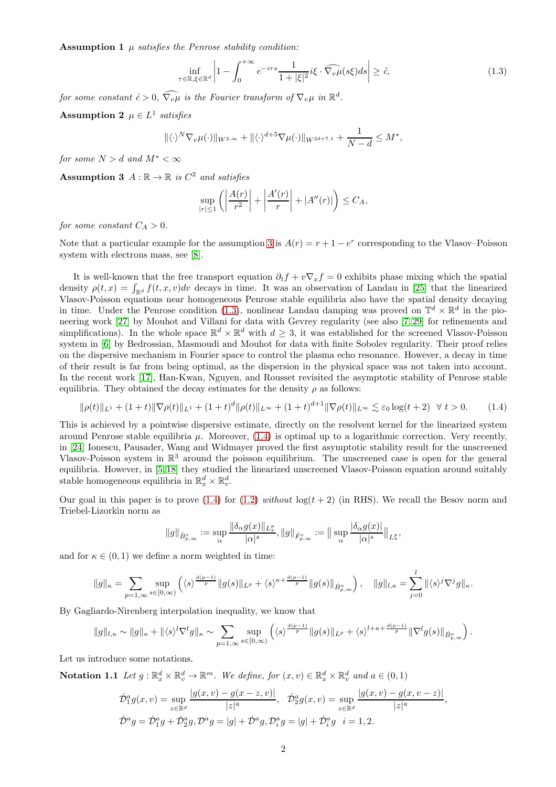Assumption 1  $\mu$  satisfies the Penrose stability condition:

<span id="page-1-1"></span>
$$
\inf_{\tau \in \mathbb{R}, \xi \in \mathbb{R}^d} \left| 1 - \int_0^{+\infty} e^{-i\tau s} \frac{1}{1 + |\xi|^2} i\xi \cdot \widehat{\nabla_v \mu}(s\xi) ds \right| \ge \mathring{c},\tag{1.3}
$$

for some constant  $\mathring{c} > 0$ ,  $\widehat{\nabla_v \mu}$  is the Fourier transform of  $\nabla_v \mu$  in  $\mathbb{R}^d$ .

Assumption 2  $\mu \in L^1$  satisfies

$$
\|\langle \cdot \rangle^N \nabla_v \mu(\cdot) \|_{W^{2,\infty}} + \|\langle \cdot \rangle^{d+5} \nabla \mu(\cdot) \|_{W^{2d+7,1}} + \frac{1}{N-d} \le M^*,
$$

<span id="page-1-0"></span>for some  $N > d$  and  $M^* < \infty$ 

Assumption 3  $A : \mathbb{R} \to \mathbb{R}$  is  $C^2$  and satisfies

$$
\sup_{|r|\leq 1}\left(\left|\frac{A(r)}{r^2}\right|+\left|\frac{A'(r)}{r}\right|+|A''(r)|\right)\leq C_A,
$$

for some constant  $C_A > 0$ .

Note that a particular example for the assumption [3](#page-1-0) is  $A(r) = r + 1 - e^r$  corresponding to the Vlasov–Poisson system with electrons mass, see [\[8\]](#page-44-3).

It is well-known that the free transport equation  $\partial_t f + v \nabla_x f = 0$  exhibits phase mixing which the spatial density  $\rho(t,x) = \int_{\mathbb{R}^d} f(t,x,v)dv$  decays in time. It was an observation of Landau in [\[25\]](#page-45-15) that the linearized Vlasov-Poisson equations near homogeneous Penrose stable equilibria also have the spatial density decaying in time. Under the Penrose condition [\(1.3\)](#page-1-1), nonlinear Landau damping was proved on  $\mathbb{T}^d \times \mathbb{R}^d$  in the pioneering work [\[27\]](#page-45-16) by Mouhot and Villani for data with Gevrey regularity (see also [\[7,](#page-44-5) [29\]](#page-45-1) for refinements and simplifications). In the whole space  $\mathbb{R}^d \times \mathbb{R}^d$  with  $d \geq 3$ , it was established for the screened Vlasov-Poisson system in [\[6\]](#page-44-0) by Bedrossian, Masmoudi and Mouhot for data with finite Sobolev regularity. Their proof relies on the dispersive mechanism in Fourier space to control the plasma echo resonance. However, a decay in time of their result is far from being optimal, as the dispersion in the physical space was not taken into account. In the recent work [\[17\]](#page-45-0), Han-Kwan, Nguyen, and Rousset revisited the asymptotic stability of Penrose stable equilibria. They obtained the decay estimates for the density  $\rho$  as follows:

<span id="page-1-2"></span>
$$
\|\rho(t)\|_{L^1} + (1+t)\|\nabla\rho(t)\|_{L^1} + (1+t)^d \|\rho(t)\|_{L^\infty} + (1+t)^{d+1}\|\nabla\rho(t)\|_{L^\infty} \lesssim \varepsilon_0 \log(t+2) \quad \forall \ t > 0. \tag{1.4}
$$

This is achieved by a pointwise dispersive estimate, directly on the resolvent kernel for the linearized system around Penrose stable equilibria  $\mu$ . Moreover, [\(1.4\)](#page-1-2) is optimal up to a logarithmic correction. Very recently, in [\[24\]](#page-45-17) Ionescu, Pausader, Wang and Widmayer proved the first asymptotic stability result for the unscreened Vlasov-Poisson system in  $\mathbb{R}^3$  around the poisson equilibrium. The unscreened case is open for the general equilibria. However, in [\[5,](#page-44-6) [18\]](#page-45-18) they studied the linearized unscreened Vlasov-Poisson equation around suitably stable homogeneous equilibria in  $\mathbb{R}_x^d \times \mathbb{R}_v^d$ .

Our goal in this paper is to prove [\(1.4\)](#page-1-2) for [\(1.2\)](#page-0-1) without  $log(t + 2)$  (in RHS). We recall the Besov norm and Triebel-Lizorkin norm as

$$
\|g\|_{\dot{B}^s_{p,\infty}} := \sup_{\alpha} \frac{\|\delta_\alpha g(x)\|_{L^p_x}}{|\alpha|^s}, \|g\|_{\dot{F}^s_{p,\infty}} := \|\sup_{\alpha} \frac{|\delta_\alpha g(x)|}{|\alpha|^s}\|_{L^p_x},
$$

and for  $\kappa \in (0,1)$  we define a norm weighted in time:

$$
\|g\|_{\kappa} = \sum_{p=1,\infty} \sup_{s \in [0,\infty)} \left( \langle s \rangle^{\frac{d(p-1)}{p}} \|g(s)\|_{L^p} + \langle s \rangle^{\kappa + \frac{d(p-1)}{p}} \|g(s)\|_{\dot{B}^{\kappa}_{p,\infty}} \right), \quad \|g\|_{l,\kappa} = \sum_{j=0}^l \|\langle s \rangle^j \nabla^j g\|_{\kappa}.
$$

By Gagliardo-Nirenberg interpolation inequality, we know that

$$
\|g\|_{l,\kappa} \sim \|g\|_{\kappa} + \| \langle s \rangle^l \nabla^l g \|_{\kappa} \sim \sum_{p=1,\infty} \sup_{s \in [0,\infty)} \left( \langle s \rangle^{\frac{d(p-1)}{p}} \|g(s)\|_{L^p} + \langle s \rangle^{l+\kappa+\frac{d(p-1)}{p}} \| \nabla^l g(s)\|_{\dot{B}^{\kappa}_{p,\infty}} \right).
$$

Let us introduce some notations.

**Notation 1.1** Let  $g: \mathbb{R}_x^d \times \mathbb{R}_v^d \to \mathbb{R}^m$ . We define, for  $(x, v) \in \mathbb{R}_x^d \times \mathbb{R}_v^d$  and  $a \in (0, 1)$ 

$$
\dot{\mathcal{D}}_1^a g(x, v) = \sup_{z \in \mathbb{R}^d} \frac{|g(x, v) - g(x - z, v)|}{|z|^a}, \quad \dot{\mathcal{D}}_2^a g(x, v) = \sup_{z \in \mathbb{R}^d} \frac{|g(x, v) - g(x, v - z)|}{|z|^a},
$$
  

$$
\dot{\mathcal{D}}^a g = \dot{\mathcal{D}}_1^a g + \dot{\mathcal{D}}_2^a g, \mathcal{D}^a g = |g| + \dot{\mathcal{D}}^a g, \mathcal{D}_i^a g = |g| + \dot{\mathcal{D}}_i^a g \quad i = 1, 2.
$$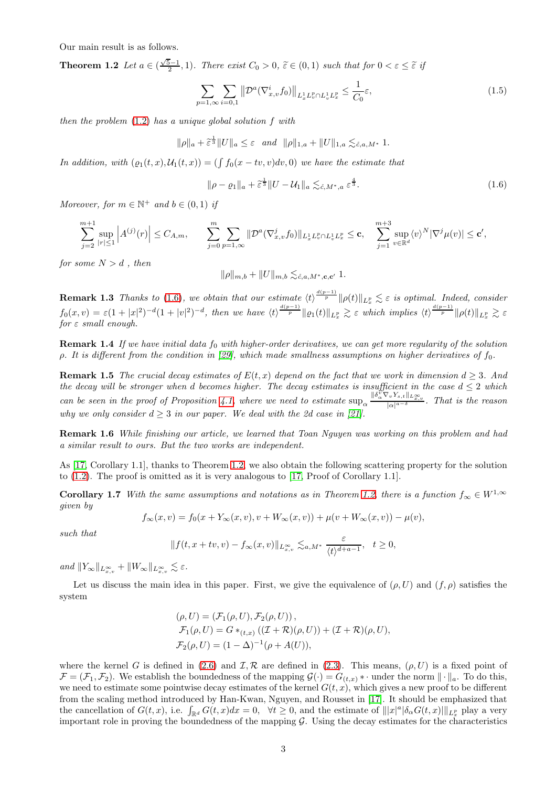Our main result is as follows.

**Theorem 1.2** Let  $a \in (\frac{\sqrt{5}-1}{2}, 1)$ . There exist  $C_0 > 0$ ,  $\tilde{\varepsilon} \in (0, 1)$  such that for  $0 < \varepsilon \leq \tilde{\varepsilon}$  if

<span id="page-2-1"></span>
$$
\sum_{p=1,\infty} \sum_{i=0,1} \| \mathcal{D}^a (\nabla_{x,v}^i f_0) \|_{L^1_x L^p_v \cap L^1_v L^p_x} \leq \frac{1}{C_0} \varepsilon, \tag{1.5}
$$

then the problem [\(1.2\)](#page-0-1) has a unique global solution f with

$$
\|\rho\|_a + \tilde{\varepsilon}^{\frac{1}{3}} \|U\|_a \leq \varepsilon \text{ and } \|\rho\|_{1,a} + \|U\|_{1,a} \lesssim_{\tilde{c},a,M^*} 1.
$$

In addition, with  $(\varrho_1(t,x), \mathcal{U}_1(t,x)) = (\int f_0(x-tv, v) dv, 0)$  we have the estimate that

<span id="page-2-0"></span>
$$
\|\rho - \varrho_1\|_a + \tilde{\varepsilon}^{\frac{1}{3}} \|U - \mathcal{U}_1\|_a \lesssim_{\tilde{c}, M^*, a} \varepsilon^{\frac{4}{3}}.
$$
\n(1.6)

Moreover, for  $m \in \mathbb{N}^+$  and  $b \in (0,1)$  if

$$
\sum_{j=2}^{m+1} \sup_{|r| \le 1} \left| A^{(j)}(r) \right| \le C_{A,m}, \qquad \sum_{j=0}^{m} \sum_{p=1,\infty} \|\mathcal{D}^{a}(\nabla_{x,v}^{j} f_{0})\|_{L_{x}^{1} L_{v}^{p} \cap L_{v}^{1} L_{x}^{p}} \le \mathbf{c}, \quad \sum_{j=1}^{m+3} \sup_{v \in \mathbb{R}^{d}} \langle v \rangle^{N} |\nabla^{j} \mu(v)| \le \mathbf{c}',
$$

for some  $N > d$ , then

$$
\|\rho\|_{m,b} + \|U\|_{m,b} \lesssim_{\r{c},a,M^*,\mathbf{c},\mathbf{c}'} 1.
$$

**Remark 1.3** Thanks to [\(1.6\)](#page-2-0), we obtain that our estimate  $\langle t \rangle \frac{d(p-1)}{p} || \rho(t) ||_{L^p_x} \lesssim \varepsilon$  is optimal. Indeed, consider  $f_0(x,v) = \varepsilon (1+|x|^2)^{-d} (1+|v|^2)^{-d}$ , then we have  $\langle t \rangle \frac{\frac{d(p-1)}{p}}{\|\varrho_1(t)\|_{L_x^p}} \gtrsim \varepsilon$  which implies  $\langle t \rangle \frac{\frac{d(p-1)}{p}}{\|\varrho(t)\|_{L_x^p}} \gtrsim \varepsilon$ for  $\varepsilon$  small enough.

**Remark 1.4** If we have initial data  $f_0$  with higher-order derivatives, we can get more regularity of the solution  $\rho$ . It is different from the condition in [\[29\]](#page-45-1), which made smallness assumptions on higher derivatives of  $f_0$ .

**Remark 1.5** The crucial decay estimates of  $E(t, x)$  depend on the fact that we work in dimension  $d \geq 3$ . And the decay will be stronger when d becomes higher. The decay estimates is insufficient in the case  $d \leq 2$  which can be seen in the proof of Proposition [4.1,](#page-15-0) where we need to estimate  $\sup_{\alpha} \frac{\|\delta_{\alpha}^v \nabla_v Y_{s,t}\|_{L^{\infty}_{x,v}}}{|\alpha|^{a-\delta}}$  $\frac{\sqrt{a^2 - 8} + \sqrt{a^2 - 8}}{\sqrt{a^2 - 8}}$ . That is the reason why we only consider  $d \geq 3$  in our paper. We deal with the 2d case in [\[21\]](#page-45-19).

Remark 1.6 While finishing our article, we learned that Toan Nguyen was working on this problem and had a similar result to ours. But the two works are independent.

As [\[17,](#page-45-0) Corollary 1.1], thanks to Theorem [1.2,](#page-2-1) we also obtain the following scattering property for the solution to [\(1.2\)](#page-0-1). The proof is omitted as it is very analogous to [\[17,](#page-45-0) Proof of Corollary 1.1].

**Corollary 1.7** With the same assumptions and notations as in Theorem [1.2,](#page-2-1) there is a function  $f_{\infty} \in W^{1,\infty}$ given by

$$
f_{\infty}(x,v) = f_0(x + Y_{\infty}(x,v), v + W_{\infty}(x,v)) + \mu(v + W_{\infty}(x,v)) - \mu(v),
$$

such that

$$
||f(t, x+tv, v) - f_{\infty}(x, v)||_{L^{\infty}_{x,v}} \lesssim_{a,M^*} \frac{\varepsilon}{\langle t \rangle^{d+a-1}}, \quad t \ge 0,
$$

and  $||Y_\infty||_{L^\infty_{\infty}} + ||W_\infty||_{L^\infty_{\infty}} \lesssim \varepsilon$ .

Let us discuss the main idea in this paper. First, we give the equivalence of  $(\rho, U)$  and  $(f, \rho)$  satisfies the system

$$
(\rho, U) = (\mathcal{F}_1(\rho, U), \mathcal{F}_2(\rho, U)),
$$
  
\n
$$
\mathcal{F}_1(\rho, U) = G *_{(t,x)} ((\mathcal{I} + \mathcal{R})(\rho, U)) + (\mathcal{I} + \mathcal{R})(\rho, U),
$$
  
\n
$$
\mathcal{F}_2(\rho, U) = (1 - \Delta)^{-1} (\rho + A(U)),
$$

where the kernel G is defined in [\(2.6\)](#page-4-0) and  $\mathcal{I}, \mathcal{R}$  are defined in [\(2.3\)](#page-3-0). This means,  $(\rho, U)$  is a fixed point of  $\mathcal{F} = (\mathcal{F}_1, \mathcal{F}_2)$ . We establish the boundedness of the mapping  $\mathcal{G}(\cdot) = G_{(t,x)} * \cdot$  under the norm  $\|\cdot\|_a$ . To do this, we need to estimate some pointwise decay estimates of the kernel  $G(t, x)$ , which gives a new proof to be different from the scaling method introduced by Han-Kwan, Nguyen, and Rousset in [\[17\]](#page-45-0). It should be emphasized that the cancellation of  $G(t, x)$ , i.e.  $\int_{\mathbb{R}^d} G(t, x) dx = 0$ ,  $\forall t \geq 0$ , and the estimate of  $|||x|^a |\delta_\alpha G(t, x)||_{L^p_x}$  play a very important role in proving the boundedness of the mapping  $G$ . Using the decay estimates for the characteristics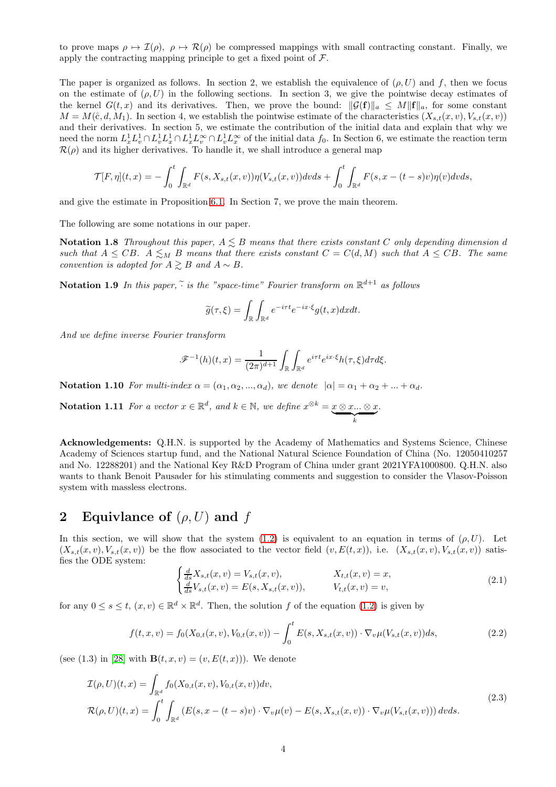to prove maps  $\rho \mapsto \mathcal{I}(\rho)$ ,  $\rho \mapsto \mathcal{R}(\rho)$  be compressed mappings with small contracting constant. Finally, we apply the contracting mapping principle to get a fixed point of  $\mathcal{F}$ .

The paper is organized as follows. In section 2, we establish the equivalence of  $(\rho, U)$  and f, then we focus on the estimate of  $(\rho, U)$  in the following sections. In section 3, we give the pointwise decay estimates of the kernel  $G(t, x)$  and its derivatives. Then, we prove the bound:  $\|\mathcal{G}(f)\|_{a} \leq M\|f\|_{a}$ , for some constant  $M = M(\hat{c}, d, M_1)$ . In section 4, we establish the pointwise estimate of the characteristics  $(X_{s,t}(x, v), V_{s,t}(x, v))$ and their derivatives. In section 5, we estimate the contribution of the initial data and explain that why we need the norm  $L_x^1 L_v^1 \cap L_v^1 L_x^1 \cap L_x^1 L_v^{\infty} \cap L_v^1 L_x^{\infty}$  of the initial data  $f_0$ . In Section 6, we estimate the reaction term  $\mathcal{R}(\rho)$  and its higher derivatives. To handle it, we shall introduce a general map

$$
\mathcal{T}[F,\eta](t,x) = -\int_0^t \int_{\mathbb{R}^d} F(s,X_{s,t}(x,v))\eta(V_{s,t}(x,v))dvds + \int_0^t \int_{\mathbb{R}^d} F(s,x-(t-s)v)\eta(v)dvds,
$$

and give the estimate in Proposition [6.1.](#page-25-0) In Section 7, we prove the main theorem.

The following are some notations in our paper.

Notation 1.8 Throughout this paper,  $A \leq B$  means that there exists constant C only depending dimension d such that  $A \leq CB$ .  $A \leq_M B$  means that there exists constant  $C = C(d, M)$  such that  $A \leq CB$ . The same convention is adopted for  $A \geq B$  and  $A \sim B$ .

**Notation 1.9** In this paper,  $\tilde{\cdot}$  is the "space-time" Fourier transform on  $\mathbb{R}^{d+1}$  as follows

$$
\widetilde{g}(\tau,\xi) = \int_{\mathbb{R}} \int_{\mathbb{R}^d} e^{-i\tau t} e^{-ix\cdot\xi} g(t,x) dx dt.
$$

And we define inverse Fourier transform

$$
\mathscr{F}^{-1}(h)(t,x) = \frac{1}{(2\pi)^{d+1}} \int_{\mathbb{R}} \int_{\mathbb{R}^d} e^{i\tau t} e^{ix\cdot\xi} h(\tau,\xi) d\tau d\xi.
$$

**Notation 1.10** For multi-index  $\alpha = (\alpha_1, \alpha_2, ..., \alpha_d)$ , we denote  $|\alpha| = \alpha_1 + \alpha_2 + ... + \alpha_d$ .

Notation 1.11 For a vector  $x \in \mathbb{R}^d$ , and  $k \in \mathbb{N}$ , we define  $x^{\otimes k} = \underbrace{x \otimes x ... \otimes x}_{k}$ .

Acknowledgements: Q.H.N. is supported by the Academy of Mathematics and Systems Science, Chinese Academy of Sciences startup fund, and the National Natural Science Foundation of China (No. 12050410257 and No. 12288201) and the National Key R&D Program of China under grant 2021YFA1000800. Q.H.N. also wants to thank Benoit Pausader for his stimulating comments and suggestion to consider the Vlasov-Poisson system with massless electrons.

# 2 Equivlance of  $(\rho, U)$  and f

In this section, we will show that the system [\(1.2\)](#page-0-1) is equivalent to an equation in terms of  $(\rho, U)$ . Let  $(X_{s,t}(x, v), V_{s,t}(x, v))$  be the flow associated to the vector field  $(v, E(t, x))$ , i.e.  $(X_{s,t}(x, v), V_{s,t}(x, v))$  satisfies the ODE system:

<span id="page-3-2"></span><span id="page-3-0"></span>
$$
\begin{cases}\n\frac{d}{ds}X_{s,t}(x,v) = V_{s,t}(x,v), & X_{t,t}(x,v) = x, \\
\frac{d}{ds}V_{s,t}(x,v) = E(s, X_{s,t}(x,v)), & V_{t,t}(x,v) = v,\n\end{cases}
$$
\n(2.1)

for any  $0 \le s \le t$ ,  $(x, v) \in \mathbb{R}^d \times \mathbb{R}^d$ . Then, the solution f of the equation  $(1.2)$  is given by

<span id="page-3-1"></span>
$$
f(t, x, v) = f_0(X_{0,t}(x, v), V_{0,t}(x, v)) - \int_0^t E(s, X_{s,t}(x, v)) \cdot \nabla_v \mu(V_{s,t}(x, v)) ds,
$$
\n(2.2)

(see (1.3) in [\[28\]](#page-45-20) with  $B(t, x, v) = (v, E(t, x))$ ). We denote

$$
\mathcal{I}(\rho, U)(t, x) = \int_{\mathbb{R}^d} f_0(X_{0,t}(x, v), V_{0,t}(x, v)) dv,
$$
\n
$$
\mathcal{R}(\rho, U)(t, x) = \int_0^t \int_{\mathbb{R}^d} \left( E(s, x - (t - s)v) \cdot \nabla_v \mu(v) - E(s, X_{s,t}(x, v)) \cdot \nabla_v \mu(V_{s,t}(x, v)) \right) dv ds.
$$
\n(2.3)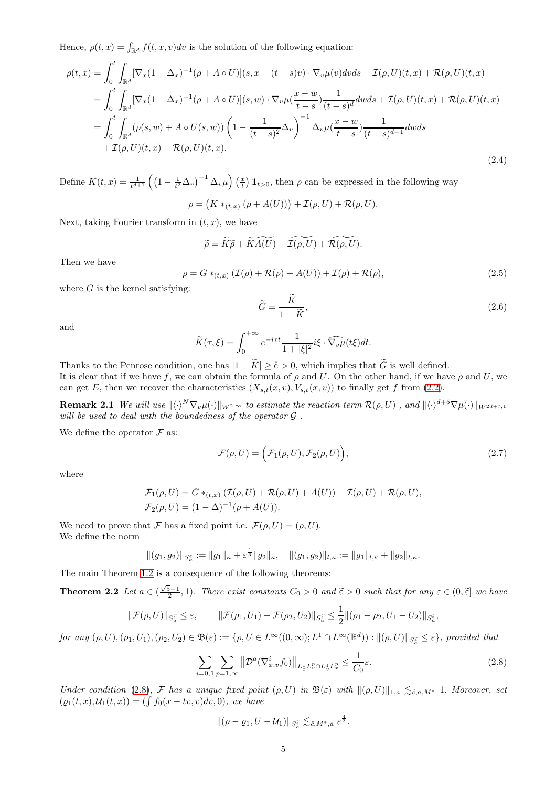Hence,  $\rho(t,x) = \int_{\mathbb{R}^d} f(t,x,v)dv$  is the solution of the following equation:

$$
\rho(t,x) = \int_0^t \int_{\mathbb{R}^d} [\nabla_x (1 - \Delta_x)^{-1} (\rho + A \circ U)](s, x - (t - s)v) \cdot \nabla_v \mu(v) dv ds + \mathcal{I}(\rho, U)(t, x) + \mathcal{R}(\rho, U)(t, x)
$$
  
\n
$$
= \int_0^t \int_{\mathbb{R}^d} [\nabla_x (1 - \Delta_x)^{-1} (\rho + A \circ U)](s, w) \cdot \nabla_v \mu(\frac{x - w}{t - s}) \frac{1}{(t - s)^d} dw ds + \mathcal{I}(\rho, U)(t, x) + \mathcal{R}(\rho, U)(t, x)
$$
  
\n
$$
= \int_0^t \int_{\mathbb{R}^d} (\rho(s, w) + A \circ U(s, w)) \left(1 - \frac{1}{(t - s)^2} \Delta_v\right)^{-1} \Delta_v \mu(\frac{x - w}{t - s}) \frac{1}{(t - s)^{d + 1}} dw ds
$$
  
\n
$$
+ \mathcal{I}(\rho, U)(t, x) + \mathcal{R}(\rho, U)(t, x).
$$
\n(2.4)

Define  $K(t,x) = \frac{1}{t^{d+1}} \left( \left(1 - \frac{1}{t^2} \Delta_v \right)^{-1} \Delta_v \mu \right) \left( \frac{x}{t} \right) \mathbf{1}_{t>0}$ , then  $\rho$  can be expressed in the following way

 $\rho = (K *_{(t,x)} (\rho + A(U))) + \mathcal{I}(\rho, U) + \mathcal{R}(\rho, U).$ 

Next, taking Fourier transform in  $(t, x)$ , we have

$$
\widetilde{\rho} = \widetilde{K}\widetilde{\rho} + \widetilde{K}\widetilde{A(U)} + \widetilde{\mathcal{I}(\rho, U)} + \widetilde{\mathcal{R}(\rho, U)}.
$$

Then we have

<span id="page-4-5"></span>
$$
\rho = G *_{(t,x)} (\mathcal{I}(\rho) + \mathcal{R}(\rho) + A(U)) + \mathcal{I}(\rho) + \mathcal{R}(\rho), \tag{2.5}
$$

where  $G$  is the kernel satisfying:

<span id="page-4-0"></span>
$$
\widetilde{G} = \frac{\widetilde{K}}{1 - \widetilde{K}},\tag{2.6}
$$

and

$$
\widetilde{K}(\tau,\xi) = \int_0^{+\infty} e^{-i\tau t} \frac{1}{1+|\xi|^2} i\xi \cdot \widehat{\nabla_v \mu}(t\xi) dt.
$$

Thanks to the Penrose condition, one has  $|1 - \tilde{K}| \ge \tilde{c} > 0$ , which implies that  $\tilde{G}$  is well defined. It is clear that if we have f, we can obtain the formula of  $\rho$  and U. On the other hand, if we have  $\rho$  and U, we can get E, then we recover the characteristics  $(X_{s,t}(x, v), V_{s,t}(x, v))$  to finally get f from [\(2.2\)](#page-3-1).

**Remark 2.1** We will use  $\langle \cdot \rangle^N \nabla_v \mu(\cdot) \Vert_{W^{2,\infty}}$  to estimate the reaction term  $\mathcal{R}(\rho, U)$ , and  $\langle \cdot \rangle^{d+5} \nabla \mu(\cdot) \Vert_{W^{2d+7,1}}$ will be used to deal with the boundedness of the operator  $\mathcal G$ .

We define the operator  $\mathcal F$  as:

<span id="page-4-4"></span>
$$
\mathcal{F}(\rho, U) = (\mathcal{F}_1(\rho, U), \mathcal{F}_2(\rho, U)),
$$
\n(2.7)

where

$$
\mathcal{F}_1(\rho, U) = G *_{(t,x)} (\mathcal{I}(\rho, U) + \mathcal{R}(\rho, U) + A(U)) + \mathcal{I}(\rho, U) + \mathcal{R}(\rho, U), \n\mathcal{F}_2(\rho, U) = (1 - \Delta)^{-1} (\rho + A(U)).
$$

We need to prove that F has a fixed point i.e.  $\mathcal{F}(\rho, U) = (\rho, U)$ . We define the norm

$$
||(g_1,g_2)||_{S^{\varepsilon}_{\kappa}}:=||g_1||_{\kappa}+\varepsilon^{\frac{1}{3}}||g_2||_{\kappa}, \quad ||(g_1,g_2)||_{l,\kappa}:=||g_1||_{l,\kappa}+||g_2||_{l,\kappa}.
$$

The main Theorem [1.2](#page-2-1) is a consequence of the following theorems:

**Theorem 2.2** Let  $a \in (\frac{\sqrt{5}-1}{2}, 1)$ . There exist constants  $C_0 > 0$  and  $\tilde{\varepsilon} > 0$  such that for any  $\varepsilon \in (0, \tilde{\varepsilon}]$  we have

$$
\|\mathcal{F}(\rho, U)\|_{S_a^{\tilde{\varepsilon}}} \leq \varepsilon, \qquad \|\mathcal{F}(\rho_1, U_1) - \mathcal{F}(\rho_2, U_2)\|_{S_a^{\tilde{\varepsilon}}} \leq \frac{1}{2} \|(\rho_1 - \rho_2, U_1 - U_2)\|_{S_a^{\tilde{\varepsilon}}},
$$

 $for any (\rho, U), (\rho_1, U_1), (\rho_2, U_2) \in \mathfrak{B}(\varepsilon) := \{ \rho, U \in L^{\infty}((0, \infty); L^1 \cap L^{\infty}(\mathbb{R}^d)): ||(\rho, U)||_{S_a^{\tilde{\varepsilon}}} \leq \varepsilon \}, provided that$ 

<span id="page-4-2"></span><span id="page-4-1"></span>
$$
\sum_{i=0,1} \sum_{p=1,\infty} \left\| \mathcal{D}^a(\nabla_{x,v}^i f_0) \right\|_{L_x^1 L_v^p \cap L_v^1 L_x^p} \le \frac{1}{C_0} \varepsilon. \tag{2.8}
$$

<span id="page-4-3"></span>Under condition [\(2.8\)](#page-4-1), F has a unique fixed point  $(\rho, U)$  in  $\mathfrak{B}(\varepsilon)$  with  $\|(\rho, U)\|_{1,a} \lesssim_{\varepsilon,a,M^*} 1$ . Moreover, set  $(\varrho_1(t,x), \mathcal{U}_1(t,x)) = (\int f_0(x-tv,v)dv, 0),$  we have

$$
\|(\rho-\varrho_1,U-\mathcal{U}_1)\|_{S_a^{\tilde{\varepsilon}}}\lesssim_{\tilde{c},M^*,a}\varepsilon^{\frac{4}{3}}.
$$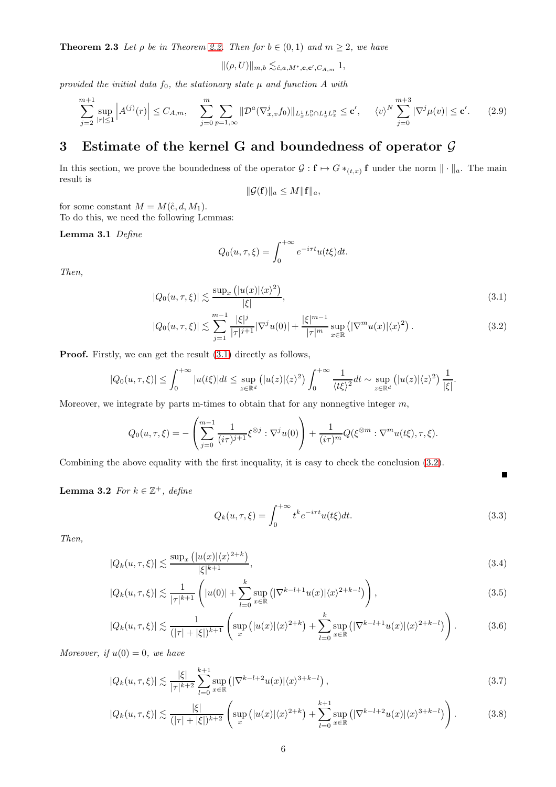**Theorem 2.3** Let  $\rho$  be in Theorem [2.2.](#page-4-2) Then for  $b \in (0,1)$  and  $m \geq 2$ , we have

$$
\|(\rho, U)\|_{m,b} \lesssim_{\r{c},a,M^*,\mathbf{c},\mathbf{c}',C_{A,m}} 1,
$$

provided the initial data  $f_0$ , the stationary state  $\mu$  and function A with

$$
\sum_{j=2}^{m+1} \sup_{|r| \le 1} \left| A^{(j)}(r) \right| \le C_{A,m}, \quad \sum_{j=0}^{m} \sum_{p=1,\infty} \|\mathcal{D}^{a}(\nabla_{x,v}^{j} f_{0})\|_{L_{x}^{1} L_{v}^{p} \cap L_{v}^{1} L_{x}^{p}} \le \mathbf{c}', \quad \langle v \rangle^{N} \sum_{j=0}^{m+3} |\nabla^{j} \mu(v)| \le \mathbf{c}'. \tag{2.9}
$$

# 3 Estimate of the kernel G and boundedness of operator  $G$

In this section, we prove the boundedness of the operator  $G: \mathbf{f} \mapsto G *_{(t,x)} \mathbf{f}$  under the norm  $\|\cdot\|_a$ . The main result is

<span id="page-5-1"></span><span id="page-5-0"></span>
$$
\|\mathcal{G}(\mathbf{f})\|_a \leq M \|\mathbf{f}\|_a,
$$

for some constant  $M = M(\mathfrak{e}, d, M_1)$ . To do this, we need the following Lemmas:

Lemma 3.1 Define

$$
Q_0(u,\tau,\xi) = \int_0^{+\infty} e^{-i\tau t} u(t\xi) dt.
$$

Then,

$$
|Q_0(u,\tau,\xi)| \lesssim \frac{\sup_x \left( |u(x)| \langle x \rangle^2 \right)}{|\xi|},\tag{3.1}
$$

$$
|Q_0(u,\tau,\xi)| \lesssim \sum_{j=1}^{m-1} \frac{|\xi|^j}{|\tau|^{j+1}} |\nabla^j u(0)| + \frac{|\xi|^{m-1}}{|\tau|^m} \sup_{x \in \mathbb{R}} \left( |\nabla^m u(x)| \langle x \rangle^2 \right). \tag{3.2}
$$

Proof. Firstly, we can get the result  $(3.1)$  directly as follows,

$$
|Q_0(u,\tau,\xi)| \leq \int_0^{+\infty} |u(t\xi)|dt \leq \sup_{z \in \mathbb{R}^d} (|u(z)|\langle z \rangle^2) \int_0^{+\infty} \frac{1}{\langle t\xi \rangle^2} dt \sim \sup_{z \in \mathbb{R}^d} (|u(z)|\langle z \rangle^2) \frac{1}{|\xi|}.
$$

Moreover, we integrate by parts m-times to obtain that for any nonnegtive integer  $m$ ,

$$
Q_0(u,\tau,\xi) = -\left(\sum_{j=0}^{m-1} \frac{1}{(i\tau)^{j+1}} \xi^{\otimes j} : \nabla^j u(0)\right) + \frac{1}{(i\tau)^m} Q(\xi^{\otimes m} : \nabla^m u(t\xi), \tau, \xi).
$$

Combining the above equality with the first inequality, it is easy to check the conclusion [\(3.2\)](#page-5-1).

**Lemma 3.2** For  $k \in \mathbb{Z}^+$ , define

<span id="page-5-6"></span><span id="page-5-5"></span><span id="page-5-4"></span><span id="page-5-3"></span><span id="page-5-2"></span>
$$
Q_k(u,\tau,\xi) = \int_0^{+\infty} t^k e^{-i\tau t} u(t\xi) dt.
$$
\n(3.3)

Then,

$$
|Q_k(u,\tau,\xi)| \lesssim \frac{\sup_x \left( |u(x)| \langle x \rangle^{2+k} \right)}{|\xi|^{k+1}},\tag{3.4}
$$

$$
|Q_k(u,\tau,\xi)| \lesssim \frac{1}{|\tau|^{k+1}} \left( |u(0)| + \sum_{l=0}^k \sup_{x \in \mathbb{R}} \left( |\nabla^{k-l+1} u(x)| \langle x \rangle^{2+k-l} \right) \right), \tag{3.5}
$$

$$
|Q_k(u,\tau,\xi)| \lesssim \frac{1}{(|\tau|+|\xi|)^{k+1}} \left( \sup_x \left( |u(x)| \langle x \rangle^{2+k} \right) + \sum_{l=0}^k \sup_{x \in \mathbb{R}} \left( |\nabla^{k-l+1} u(x)| \langle x \rangle^{2+k-l} \right) \right). \tag{3.6}
$$

Moreover, if  $u(0) = 0$ , we have

$$
|Q_k(u,\tau,\xi)| \lesssim \frac{|\xi|}{|\tau|^{k+2}} \sum_{l=0}^{k+1} \sup_{x \in \mathbb{R}} \left( |\nabla^{k-l+2} u(x)| \langle x \rangle^{3+k-l} \right), \tag{3.7}
$$

$$
|Q_k(u,\tau,\xi)| \lesssim \frac{|\xi|}{(|\tau|+|\xi|)^{k+2}} \left( \sup_x \left( |u(x)| \langle x \rangle^{2+k} \right) + \sum_{l=0}^{k+1} \sup_{x \in \mathbb{R}} \left( |\nabla^{k-l+2} u(x)| \langle x \rangle^{3+k-l} \right) \right). \tag{3.8}
$$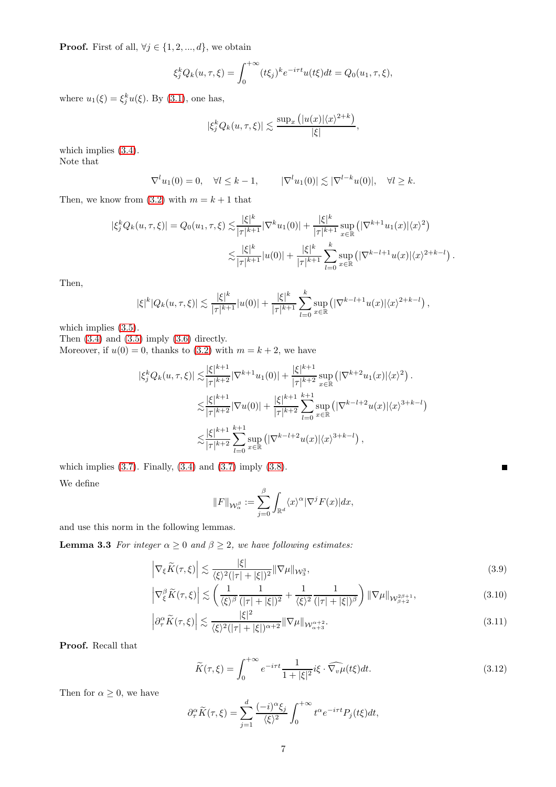**Proof.** First of all,  $\forall j \in \{1, 2, ..., d\}$ , we obtain

$$
\xi_j^k Q_k(u, \tau, \xi) = \int_0^{+\infty} (t\xi_j)^k e^{-i\tau t} u(t\xi) dt = Q_0(u_1, \tau, \xi),
$$

where  $u_1(\xi) = \xi_j^k u(\xi)$ . By [\(3.1\)](#page-5-0), one has,

$$
|\xi_j^k Q_k(u,\tau,\xi)| \lesssim \frac{\sup_x \left( |u(x)| \langle x \rangle^{2+k} \right)}{|\xi|},
$$

which implies  $(3.4)$ . Note that

$$
\nabla^l u_1(0) = 0, \quad \forall l \le k - 1, \qquad |\nabla^l u_1(0)| \lesssim |\nabla^{l-k} u(0)|, \quad \forall l \ge k.
$$

Then, we know from  $(3.2)$  with  $m = k + 1$  that

$$
|\xi_j^k Q_k(u,\tau,\xi)| = Q_0(u_1,\tau,\xi) \lesssim \frac{|\xi|^k}{|\tau|^{k+1}} |\nabla^k u_1(0)| + \frac{|\xi|^k}{|\tau|^{k+1}} \sup_{x \in \mathbb{R}} \left( |\nabla^{k+1} u_1(x)| \langle x \rangle^2 \right)
$$
  

$$
\lesssim \frac{|\xi|^k}{|\tau|^{k+1}} |u(0)| + \frac{|\xi|^k}{|\tau|^{k+1}} \sum_{l=0}^k \sup_{x \in \mathbb{R}} \left( |\nabla^{k-l+1} u(x)| \langle x \rangle^{2+k-l} \right).
$$

Then,

$$
|\xi|^k |Q_k(u,\tau,\xi)| \lesssim \frac{|\xi|^k}{|\tau|^{k+1}} |u(0)| + \frac{|\xi|^k}{|\tau|^{k+1}} \sum_{l=0}^k \sup_{x \in \mathbb{R}} \left( |\nabla^{k-l+1} u(x)| \langle x \rangle^{2+k-l} \right),
$$

which implies  $(3.5)$ .

Then  $(3.4)$  and  $(3.5)$  imply  $(3.6)$  directly.

Moreover, if  $u(0) = 0$ , thanks to [\(3.2\)](#page-5-1) with  $m = k + 2$ , we have

$$
|\xi_j^k Q_k(u,\tau,\xi)| \lesssim \frac{|\xi|^{k+1}}{|\tau|^{k+2}} |\nabla^{k+1} u_1(0)| + \frac{|\xi|^{k+1}}{|\tau|^{k+2}} \sup_{x \in \mathbb{R}} \left( |\nabla^{k+2} u_1(x)| \langle x \rangle^2 \right).
$$
  

$$
\lesssim \frac{|\xi|^{k+1}}{|\tau|^{k+2}} |\nabla u(0)| + \frac{|\xi|^{k+1}}{|\tau|^{k+2}} \sum_{l=0}^{k+1} \sup_{x \in \mathbb{R}} \left( |\nabla^{k-l+2} u(x)| \langle x \rangle^{3+k-l} \right)
$$
  

$$
\lesssim \frac{|\xi|^{k+1}}{|\tau|^{k+2}} \sum_{l=0}^{k+1} \sup_{x \in \mathbb{R}} \left( |\nabla^{k-l+2} u(x)| \langle x \rangle^{3+k-l} \right),
$$

which implies [\(3.7\)](#page-5-5). Finally, [\(3.4\)](#page-5-2) and [\(3.7\)](#page-5-5) imply [\(3.8\)](#page-5-6). We define

$$
||F||_{\mathcal{W}^{\beta}_{\alpha}} := \sum_{j=0}^{\beta} \int_{\mathbb{R}^d} \langle x \rangle^{\alpha} |\nabla^j F(x)| dx,
$$

and use this norm in the following lemmas.

**Lemma 3.3** For integer  $\alpha \geq 0$  and  $\beta \geq 2$ , we have following estimates:

$$
\left|\nabla_{\xi}\widetilde{K}(\tau,\xi)\right| \lesssim \frac{|\xi|}{\langle \xi \rangle^2 (|\tau| + |\xi|)^2} \|\nabla \mu\|_{\mathcal{W}_3^3},\tag{3.9}
$$

$$
\left|\nabla_{\xi}^{\beta}\widetilde{K}(\tau,\xi)\right| \lesssim \left(\frac{1}{\langle\xi\rangle^{\beta}}\frac{1}{(|\tau|+|\xi|)^2} + \frac{1}{\langle\xi\rangle^2}\frac{1}{(|\tau|+|\xi|)^{\beta}}\right) \|\nabla\mu\|_{\mathcal{W}^{2\beta+1}_{\beta+2}},\tag{3.10}
$$

$$
\left| \partial_{\tau}^{\alpha} \tilde{K}(\tau,\xi) \right| \lesssim \frac{|\xi|^2}{\langle \xi \rangle^2 (|\tau|+|\xi|)^{\alpha+2}} \|\nabla \mu\|_{\mathcal{W}_{\alpha+3}^{\alpha+2}}.
$$
\n(3.11)

Proof. Recall that

$$
\widetilde{K}(\tau,\xi) = \int_0^{+\infty} e^{-i\tau t} \frac{1}{1+|\xi|^2} i\xi \cdot \widehat{\nabla_v \mu}(t\xi) dt.
$$
\n(3.12)

Then for  $\alpha \geq 0$ , we have

$$
\partial_{\tau}^{\alpha}\widetilde{K}(\tau,\xi) = \sum_{j=1}^{d} \frac{(-i)^{\alpha}\xi_j}{\langle \xi \rangle^2} \int_0^{+\infty} t^{\alpha} e^{-i\tau t} P_j(t\xi) dt,
$$

<span id="page-6-1"></span><span id="page-6-0"></span> $\blacksquare$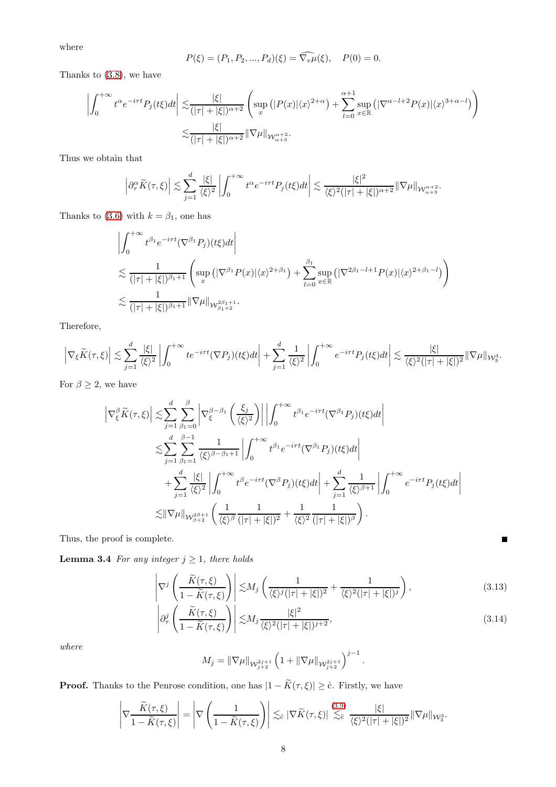where

$$
P(\xi) = (P_1, P_2, ..., P_d)(\xi) = \nabla_v \mu(\xi), \quad P(0) = 0.
$$

Thanks to [\(3.8\)](#page-5-6), we have

$$
\left| \int_0^{+\infty} t^{\alpha} e^{-i\tau t} P_j(t\xi) dt \right| \lesssim \frac{|\xi|}{(|\tau| + |\xi|)^{\alpha+2}} \left( \sup_x \left( |P(x)| \langle x \rangle^{2+\alpha} \right) + \sum_{l=0}^{\alpha+1} \sup_{x \in \mathbb{R}} \left( |\nabla^{\alpha-l+2} P(x)| \langle x \rangle^{3+\alpha-l} \right) \right)
$$
  

$$
\lesssim \frac{|\xi|}{(|\tau| + |\xi|)^{\alpha+2}} ||\nabla \mu||_{\mathcal{W}^{\alpha+2}_{\alpha+3}}.
$$

Thus we obtain that

$$
\left|\partial_{\tau}^{\alpha}\widetilde{K}(\tau,\xi)\right| \lesssim \sum_{j=1}^{d} \frac{|\xi|}{\langle\xi\rangle^{2}} \left| \int_{0}^{+\infty} t^{\alpha} e^{-i\tau t} P_{j}(t\xi) dt \right| \lesssim \frac{|\xi|^{2}}{\langle\xi\rangle^{2} (|\tau|+|\xi|)^{\alpha+2}} \|\nabla \mu\|_{\mathcal{W}_{\alpha+3}^{\alpha+2}}
$$

.

<span id="page-7-1"></span><span id="page-7-0"></span> $\blacksquare$ 

Thanks to [\(3.6\)](#page-5-4) with  $k = \beta_1$ , one has

$$
\left| \int_0^{+\infty} t^{\beta_1} e^{-i\tau t} (\nabla^{\beta_1} P_j)(t\xi) dt \right|
$$
  
\n
$$
\lesssim \frac{1}{(|\tau| + |\xi|)^{\beta_1 + 1}} \left( \sup_x \left( |\nabla^{\beta_1} P(x)| \langle x \rangle^{2 + \beta_1} \right) + \sum_{l=0}^{\beta_1} \sup_{x \in \mathbb{R}} \left( |\nabla^{2\beta_1 - l + 1} P(x)| \langle x \rangle^{2 + \beta_1 - l} \right) \right)
$$
  
\n
$$
\lesssim \frac{1}{(|\tau| + |\xi|)^{\beta_1 + 1}} ||\nabla \mu||_{\mathcal{W}^{2\beta_1 + 1}_{\beta_1 + 2}}.
$$

Therefore,

$$
\left|\nabla_\xi \widetilde{K}(\tau,\xi)\right| \lesssim \sum_{j=1}^d \frac{|\xi|}{\langle \xi \rangle^2} \left| \int_0^{+\infty} te^{-i\tau t}(\nabla P_j)(t\xi) dt \right| + \sum_{j=1}^d \frac{1}{\langle \xi \rangle^2} \left| \int_0^{+\infty} e^{-i\tau t} P_j(t\xi) dt \right| \lesssim \frac{|\xi|}{\langle \xi \rangle^2(|\tau|+|\xi|)^2} \|\nabla \mu\|_{\mathcal{W}^3_3}.
$$

For  $\beta \geq 2$ , we have

$$
\left| \nabla_{\xi}^{\beta} \widetilde{K}(\tau,\xi) \right| \lesssim \sum_{j=1}^{d} \sum_{\beta_1=0}^{\beta} \left| \nabla_{\xi}^{\beta-\beta_1} \left( \frac{\xi_j}{\langle \xi \rangle^2} \right) \right| \int_0^{+\infty} t^{\beta_1} e^{-i\tau t} (\nabla^{\beta_1} P_j)(t\xi) dt
$$
\n
$$
\lesssim \sum_{j=1}^{d} \sum_{\beta_1=1}^{\beta-1} \frac{1}{\langle \xi \rangle^{\beta-\beta_1+1}} \left| \int_0^{+\infty} t^{\beta_1} e^{-i\tau t} (\nabla^{\beta_1} P_j)(t\xi) dt \right|
$$
\n
$$
+ \sum_{j=1}^{d} \frac{|\xi|}{\langle \xi \rangle^2} \left| \int_0^{+\infty} t^{\beta} e^{-i\tau t} (\nabla^{\beta} P_j)(t\xi) dt \right| + \sum_{j=1}^{d} \frac{1}{\langle \xi \rangle^{\beta+1}} \left| \int_0^{+\infty} e^{-i\tau t} P_j(t\xi) dt \right|
$$
\n
$$
\lesssim ||\nabla \mu||_{W_{\beta+2}^{2\beta+1}} \left( \frac{1}{\langle \xi \rangle^{\beta}} \frac{1}{(|\tau|+|\xi|)^2} + \frac{1}{\langle \xi \rangle^2} \frac{1}{(|\tau|+|\xi|)^{\beta}} \right).
$$

Thus, the proof is complete.

**Lemma 3.4** For any integer  $j \geq 1$ , there holds

 $\overline{\phantom{a}}$ 

$$
\left|\nabla^j \left(\frac{\widetilde{K}(\tau,\xi)}{1-\widetilde{K}(\tau,\xi)}\right)\right| \lesssim M_j \left(\frac{1}{\langle\xi\rangle^j (|\tau|+|\xi|)^2} + \frac{1}{\langle\xi\rangle^2 (|\tau|+|\xi|)^j}\right),\tag{3.13}
$$

$$
\left| \partial_{\tau}^{j} \left( \frac{\widetilde{K}(\tau,\xi)}{1 - \widetilde{K}(\tau,\xi)} \right) \right| \lesssim M_{j} \frac{|\xi|^{2}}{\langle \xi \rangle^{2} (|\tau| + |\xi|)^{j+2}}, \tag{3.14}
$$

where

$$
M_j = \|\nabla \mu\|_{\mathcal{W}_{j+2}^{2j+1}} \left(1 + \|\nabla \mu\|_{\mathcal{W}_{j+2}^{2j+1}}\right)^{j-1}.
$$

**Proof.** Thanks to the Penrose condition, one has  $|1 - \tilde{K}(\tau, \xi)| \ge \mathring{c}$ . Firstly, we have

$$
\left|\nabla \frac{\widetilde{K}(\tau,\xi)}{1-\widetilde{K}(\tau,\xi)}\right| = \left|\nabla \left(\frac{1}{1-\widetilde{K}(\tau,\xi)}\right)\right| \lesssim_{\tilde{c}} |\nabla \widetilde{K}(\tau,\xi)| \stackrel{(3.9)}{\lesssim_{\tilde{c}}} \frac{|\xi|}{\langle \xi \rangle^2 (|\tau|+|\xi|)^2} \|\nabla \mu\|_{\mathcal{W}^3_3}.
$$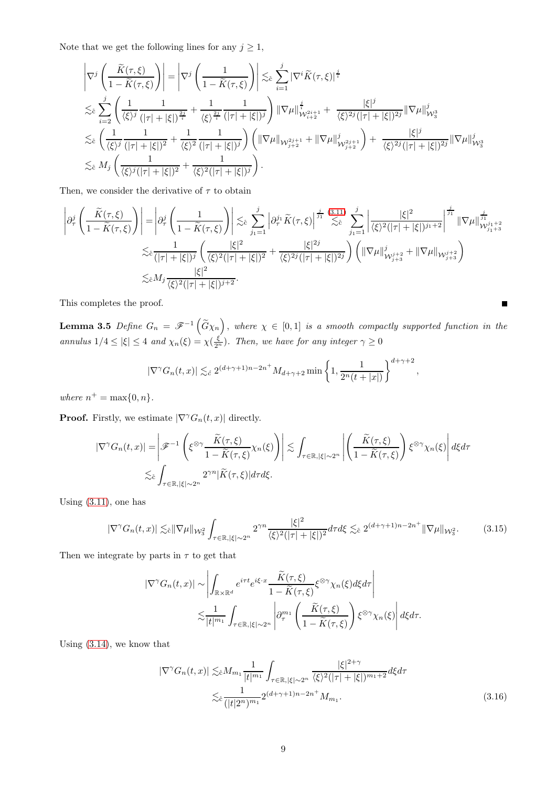Note that we get the following lines for any  $j \geq 1$ ,

$$
\begin{split}\n\left|\nabla^{j}\left(\frac{\widetilde{K}(\tau,\xi)}{1-\widetilde{K}(\tau,\xi)}\right)\right| &= \left|\nabla^{j}\left(\frac{1}{1-\widetilde{K}(\tau,\xi)}\right)\right| \lesssim_{\hat{c}} \sum_{i=1}^{j} |\nabla^{i}\widetilde{K}(\tau,\xi)|^{\frac{j}{i}} \\
&\lesssim_{\hat{c}} \sum_{i=2}^{j} \left(\frac{1}{\langle\xi\rangle^{j}} \frac{1}{(|\tau|+|\xi|)^{\frac{2j}{i}}} + \frac{1}{\langle\xi\rangle^{\frac{2j}{i}}}\frac{1}{(|\tau|+|\xi|)^{j}}\right) \|\nabla\mu\|_{\mathcal{W}_{i+2}^{2i+1}}^{\frac{j}{i}} + \frac{|\xi|^{j}}{\langle\xi\rangle^{2j}(|\tau|+|\xi|)^{2j}} \|\nabla\mu\|_{\mathcal{W}_{3}^{3}}^{\frac{j}{j}} \\
&\lesssim_{\hat{c}} \left(\frac{1}{\langle\xi\rangle^{j}} \frac{1}{(|\tau|+|\xi|)^{2}} + \frac{1}{\langle\xi\rangle^{2}}\frac{1}{(|\tau|+|\xi|)^{j}}\right) \left(\|\nabla\mu\|_{\mathcal{W}_{j+2}^{2j+1}} + \|\nabla\mu\|_{\mathcal{W}_{j+2}^{2j+1}}^{j}\right) + \frac{|\xi|^{j}}{\langle\xi\rangle^{2j}(|\tau|+|\xi|)^{2j}} \|\nabla\mu\|_{\mathcal{W}_{3}^{3}}^{\frac{j}{j}} \\
&\lesssim_{\hat{c}} M_{j} \left(\frac{1}{\langle\xi\rangle^{j}(|\tau|+|\xi|)^{2}} + \frac{1}{\langle\xi\rangle^{2}(|\tau|+|\xi|)^{j}}\right). \n\end{split}
$$

Then, we consider the derivative of  $\tau$  to obtain

$$
\left|\partial_{\tau}^{j}\left(\frac{\widetilde{K}(\tau,\xi)}{1-\widetilde{K}(\tau,\xi)}\right)\right| = \left|\partial_{\tau}^{j}\left(\frac{1}{1-\widetilde{K}(\tau,\xi)}\right)\right| \lesssim_{\tilde{c}} \sum_{j_{1}=1}^{j} \left|\partial_{\tau}^{j_{1}}\widetilde{K}(\tau,\xi)\right|^{\frac{j}{j_{1}}} \lesssim_{\tilde{c}} \sum_{j_{1}=1}^{(3,11)} \left|\frac{\left|\xi\right|^{2}}{\left|\left\langle\xi\right|^{2}(|\tau|+|\xi| \right)^{j_{1}+2}}\right|^{\frac{j}{j_{1}}} \|\nabla\mu\|_{\mathcal{W}_{j_{1}+3}}^{\frac{j}{j_{1}}}}{\left|\left\langle\xi\right|^{2}(|\tau|+|\xi| \right)^{j}} \left(\frac{|\xi|^{2}}{\left\langle\xi\right|^{2}(|\tau|+|\xi|)^{2}} + \frac{|\xi|^{2j}}{\left\langle\xi\right|^{2j}(|\tau|+|\xi|)^{2j}}\right) \left(\|\nabla\mu\|_{\mathcal{W}_{j+3}^{j+2}}^{j}\right)^{\frac{j}{j_{1}+2}}\right)^{\frac{j}{j_{1}+3}}
$$

$$
\lesssim_{\tilde{c}} M_{j} \frac{|\xi|^{2}}{\left\langle\xi\right|^{2}(|\tau|+|\xi|)^{j+2}}.
$$

<span id="page-8-2"></span>This completes the proof.

**Lemma 3.5** Define  $G_n = \mathscr{F}^{-1}(\widetilde{G}\chi_n)$ , where  $\chi \in [0,1]$  is a smooth compactly supported function in the annulus  $1/4 \le |\xi| \le 4$  and  $\chi_n(\xi) = \chi(\frac{\xi}{2^n})$ . Then, we have for any integer  $\gamma \ge 0$ 

<span id="page-8-0"></span> $\blacksquare$ 

$$
|\nabla^{\gamma}G_n(t,x)| \lesssim_{\mathcal{E}} 2^{(d+\gamma+1)n-2n^+} M_{d+\gamma+2} \min\left\{1, \frac{1}{2^n(t+|x|)}\right\}^{d+\gamma+2},
$$

where  $n^+ = \max\{0, n\}.$ 

**Proof.** Firstly, we estimate  $|\nabla^{\gamma}G_n(t,x)|$  directly.

$$
\begin{split} |\nabla^{\gamma}G_n(t,x)|=&\left|\mathscr{F}^{-1}\left(\xi^{\otimes\gamma}\frac{\widetilde{K}(\tau,\xi)}{1-\widetilde{K}(\tau,\xi)}\chi_n(\xi)\right)\right|\lesssim&\int_{\tau\in\mathbb{R},|\xi|\sim 2^n}\left|\left(\frac{\widetilde{K}(\tau,\xi)}{1-\widetilde{K}(\tau,\xi)}\right)\xi^{\otimes\gamma}\chi_n(\xi)\right|d\xi d\tau\\ \lesssim&\delta\int_{\tau\in\mathbb{R},|\xi|\sim 2^n}2^{\gamma n}|\widetilde{K}(\tau,\xi)|d\tau d\xi. \end{split}
$$

Using [\(3.11\)](#page-6-1), one has

$$
|\nabla^{\gamma}G_n(t,x)| \lesssim_{\tilde{c}} ||\nabla \mu||_{\mathcal{W}_3^2} \int_{\tau \in \mathbb{R}, |\xi| \sim 2^n} 2^{\gamma n} \frac{|\xi|^2}{\langle \xi \rangle^2 (|\tau| + |\xi|)^2} d\tau d\xi \lesssim_{\tilde{c}} 2^{(d+\gamma+1)n - 2n^+} ||\nabla \mu||_{\mathcal{W}_3^2}.
$$
 (3.15)

Then we integrate by parts in  $\tau$  to get that

$$
\begin{split} |\nabla^{\gamma}G_n(t,x)| &\sim \left| \int_{\mathbb{R}\times\mathbb{R}^d} e^{i\tau t} e^{i\xi\cdot x} \frac{\widetilde{K}(\tau,\xi)}{1-\widetilde{K}(\tau,\xi)} \xi^{\otimes\gamma} \chi_n(\xi) d\xi d\tau \right| \\ &\lesssim \frac{1}{|t|^{m_1}} \int_{\tau\in\mathbb{R},|\xi|\sim 2^n} \left| \partial_{\tau}^{m_1} \left( \frac{\widetilde{K}(\tau,\xi)}{1-\widetilde{K}(\tau,\xi)} \right) \xi^{\otimes\gamma} \chi_n(\xi) \right| d\xi d\tau. \end{split}
$$

Using [\(3.14\)](#page-7-0), we know that

<span id="page-8-1"></span>
$$
|\nabla^{\gamma}G_n(t,x)| \lesssim_{\tilde{c}} M_{m_1} \frac{1}{|t|^{m_1}} \int_{\tau \in \mathbb{R}, |\xi| \sim 2^n} \frac{|\xi|^{2+\gamma}}{\langle \xi \rangle^2 (|\tau| + |\xi|)^{m_1+2}} d\xi d\tau
$$
  

$$
\lesssim_{\tilde{c}} \frac{1}{(|t|2^n)^{m_1}} 2^{(d+\gamma+1)n-2n^+} M_{m_1}.
$$
 (3.16)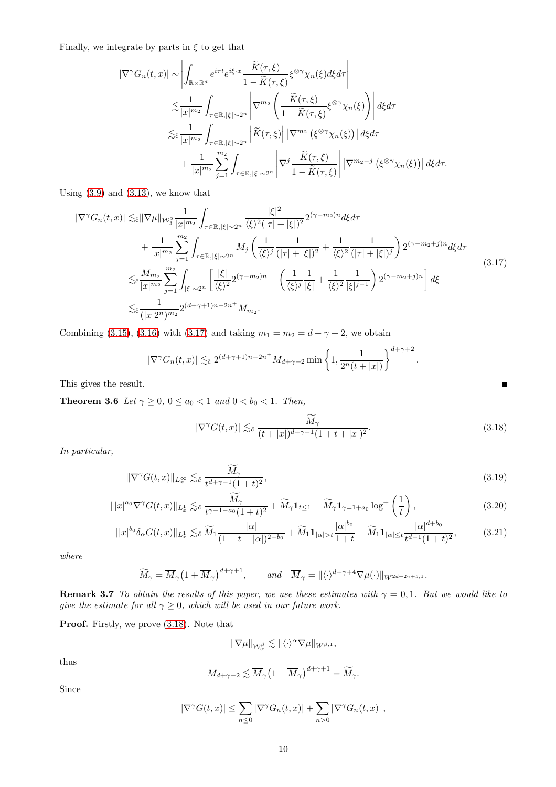Finally, we integrate by parts in  $\xi$  to get that

$$
\begin{split}\n|\nabla^{\gamma}G_{n}(t,x)| &\sim \left| \int_{\mathbb{R}\times\mathbb{R}^{d}} e^{i\tau t} e^{i\xi \cdot x} \frac{\widetilde{K}(\tau,\xi)}{1-\widetilde{K}(\tau,\xi)} \xi^{\otimes\gamma} \chi_{n}(\xi) d\xi d\tau \right| \\
&\lesssim \frac{1}{|x|^{m_{2}}} \int_{\tau \in \mathbb{R}, |\xi| \sim 2^{n}} \left| \nabla^{m_{2}} \left( \frac{\widetilde{K}(\tau,\xi)}{1-\widetilde{K}(\tau,\xi)} \xi^{\otimes\gamma} \chi_{n}(\xi) \right) \right| d\xi d\tau \\
&\lesssim_{c} \frac{1}{|x|^{m_{2}}} \int_{\tau \in \mathbb{R}, |\xi| \sim 2^{n}} \left| \widetilde{K}(\tau,\xi) \right| \left| \nabla^{m_{2}} \left( \xi^{\otimes\gamma} \chi_{n}(\xi) \right) \right| d\xi d\tau \\
&+ \frac{1}{|x|^{m_{2}}} \sum_{j=1}^{m_{2}} \int_{\tau \in \mathbb{R}, |\xi| \sim 2^{n}} \left| \nabla^{j} \frac{\widetilde{K}(\tau,\xi)}{1-\widetilde{K}(\tau,\xi)} \right| \left| \nabla^{m_{2}-j} \left( \xi^{\otimes\gamma} \chi_{n}(\xi) \right) \right| d\xi d\tau.\n\end{split}
$$

Using  $(3.9)$  and  $(3.13)$ , we know that

<span id="page-9-0"></span>
$$
|\nabla^{\gamma}G_{n}(t,x)| \lesssim_{\hat{c}} ||\nabla \mu||_{W_{3}^{2}} \frac{1}{|x|^{m_{2}}} \int_{\tau \in \mathbb{R}, |\xi| \sim 2^{n}} \frac{|\xi|^{2}}{\langle \xi \rangle^{2} (|\tau| + |\xi|)^{2}} 2^{(\gamma - m_{2})n} d\xi d\tau + \frac{1}{|x|^{m_{2}}} \sum_{j=1}^{m_{2}} \int_{\tau \in \mathbb{R}, |\xi| \sim 2^{n}} M_{j} \left( \frac{1}{\langle \xi \rangle^{j}} \frac{1}{(|\tau| + |\xi|)^{2}} + \frac{1}{\langle \xi \rangle^{2}} \frac{1}{(|\tau| + |\xi|)^{j}} \right) 2^{(\gamma - m_{2} + j)n} d\xi d\tau \n\lesssim_{\hat{c}} \frac{M_{m_{2}}}{|x|^{m_{2}}} \sum_{j=1}^{m_{2}} \int_{|\xi| \sim 2^{n}} \left[ \frac{|\xi|}{\langle \xi \rangle^{2}} 2^{(\gamma - m_{2})n} + \left( \frac{1}{\langle \xi \rangle^{j}} \frac{1}{|\xi|} + \frac{1}{\langle \xi \rangle^{2}} \frac{1}{|\xi|^{j-1}} \right) 2^{(\gamma - m_{2} + j)n} \right] d\xi \n\lesssim_{\hat{c}} \frac{1}{(|x|2^{n})^{m_{2}}} 2^{(d+\gamma+1)n - 2n^{+}} M_{m_{2}}.
$$
\n(3.17)

Combining [\(3.15\)](#page-8-0), [\(3.16\)](#page-8-1) with [\(3.17\)](#page-9-0) and taking  $m_1 = m_2 = d + \gamma + 2$ , we obtain

$$
|\nabla^{\gamma}G_n(t,x)| \lesssim_{\tilde{c}} 2^{(d+\gamma+1)n-2n^+} M_{d+\gamma+2} \min\left\{1, \frac{1}{2^n(t+|x|)}\right\}^{d+\gamma+2}.
$$

This gives the result.

**Theorem 3.6** Let  $\gamma \ge 0$ ,  $0 \le a_0 < 1$  and  $0 < b_0 < 1$ . Then,

<span id="page-9-1"></span>
$$
|\nabla^{\gamma}G(t,x)| \lesssim_{\tilde{c}} \frac{\widetilde{M}_{\gamma}}{(t+|x|)^{d+\gamma-1}(1+t+|x|)^2}.
$$
\n(3.18)

<span id="page-9-5"></span><span id="page-9-4"></span><span id="page-9-3"></span><span id="page-9-2"></span> $\blacksquare$ 

In particular,

$$
\|\nabla^{\gamma}G(t,x)\|_{L_x^{\infty}} \lesssim_{\hat{c}} \frac{\widetilde{M}_{\gamma}}{t^{d+\gamma-1}(1+t)^2},\tag{3.19}
$$

$$
\| |x|^{a_0} \nabla^{\gamma} G(t, x) \|_{L^1_x} \lesssim_{\tilde{c}} \frac{\widetilde{M}_{\gamma}}{t^{\gamma - 1 - a_0} (1 + t)^2} + \widetilde{M}_{\gamma} \mathbf{1}_{t \le 1} + \widetilde{M}_{\gamma} \mathbf{1}_{\gamma = 1 + a_0} \log^+ \left( \frac{1}{t} \right), \tag{3.20}
$$

$$
\| |x|^{b_0} \delta_\alpha G(t, x) \|_{L^1_x} \lesssim_{\tilde{c}} \widetilde{M}_1 \frac{|\alpha|}{(1 + t + |\alpha|)^{2 - b_0}} + \widetilde{M}_1 \mathbf{1}_{|\alpha| > t} \frac{|\alpha|^{b_0}}{1 + t} + \widetilde{M}_1 \mathbf{1}_{|\alpha| \le t} \frac{|\alpha|^{d + b_0}}{t^{d - 1} (1 + t)^2},
$$
(3.21)

where

$$
\widetilde{M}_{\gamma} = \overline{M}_{\gamma} \left( 1 + \overline{M}_{\gamma} \right)^{d + \gamma + 1}, \quad \text{and} \quad \overline{M}_{\gamma} = \| \langle \cdot \rangle^{d + \gamma + 4} \nabla \mu(\cdot) \|_{W^{2d + 2\gamma + 5, 1}}.
$$

**Remark 3.7** To obtain the results of this paper, we use these estimates with  $\gamma = 0, 1$ . But we would like to give the estimate for all  $\gamma \geq 0$ , which will be used in our future work.

Proof. Firstly, we prove  $(3.18)$ . Note that

$$
\|\nabla \mu\|_{\mathcal{W}^\beta_\alpha}\lesssim \|\langle \cdot \rangle^\alpha \nabla \mu\|_{W^{\beta,1}},
$$

thus

$$
M_{d+\gamma+2} \lesssim \overline{M}_{\gamma} \big(1+\overline{M}_{\gamma}\big)^{d+\gamma+1} = \widetilde{M}_{\gamma}.
$$

Since

$$
|\nabla^{\gamma}G(t,x)| \leq \sum_{n\leq 0} |\nabla^{\gamma}G_n(t,x)| + \sum_{n>0} |\nabla^{\gamma}G_n(t,x)|,
$$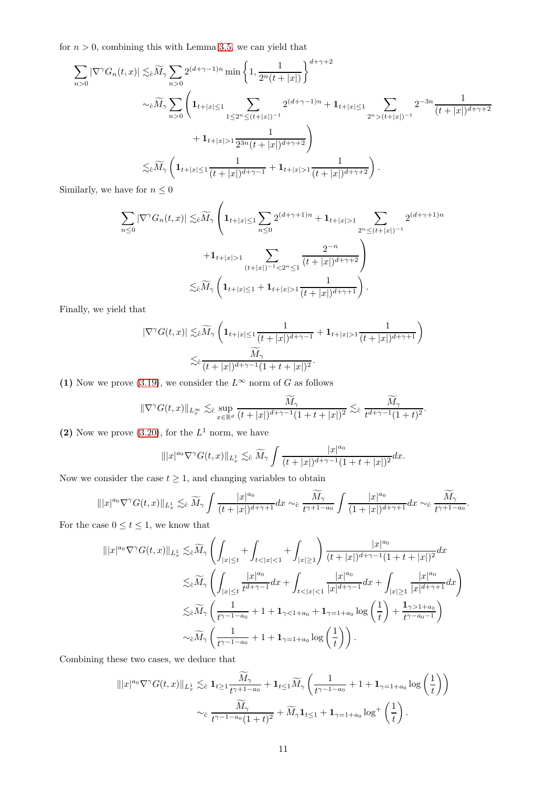for  $n > 0$ , combining this with Lemma [3.5,](#page-8-2) we can yield that

$$
\sum_{n>0} |\nabla^{\gamma} G_n(t,x)| \lesssim_{\tilde{c}} \widetilde{M}_{\gamma} \sum_{n>0} 2^{(d+\gamma-1)n} \min\left\{1, \frac{1}{2^n(t+|x|)}\right\}^{d+\gamma+2}
$$
\n
$$
\sim_{\tilde{c}} \widetilde{M}_{\gamma} \sum_{n>0} \left( \mathbf{1}_{t+|x|\leq 1} \sum_{1 \leq 2^n \leq (t+|x|)^{-1}} 2^{(d+\gamma-1)n} + \mathbf{1}_{t+|x|\leq 1} \sum_{2^n > (t+|x|)^{-1}} 2^{-3n} \frac{1}{(t+|x|)^{d+\gamma+2}}
$$
\n
$$
+ \mathbf{1}_{t+|x|>1} \frac{1}{2^{3n}(t+|x|)^{d+\gamma+2}} \right)
$$
\n
$$
\lesssim_{\tilde{c}} \widetilde{M}_{\gamma} \left( \mathbf{1}_{t+|x|\leq 1} \frac{1}{(t+|x|)^{d+\gamma-1}} + \mathbf{1}_{t+|x|>1} \frac{1}{(t+|x|)^{d+\gamma+2}} \right).
$$

Similarly, we have for  $n \leq 0$ 

$$
\sum_{n\leq 0} |\nabla^{\gamma} G_n(t,x)| \lesssim_{\tilde{c}} \widetilde{M}_{\gamma} \left( \mathbf{1}_{t+|x|\leq 1} \sum_{n\leq 0} 2^{(d+\gamma+1)n} + \mathbf{1}_{t+|x|>1} \sum_{2^n \leq (t+|x|)^{-1}} 2^{(d+\gamma+1)n} + \mathbf{1}_{t+|x|>1} \sum_{(t+|x|)^{-1} < 2^n \leq 1} \frac{2^{-n}}{(t+|x|)^{d+\gamma+2}} \right)
$$
  

$$
\lesssim_{\tilde{c}} \widetilde{M}_{\gamma} \left( \mathbf{1}_{t+|x|\leq 1} + \mathbf{1}_{t+|x|>1} \frac{1}{(t+|x|)^{d+\gamma+1}} \right).
$$

Finally, we yield that

$$
\begin{aligned} |\nabla^{\gamma}G(t,x)|\lesssim_{\hat{c}}&\widetilde{M}_{\gamma}\left(\mathbf{1}_{t+|x|\leq 1}\frac{1}{(t+|x|)^{d+\gamma-1}}+\mathbf{1}_{t+|x|>1}\frac{1}{(t+|x|)^{d+\gamma+1}}\right)\\ \lesssim_{\hat{c}}&\frac{\widetilde{M}_{\gamma}}{(t+|x|)^{d+\gamma-1}(1+t+|x|)^2}.\end{aligned}
$$

(1) Now we prove [\(3.19\)](#page-9-2), we consider the  $L^{\infty}$  norm of G as follows

$$
\|\nabla^{\gamma}G(t,x)\|_{L_x^{\infty}} \lesssim_{\tilde{c}} \sup_{x \in \mathbb{R}^d} \frac{\widetilde{M}_{\gamma}}{(t+|x|)^{d+\gamma-1}(1+t+|x|)^2} \lesssim_{\tilde{c}} \frac{\widetilde{M}_{\gamma}}{t^{d+\gamma-1}(1+t)^2}.
$$

(2) Now we prove  $(3.20)$ , for the  $L^1$  norm, we have

$$
|||x|^{a_0}\nabla^{\gamma}G(t,x)||_{L^1_x}\lesssim_{\tilde{c}} \widetilde{M}_{\gamma}\int \frac{|x|^{a_0}}{(t+|x|)^{d+\gamma-1}(1+t+|x|)^2}dx.
$$

Now we consider the case  $t \geq 1$ , and changing variables to obtain

$$
\||x|^{a_0}\nabla^{\gamma}G(t,x)\|_{L^1_x}\lesssim_{\tilde{c}} \widetilde{M}_{\gamma}\int \frac{|x|^{a_0}}{(t+|x|)^{d+\gamma+1}}dx\sim_{\tilde{c}} \frac{\widetilde{M}_{\gamma}}{t^{\gamma+1-a_0}}\int \frac{|x|^{a_0}}{(1+|x|)^{d+\gamma+1}}dx\sim_{\tilde{c}} \frac{\widetilde{M}_{\gamma}}{t^{\gamma+1-a_0}}.
$$

For the case  $0 \le t \le 1$ , we know that

$$
\| |x|^{a_0} \nabla^{\gamma} G(t, x) \|_{L_x^1} \lesssim_{\tilde{c}} \widetilde{M}_{\gamma} \left( \int_{|x| \leq t} + \int_{t < |x| < 1} + \int_{|x| \geq 1} \right) \frac{|x|^{a_0}}{(t + |x|)^{d + \gamma - 1} (1 + t + |x|)^2} dx
$$
  

$$
\lesssim_{\tilde{c}} \widetilde{M}_{\gamma} \left( \int_{|x| \leq t} \frac{|x|^{a_0}}{t^{d + \gamma - 1}} dx + \int_{t < |x| < 1} \frac{|x|^{a_0}}{|x|^{d + \gamma - 1}} dx + \int_{|x| \geq 1} \frac{|x|^{a_0}}{|x|^{d + \gamma + 1}} dx \right)
$$
  

$$
\lesssim_{\tilde{c}} \widetilde{M}_{\gamma} \left( \frac{1}{t^{\gamma - 1 - a_0}} + 1 + 1_{\gamma < 1 + a_0} + 1_{\gamma = 1 + a_0} \log \left( \frac{1}{t} \right) + \frac{1_{\gamma > 1 + a_0}}{t^{\gamma - a_0 - 1}} \right)
$$
  

$$
\sim_{\tilde{c}} \widetilde{M}_{\gamma} \left( \frac{1}{t^{\gamma - 1 - a_0}} + 1 + 1_{\gamma = 1 + a_0} \log \left( \frac{1}{t} \right) \right).
$$

Combining these two cases, we deduce that

$$
\begin{split} \||x|^{a_0}\nabla^\gamma G(t,x)\|_{L^1_x} \lesssim_{\hat c} \mathbf{1}_{t\geq 1}\frac{\widetilde M_\gamma}{t^{\gamma+1-a_0}} + \mathbf{1}_{t\leq 1} \widetilde M_\gamma \left(\frac{1}{t^{\gamma-1-a_0}}+1+\mathbf{1}_{\gamma=1+a_0}\log\left(\frac{1}{t}\right)\right)\\ \sim_{\hat c} \frac{\widetilde M_\gamma}{t^{\gamma-1-a_0}(1+t)^2} + \widetilde M_\gamma \mathbf{1}_{t\leq 1} + \mathbf{1}_{\gamma=1+a_0}\log^+\left(\frac{1}{t}\right). \end{split}
$$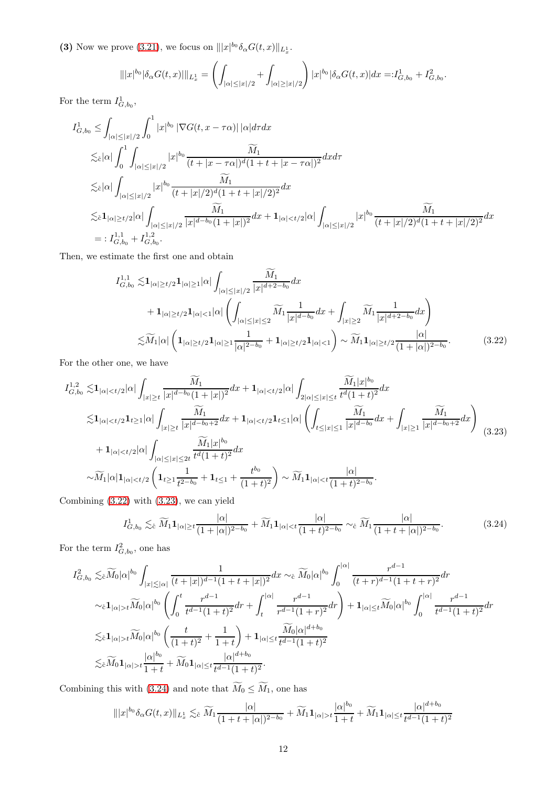(3) Now we prove [\(3.21\)](#page-9-4), we focus on  $|||x|^{b_0} \delta_\alpha G(t, x)||_{L^1_x}$ .

$$
\| |x|^{b_0} |\delta_\alpha G(t,x)| \|_{L^1_x} = \left( \int_{|\alpha| \le |x|/2} + \int_{|\alpha| \ge |x|/2} \right) |x|^{b_0} |\delta_\alpha G(t,x)| dx =: I^1_{G,b_0} + I^2_{G,b_0}.
$$

For the term  $I_{G,b_0}^1$ ,

$$
\begin{split} &I_{G,b_0}^1\leq \int_{|\alpha|\leq |x|/2}\int_0^1 |x|^{b_0} \left|\nabla G(t,x-\tau\alpha)\right| |\alpha| d\tau dx \\ &\lesssim_\varepsilon |\alpha| \int_0^1 \int_{|\alpha|\leq |x|/2} |x|^{b_0} \frac{\widetilde{M}_1}{(t+|x-\tau\alpha|)^d (1+t+|x-\tau\alpha|)^2} dxd\tau \\ &\lesssim_\varepsilon |\alpha| \int_{|\alpha|\leq |x|/2} |x|^{b_0} \frac{\widetilde{M}_1}{(t+|x|/2)^d (1+t+|x|/2)^2} dx \\ &\lesssim_\varepsilon \mathbf{1}_{|\alpha|\geq t/2} |\alpha| \int_{|\alpha|\leq |x|/2} \frac{\widetilde{M}_1}{|x|^{d-b_0} (1+|x|)^2} dx + \mathbf{1}_{|\alpha|< t/2} |\alpha| \int_{|\alpha|\leq |x|/2} |x|^{b_0} \frac{\widetilde{M}_1}{(t+|x|/2)^d (1+t+|x|/2)^2} dx \\ &=: I_{G,b_0}^{1,1} + I_{G,b_0}^{1,2}. \end{split}
$$

Then, we estimate the first one and obtain

<span id="page-11-0"></span>
$$
I_{G,b_0}^{1,1} \lesssim \mathbf{1}_{|\alpha| \ge t/2} \mathbf{1}_{|\alpha| \ge 1} |\alpha| \int_{|\alpha| \le |x|/2} \frac{\widetilde{M}_1}{|x|^{d+2-b_0}} dx + \mathbf{1}_{|\alpha| \ge t/2} \mathbf{1}_{|\alpha| < 1} |\alpha| \left( \int_{|\alpha| \le |x| \le 2} \widetilde{M}_1 \frac{1}{|x|^{d-b_0}} dx + \int_{|x| \ge 2} \widetilde{M}_1 \frac{1}{|x|^{d+2-b_0}} dx \right) \lesssim \widetilde{M}_1 |\alpha| \left( \mathbf{1}_{|\alpha| \ge t/2} \mathbf{1}_{|\alpha| \ge 1} \frac{1}{|\alpha|^{2-b_0}} + \mathbf{1}_{|\alpha| \ge t/2} \mathbf{1}_{|\alpha| < 1} \right) \sim \widetilde{M}_1 \mathbf{1}_{|\alpha| \ge t/2} \frac{|\alpha|}{(1+|\alpha|)^{2-b_0}}.
$$
\n(3.22)

For the other one, we have

<span id="page-11-1"></span>
$$
I_{G,b_{0}}^{1,2} \lesssim \mathbf{1}_{|\alpha| < t/2} |\alpha| \int_{|x| \geq t} \frac{\widetilde{M}_{1}}{|x|^{d-b_{0}} (1+|x|)^{2}} dx + \mathbf{1}_{|\alpha| < t/2} |\alpha| \int_{2|\alpha| \leq |x| \leq t} \frac{\widetilde{M}_{1}|x|^{b_{0}}}{t^{d} (1+t)^{2}} dx
$$
  
\n
$$
\lesssim \mathbf{1}_{|\alpha| < t/2} \mathbf{1}_{t \geq 1} |\alpha| \int_{|x| \geq t} \frac{\widetilde{M}_{1}}{|x|^{d-b_{0}+2}} dx + \mathbf{1}_{|\alpha| < t/2} \mathbf{1}_{t \leq 1} |\alpha| \left( \int_{t \leq |x| \leq 1} \frac{\widetilde{M}_{1}}{|x|^{d-b_{0}}} dx + \int_{|x| \geq 1} \frac{\widetilde{M}_{1}}{|x|^{d-b_{0}+2}} dx \right)
$$
  
\n
$$
+ \mathbf{1}_{|\alpha| < t/2} |\alpha| \int_{|\alpha| \leq |x| \leq 2t} \frac{\widetilde{M}_{1}|x|^{b_{0}}}{t^{d} (1+t)^{2}} dx
$$
  
\n
$$
\sim \widetilde{M}_{1} |\alpha| \mathbf{1}_{|\alpha| < t/2} \left( \mathbf{1}_{t \geq 1} \frac{1}{t^{2-b_{0}}} + \mathbf{1}_{t \leq 1} + \frac{t^{b_{0}}}{(1+t)^{2}} \right) \sim \widetilde{M}_{1} \mathbf{1}_{|\alpha| < t} \frac{|\alpha|}{(1+t)^{2-b_{0}}}.
$$
 (3.23)

Combining [\(3.22\)](#page-11-0) with [\(3.23\)](#page-11-1), we can yield

<span id="page-11-2"></span>
$$
I_{G,b_0}^1 \lesssim_{\tilde{\mathbb{C}}} \widetilde{M}_1 \mathbf{1}_{|\alpha| \ge t} \frac{|\alpha|}{(1+|\alpha|)^{2-b_0}} + \widetilde{M}_1 \mathbf{1}_{|\alpha| < t} \frac{|\alpha|}{(1+t)^{2-b_0}} \sim_{\tilde{\mathbb{C}}} \widetilde{M}_1 \frac{|\alpha|}{(1+t+|\alpha|)^{2-b_0}}.
$$
 (3.24)

For the term  $I_{G,b_0}^2$ , one has

$$
I_{G,b_0}^2 \lesssim_{\tilde{c}} \widetilde{M}_0 |\alpha|^{b_0} \int_{|x| \lesssim |\alpha|} \frac{1}{(t+|x|)^{d-1} (1+t+|x|)^2} dx \sim_{\tilde{c}} \widetilde{M}_0 |\alpha|^{b_0} \int_0^{|\alpha|} \frac{r^{d-1}}{(t+r)^{d-1} (1+t+r)^2} dr
$$
  

$$
\sim_{\tilde{c}} \mathbf{1}_{|\alpha| > t} \widetilde{M}_0 |\alpha|^{b_0} \left( \int_0^t \frac{r^{d-1}}{t^{d-1} (1+t)^2} dr + \int_t^{|\alpha|} \frac{r^{d-1}}{r^{d-1} (1+r)^2} dr \right) + \mathbf{1}_{|\alpha| \leq t} \widetilde{M}_0 |\alpha|^{b_0} \int_0^{|\alpha|} \frac{r^{d-1}}{t^{d-1} (1+t)^2} dr
$$
  

$$
\lesssim_{\tilde{c}} \mathbf{1}_{|\alpha| > t} \widetilde{M}_0 |\alpha|^{b_0} \left( \frac{t}{(1+t)^2} + \frac{1}{1+t} \right) + \mathbf{1}_{|\alpha| \leq t} \frac{\widetilde{M}_0 |\alpha|^{d+b_0}}{t^{d-1} (1+t)^2}
$$
  

$$
\lesssim_{\tilde{c}} \widetilde{M}_0 \mathbf{1}_{|\alpha| > t} \frac{|\alpha|^{b_0}}{1+t} + \widetilde{M}_0 \mathbf{1}_{|\alpha| \leq t} \frac{|\alpha|^{d+b_0}}{t^{d-1} (1+t)^2}.
$$

Combining this with [\(3.24\)](#page-11-2) and note that  $\widetilde{M}_0 \leq \widetilde{M}_1,$  one has

$$
\||x|^{b_0}\delta_\alpha G(t,x)\|_{L^1_x} \lesssim_{\mathring{c}} \widetilde{M}_1 \frac{|\alpha|}{(1+t+|\alpha|)^{2-b_0}} + \widetilde{M}_1\mathbf{1}_{|\alpha|>t} \frac{|\alpha|^{b_0}}{1+t} + \widetilde{M}_1\mathbf{1}_{|\alpha|\leq t} \frac{|\alpha|^{d+b_0}}{t^{d-1}(1+t)^2}
$$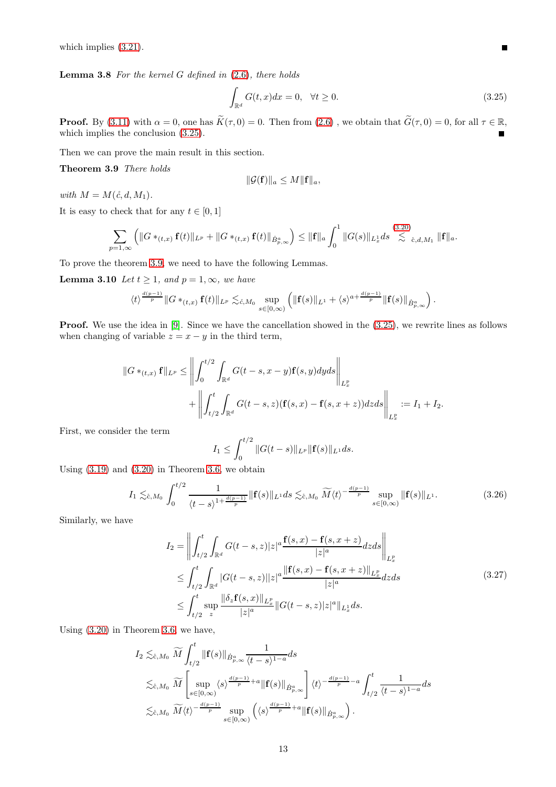which implies [\(3.21\)](#page-9-4).

**Lemma 3.8** For the kernel  $G$  defined in  $(2.6)$ , there holds

<span id="page-12-0"></span>
$$
\int_{\mathbb{R}^d} G(t, x) dx = 0, \quad \forall t \ge 0.
$$
\n(3.25)

**Proof.** By [\(3.11\)](#page-6-1) with  $\alpha = 0$ , one has  $\widetilde{K}(\tau, 0) = 0$ . Then from [\(2.6\)](#page-4-0), we obtain that  $\widetilde{G}(\tau, 0) = 0$ , for all  $\tau \in \mathbb{R}$ , which implies the conclusion [\(3.25\)](#page-12-0).

Then we can prove the main result in this section.

Theorem 3.9 There holds

<span id="page-12-1"></span>
$$
\|\mathcal{G}(\mathbf{f})\|_a \leq M \|\mathbf{f}\|_a,
$$

with  $M = M(\mathring{c}, d, M_1)$ .

It is easy to check that for any  $t \in [0, 1]$ 

$$
\sum_{p=1,\infty} \left( \|G *_{(t,x)} \mathbf{f}(t)\|_{L^p} + \|G *_{(t,x)} \mathbf{f}(t)\|_{\dot{B}^a_{p,\infty}} \right) \leq \|\mathbf{f}\|_a \int_0^1 \|G(s)\|_{L^1_x} ds \stackrel{(3.20)}{\lesssim} \mathcal{E}_{\hat{c},d,M_1} \|\mathbf{f}\|_a.
$$

To prove the theorem [3.9,](#page-12-1) we need to have the following Lemmas.

**Lemma 3.10** Let  $t \geq 1$ , and  $p = 1, \infty$ , we have

$$
\langle t \rangle^{\frac{d(p-1)}{p}} \|G *_{(t,x)} \mathbf{f}(t)\|_{L^p} \lesssim_{\tilde{c},M_0} \sup_{s \in [0,\infty)} \left( \|\mathbf{f}(s)\|_{L^1} + \langle s \rangle^{a + \frac{d(p-1)}{p}} \|\mathbf{f}(s)\|_{\dot{B}^a_{p,\infty}} \right).
$$

**Proof.** We use the idea in [\[9\]](#page-44-7). Since we have the cancellation showed in the  $(3.25)$ , we rewrite lines as follows when changing of variable  $z = x - y$  in the third term,

$$
||G *_{(t,x)} \mathbf{f}||_{L^{p}} \leq \left\| \int_{0}^{t/2} \int_{\mathbb{R}^{d}} G(t-s, x-y) \mathbf{f}(s, y) dy ds \right\|_{L^{p}_{x}} + \left\| \int_{t/2}^{t} \int_{\mathbb{R}^{d}} G(t-s, z) (\mathbf{f}(s, x) - \mathbf{f}(s, x+z)) dz ds \right\|_{L^{p}_{x}} := I_{1} + I_{2}.
$$

First, we consider the term

<span id="page-12-3"></span><span id="page-12-2"></span>
$$
I_1 \leq \int_0^{t/2} \|G(t-s)\|_{L^p} \|\mathbf{f}(s)\|_{L^1} ds.
$$

Using  $(3.19)$  and  $(3.20)$  in Theorem [3.6,](#page-9-5) we obtain

$$
I_1 \lesssim_{\tilde{c},M_0} \int_0^{t/2} \frac{1}{\langle t-s \rangle^{1+\frac{d(p-1)}{p}}} \| \mathbf{f}(s) \|_{L^1} ds \lesssim_{\tilde{c},M_0} \widetilde{M} \langle t \rangle^{-\frac{d(p-1)}{p}} \sup_{s \in [0,\infty)} \| \mathbf{f}(s) \|_{L^1}.
$$
 (3.26)

Similarly, we have

$$
I_{2} = \left\| \int_{t/2}^{t} \int_{\mathbb{R}^{d}} G(t-s,z)|z|^{a} \frac{\mathbf{f}(s,x) - \mathbf{f}(s,x+z)}{|z|^{a}} dz ds \right\|_{L_{x}^{p}}
$$
  
\n
$$
\leq \int_{t/2}^{t} \int_{\mathbb{R}^{d}} |G(t-s,z)||z|^{a} \frac{\|\mathbf{f}(s,x) - \mathbf{f}(s,x+z)\|_{L_{x}^{p}}}{|z|^{a}} dz ds
$$
  
\n
$$
\leq \int_{t/2}^{t} \sup_{z} \frac{\|\delta_{z}\mathbf{f}(s,x)\|_{L_{x}^{p}}}{|z|^{a}} \|G(t-s,z)|z|^{a} \|_{L_{x}^{1}} ds.
$$
\n(3.27)

Using [\(3.20\)](#page-9-3) in Theorem [3.6,](#page-9-5) we have,

$$
\begin{split} &I_2\lesssim_{\mathring{\mathbf c},M_0}\widetilde{M}\int_{t/2}^t\|\mathbf f(s)\|_{\dot{B}^a_{p,\infty}}\frac{1}{\langle t-s\rangle^{1-a}}ds\\ &\lesssim_{\mathring{\mathbf c},M_0}\widetilde{M}\left[\sup_{s\in[0,\infty)}\langle s\rangle^{\frac{d(p-1)}{p}+a}\|\mathbf f(s)\|_{\dot{B}^a_{p,\infty}}\right]\langle t\rangle^{-\frac{d(p-1)}{p}-a}\int_{t/2}^t\frac{1}{\langle t-s\rangle^{1-a}}ds\\ &\lesssim_{\mathring{\mathbf c},M_0}\widetilde{M}\langle t\rangle^{-\frac{d(p-1)}{p}}\sup_{s\in[0,\infty)}\left(\langle s\rangle^{\frac{d(p-1)}{p}+a}\|\mathbf f(s)\|_{\dot{B}^a_{p,\infty}}\right). \end{split}
$$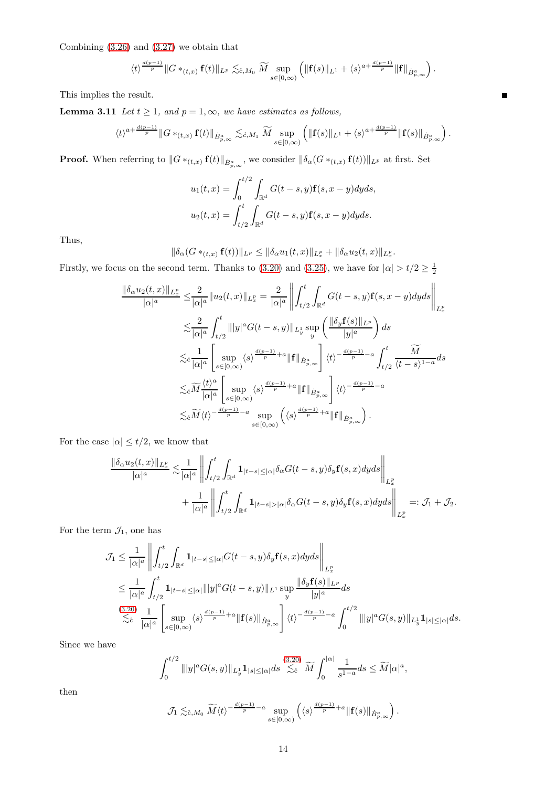Combining [\(3.26\)](#page-12-2) and [\(3.27\)](#page-12-3) we obtain that

$$
\langle t\rangle^{\frac{d(p-1)}{p}} \|G \ast_{(t,x)} {\mathbf f}(t) \|_{L^p} \lesssim_{\mathring{\mathrm{c}},M_0} \widetilde{M} \sup_{s \in [0,\infty)} \left( \| {\mathbf f}(s) \|_{L^1} + \langle s \rangle^{a + \frac{d(p-1)}{p}} \| {\mathbf f} \|_{\dot{B}^a_{p,\infty}} \right).
$$

This implies the result.

**Lemma 3.11** Let  $t \geq 1$ , and  $p = 1, \infty$ , we have estimates as follows,

$$
\langle t\rangle^{a+\frac{d(p-1)}{p}} \|G \ast_{(t,x)} {\bf f}(t)\|_{\dot{B}^a_{p,\infty}}\lesssim_{\mathring{c},M_1} \widetilde{M} \sup_{s\in [0,\infty)}\left(\|{\bf f}(s)\|_{L^1}+\langle s\rangle^{a+\frac{d(p-1)}{p}} \|{\bf f}(s)\|_{\dot{B}^a_{p,\infty}}\right).
$$

**Proof.** When referring to  $||G *_{(t,x)} f(t)||_{\dot{B}^a_{p,\infty}}$ , we consider  $||\delta_\alpha(G *_{(t,x)} f(t))||_{L^p}$  at first. Set

$$
u_1(t,x) = \int_0^{t/2} \int_{\mathbb{R}^d} G(t-s,y) \mathbf{f}(s,x-y) dy ds,
$$
  

$$
u_2(t,x) = \int_{t/2}^t \int_{\mathbb{R}^d} G(t-s,y) \mathbf{f}(s,x-y) dy ds.
$$

Thus,

$$
\|\delta_{\alpha}(G *_{(t,x)} \mathbf{f}(t))\|_{L^p} \le \|\delta_{\alpha} u_1(t,x)\|_{L^p_x} + \|\delta_{\alpha} u_2(t,x)\|_{L^p_x}
$$

.

 $\blacksquare$ 

Firstly, we focus on the second term. Thanks to [\(3.20\)](#page-9-3) and [\(3.25\)](#page-12-0), we have for  $|\alpha| > t/2 \ge \frac{1}{2}$ 

$$
\frac{\|\delta_\alpha u_2(t,x)\|_{L_x^p}}{|\alpha|^a} \leq \frac{2}{|\alpha|^a} \|u_2(t,x)\|_{L_x^p} = \frac{2}{|\alpha|^a} \left\| \int_{t/2}^t \int_{\mathbb{R}^d} G(t-s,y) \mathbf{f}(s,x-y) dy ds \right\|_{L_x^p}
$$
  

$$
\lesssim \frac{2}{|\alpha|^a} \int_{t/2}^t \| |y|^a G(t-s,y) \|_{L_y^1} \sup_y \left( \frac{\|\delta_y \mathbf{f}(s)\|_{L^p}}{|y|^a} \right) ds
$$
  

$$
\lesssim_{\hat{c}} \frac{1}{|\alpha|^a} \left[ \sup_{s \in [0,\infty)} \langle s \rangle^{\frac{d(p-1)}{p}+a} \| \mathbf{f} \|_{\dot{B}^a_{p,\infty}} \right] \langle t \rangle^{-\frac{d(p-1)}{p}-a} \int_{t/2}^t \frac{\widetilde{M}}{\langle t-s \rangle^{1-a}} ds
$$
  

$$
\lesssim_{\hat{c}} \widetilde{M} \frac{\langle t \rangle^a}{|\alpha|^a} \left[ \sup_{s \in [0,\infty)} \langle s \rangle^{\frac{d(p-1)}{p}+a} \| \mathbf{f} \|_{\dot{B}^a_{p,\infty}} \right] \langle t \rangle^{-\frac{d(p-1)}{p}-a}
$$
  

$$
\lesssim_{\hat{c}} \widetilde{M} \langle t \rangle^{-\frac{d(p-1)}{p}-a} \sup_{s \in [0,\infty)} \left( \langle s \rangle^{\frac{d(p-1)}{p}+a} \| \mathbf{f} \|_{\dot{B}^a_{p,\infty}} \right).
$$

For the case  $|\alpha|\leq t/2,$  we know that

$$
\frac{\|\delta_\alpha u_2(t,x)\|_{L^p_x}}{|\alpha|^a} \lesssim \frac{1}{|\alpha|^a} \left\| \int_{t/2}^t \int_{\mathbb{R}^d} \mathbf{1}_{|t-s| \leq |\alpha|^b} \delta_\alpha G(t-s,y) \delta_y \mathbf{f}(s,x) dy ds \right\|_{L^p_x} + \frac{1}{|\alpha|^a} \left\| \int_{t/2}^t \int_{\mathbb{R}^d} \mathbf{1}_{|t-s| > |\alpha|^b} \delta_\alpha G(t-s,y) \delta_y \mathbf{f}(s,x) dy ds \right\|_{L^p_x} =: \mathcal{J}_1 + \mathcal{J}_2.
$$

For the term  $\mathcal{J}_1$ , one has

$$
\begin{split} \mathcal{J}_1 &\leq \frac{1}{|\alpha|^a} \left\| \int_{t/2}^t \int_{\mathbb{R}^d} \mathbf{1}_{|t-s| \leq |\alpha|} G(t-s,y) \delta_y \mathbf{f}(s,x) dy ds \right\|_{L_x^p} \\ &\leq \frac{1}{|\alpha|^a} \int_{t/2}^t \mathbf{1}_{|t-s| \leq |\alpha|} |||y|^a G(t-s,y) ||_{L^1} \sup_y \frac{\|\delta_y \mathbf{f}(s)\|_{L^p}}{|y|^a} ds \\ &\stackrel{(3.20)}{\lesssim} \frac{1}{|\alpha|^a} \left[ \sup_{s \in [0,\infty)} \langle s \rangle^{\frac{d(p-1)}{p}+a} \|\mathbf{f}(s)\|_{\dot{B}^a_{p,\infty}} \right] \langle t \rangle^{-\frac{d(p-1)}{p}-a} \int_0^{t/2} |||y|^a G(s,y) ||_{L_y^1} \mathbf{1}_{|s| \leq |\alpha|} ds. \end{split}
$$

Since we have

$$
\int_0^{t/2} |||y|^a G(s,y)||_{L_y^1} \mathbf{1}_{|s| \leq |\alpha|} ds \underset{\delta \circ \mathbf{R}}{\overset{(3.20)}{\leq}} \widetilde{M} \int_0^{|\alpha|} \frac{1}{s^{1-a}} ds \leq \widetilde{M} |\alpha|^a,
$$

then

$$
\mathcal{J}_1\lesssim_{\mathring{\mathbb{C}},M_0}\widetilde{M}\langle t\rangle^{-\frac{d(p-1)}{p}-a}\sup_{s\in[0,\infty)}\left(\langle s\rangle^{\frac{d(p-1)}{p}+a}\| {\bf f}(s)\|_{\dot{B}^a_{p,\infty}}\right).
$$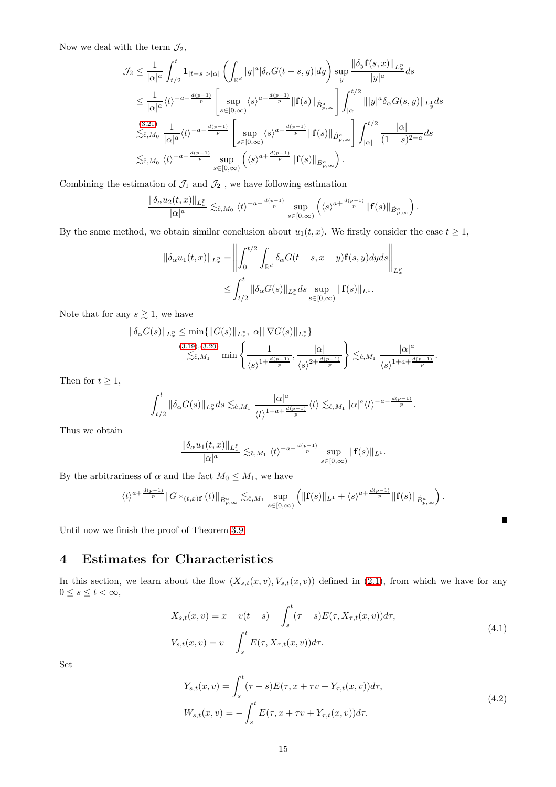Now we deal with the term  $\mathcal{J}_2$ ,

$$
\mathcal{J}_2 \leq \frac{1}{|\alpha|^a} \int_{t/2}^t \mathbf{1}_{|t-s| > |\alpha|} \left( \int_{\mathbb{R}^d} |y|^a |\delta_\alpha G(t-s, y)| dy \right) \sup_y \frac{\|\delta_y \mathbf{f}(s, x)\|_{L_x^p}}{|y|^a} ds
$$
  
\n
$$
\leq \frac{1}{|\alpha|^a} \langle t \rangle^{-a - \frac{d(p-1)}{p}} \left[ \sup_{s \in [0, \infty)} \langle s \rangle^{a + \frac{d(p-1)}{p}} \| \mathbf{f}(s) \|_{\dot{B}_{p,\infty}^a} \right] \int_{|\alpha|}^{t/2} \| |y|^a \delta_\alpha G(s, y) \|_{L_y^1} ds
$$
  
\n
$$
\lesssim \mathring{\epsilon}, M_0 \frac{1}{|\alpha|^a} \langle t \rangle^{-a - \frac{d(p-1)}{p}} \left[ \sup_{s \in [0, \infty)} \langle s \rangle^{a + \frac{d(p-1)}{p}} \| \mathbf{f}(s) \|_{\dot{B}_{p,\infty}^a} \right] \int_{|\alpha|}^{t/2} \frac{|\alpha|}{(1+s)^{2-a}} ds
$$
  
\n
$$
\lesssim \mathring{\epsilon}, M_0 \langle t \rangle^{-a - \frac{d(p-1)}{p}} \sup_{s \in [0, \infty)} \left( \langle s \rangle^{a + \frac{d(p-1)}{p}} \| \mathbf{f}(s) \|_{\dot{B}_{p,\infty}^a} \right).
$$

Combining the estimation of  $\mathcal{J}_1$  and  $\mathcal{J}_2$  , we have following estimation

$$
\frac{\|\delta_\alpha u_2(t,x)\|_{L^p_x}}{|\alpha|^a}\lesssim_{\tilde{c},M_0} \langle t\rangle^{-a-\frac{d(p-1)}{p}}\sup_{s\in[0,\infty)}\left(\langle s\rangle^{a+\frac{d(p-1)}{p}}\|\mathbf{f}(s)\|_{\dot{B}^a_{p,\infty}}\right).
$$

By the same method, we obtain similar conclusion about  $u_1(t, x)$ . We firstly consider the case  $t \ge 1$ ,

$$
\|\delta_{\alpha} u_1(t,x)\|_{L_x^p} = \left\| \int_0^{t/2} \int_{\mathbb{R}^d} \delta_{\alpha} G(t-s, x-y) \mathbf{f}(s, y) dy ds \right\|_{L_x^p}
$$
  

$$
\leq \int_{t/2}^t \|\delta_{\alpha} G(s)\|_{L_x^p} ds \sup_{s \in [0,\infty)} \| \mathbf{f}(s) \|_{L^1}.
$$

Note that for any  $s\gtrsim 1,$  we have

$$
\|\delta_{\alpha}G(s)\|_{L^{p}_{x}} \leq \min\{\|G(s)\|_{L^{p}_{x}}, |\alpha|\|\nabla G(s)\|_{L^{p}_{x}}\}\n\lesssim_{\tilde{c}, M_{1}} \min\left\{\frac{1}{\langle s \rangle^{1+\frac{d(p-1)}{p}}}, \frac{|\alpha|}{\langle s \rangle^{2+\frac{d(p-1)}{p}}}\right\}\n\lesssim_{\tilde{c}, M_{1}} \frac{|\alpha|^{a}}{\langle s \rangle^{1+a+\frac{d(p-1)}{p}}}.
$$

Then for  $t \geq 1$ ,

$$
\int_{t/2}^t \|\delta_\alpha G(s)\|_{L^p_x} ds \lesssim_{\tilde{c},M_1} \frac{|\alpha|^a}{\langle t \rangle^{1+a+\frac{d(p-1)}{p}}} \langle t \rangle \lesssim_{\tilde{c},M_1} |\alpha|^a \langle t \rangle^{-a-\frac{d(p-1)}{p}}.
$$

Thus we obtain

$$
\frac{\|\delta_\alpha u_1(t,x)\|_{L^p_x}}{|\alpha|^a} \lesssim_{\tilde{c},M_1} \langle t \rangle^{-a-\frac{d(p-1)}{p}} \sup_{s \in [0,\infty)} \|f(s)\|_{L^1}.
$$

By the arbitrariness of  $\alpha$  and the fact  $M_0 \leq M_1$ , we have

$$
\langle t\rangle^{a+\frac{d(p-1)}{p}} \|G *_{(t,x)\mathbf{f}}(t)\|_{\dot{B}^a_{p,\infty}} \lesssim_{\tilde{c},M_1} \sup_{s \in [0,\infty)} \left(\|\mathbf{f}(s)\|_{L^1} + \langle s \rangle^{a+\frac{d(p-1)}{p}} \|\mathbf{f}(s)\|_{\dot{B}^a_{p,\infty}}\right).
$$

Until now we finish the proof of Theorem [3.9.](#page-12-1)

#### 4 Estimates for Characteristics

In this section, we learn about the flow  $(X_{s,t}(x, v), V_{s,t}(x, v))$  defined in [\(2.1\)](#page-3-2), from which we have for any  $0 \leq s \leq t < \infty$ ,

$$
X_{s,t}(x,v) = x - v(t-s) + \int_s^t (\tau - s) E(\tau, X_{\tau,t}(x,v)) d\tau,
$$
  
\n
$$
V_{s,t}(x,v) = v - \int_s^t E(\tau, X_{\tau,t}(x,v)) d\tau.
$$
\n(4.1)

 $\blacksquare$ 

<span id="page-14-0"></span>Set

$$
Y_{s,t}(x,v) = \int_{s}^{t} (\tau - s)E(\tau, x + \tau v + Y_{\tau,t}(x,v))d\tau,
$$
  
\n
$$
W_{s,t}(x,v) = -\int_{s}^{t} E(\tau, x + \tau v + Y_{\tau,t}(x,v))d\tau.
$$
\n(4.2)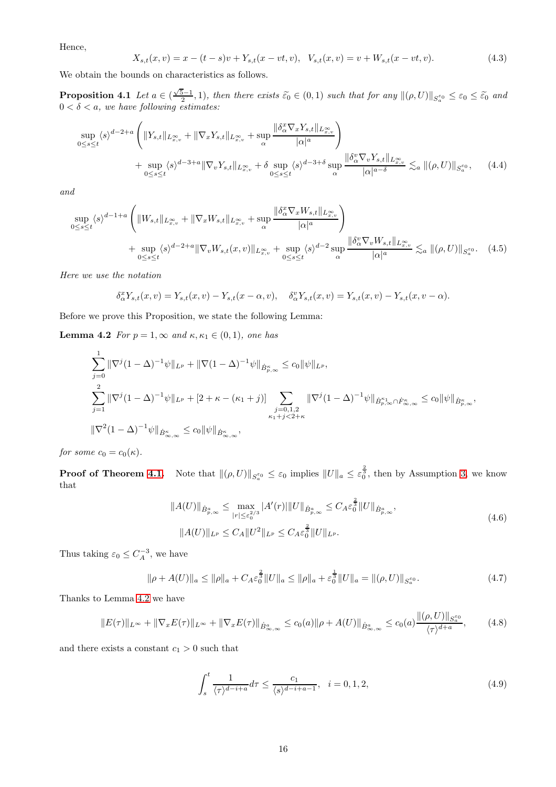Hence,

<span id="page-15-3"></span>
$$
X_{s,t}(x,v) = x - (t - s)v + Y_{s,t}(x - vt, v), \quad V_{s,t}(x,v) = v + W_{s,t}(x - vt, v).
$$
\n(4.3)

<span id="page-15-0"></span>We obtain the bounds on characteristics as follows.

**Proposition 4.1** Let  $a \in (\frac{\sqrt{5}-1}{2}, 1)$ , then there exists  $\tilde{\epsilon_0} \in (0, 1)$  such that for any  $\|(\rho, U)\|_{S_a^{\epsilon_0}} \leq \varepsilon_0 \leq \tilde{\epsilon_0}$  and  $0 < \delta < a$ , we have following estimates:

$$
\sup_{0\leq s\leq t} \langle s \rangle^{d-2+a} \left( \|Y_{s,t}\|_{L^{\infty}_{x,v}} + \|\nabla_x Y_{s,t}\|_{L^{\infty}_{x,v}} + \sup_{\alpha} \frac{\|\delta^x_{\alpha} \nabla_x Y_{s,t}\|_{L^{\infty}_{x,v}}}{|\alpha|^a} \right) + \sup_{0\leq s\leq t} \langle s \rangle^{d-3+a} \|\nabla_v Y_{s,t}\|_{L^{\infty}_{x,v}} + \delta \sup_{0\leq s\leq t} \langle s \rangle^{d-3+\delta} \sup_{\alpha} \frac{\|\delta^v_{\alpha} \nabla_v Y_{s,t}\|_{L^{\infty}_{x,v}}}{|\alpha|^{a-\delta}} \lesssim_a \|(\rho, U)\|_{S^{\varepsilon_0}_{a}}, \quad (4.4)
$$

and

$$
\sup_{0\leq s\leq t} \langle s \rangle^{d-1+a} \left( \|W_{s,t}\|_{L^{\infty}_{x,v}} + \|\nabla_x W_{s,t}\|_{L^{\infty}_{x,v}} + \sup_{\alpha} \frac{\|\delta^x_{\alpha} \nabla_x W_{s,t}\|_{L^{\infty}_{x,v}}}{|\alpha|^a} \right) + \sup_{0\leq s\leq t} \langle s \rangle^{d-2+a} \|\nabla_v W_{s,t}(x,v)\|_{L^{\infty}_{x,v}} + \sup_{0\leq s\leq t} \langle s \rangle^{d-2} \sup_{\alpha} \frac{\|\delta^v_{\alpha} \nabla_v W_{s,t}\|_{L^{\infty}_{x,v}}}{|\alpha|^a} \lesssim_a \|(\rho, U)\|_{S^{\varepsilon_0}_{a}}. \tag{4.5}
$$

Here we use the notation

<span id="page-15-4"></span><span id="page-15-1"></span>
$$
\delta^x_{\alpha} Y_{s,t}(x,v) = Y_{s,t}(x,v) - Y_{s,t}(x-\alpha,v), \quad \delta^v_{\alpha} Y_{s,t}(x,v) = Y_{s,t}(x,v) - Y_{s,t}(x,v-\alpha).
$$

Before we prove this Proposition, we state the following Lemma:

**Lemma 4.2** For  $p = 1, \infty$  and  $\kappa, \kappa_1 \in (0, 1)$ , one has

$$
\sum_{j=0}^{1} \|\nabla^{j} (1-\Delta)^{-1} \psi\|_{L^{p}} + \|\nabla (1-\Delta)^{-1} \psi\|_{\dot{B}_{p,\infty}^{\kappa}} \leq c_0 \|\psi\|_{L^{p}},
$$
\n
$$
\sum_{j=1}^{2} \|\nabla^{j} (1-\Delta)^{-1} \psi\|_{L^{p}} + [2 + \kappa - (\kappa_1 + j)] \sum_{\substack{j=0,1,2\\ \kappa_1 + j < 2 + \kappa}} \|\nabla^{j} (1-\Delta)^{-1} \psi\|_{\dot{B}_{p,\infty}^{\kappa_1}} \leq c_0 \|\psi\|_{\dot{B}_{p,\infty}^{\kappa}},
$$
\n
$$
\|\nabla^{2} (1-\Delta)^{-1} \psi\|_{\dot{B}_{\infty,\infty}^{\kappa}} \leq c_0 \|\psi\|_{\dot{B}_{\infty,\infty}^{\kappa}},
$$

for some  $c_0 = c_0(\kappa)$ .

**Proof of Theorem [4.1.](#page-15-0)** Note that  $\|(\rho, U)\|_{S_a^{\varepsilon_0}} \leq \varepsilon_0$  implies  $||U||_a \leq \varepsilon_0^{\frac{2}{3}}$ , then by Assumption [3,](#page-1-0) we know that

<span id="page-15-6"></span>
$$
||A(U)||_{\dot{B}_{p,\infty}^{a}} \leq \max_{|r| \leq \varepsilon_0^{2/3}} |A'(r)|| ||U||_{\dot{B}_{p,\infty}^{a}} \leq C_A \varepsilon_0^{\frac{2}{3}} ||U||_{\dot{B}_{p,\infty}^{a}},
$$
  

$$
||A(U)||_{L^p} \leq C_A ||U^2||_{L^p} \leq C_A \varepsilon_0^{\frac{2}{3}} ||U||_{L^p}.
$$
 (4.6)

Thus taking  $\varepsilon_0 \leq C_A^{-3}$ , we have

$$
\|\rho + A(U)\|_{a} \le \|\rho\|_{a} + C_{A}\varepsilon_{0}^{\frac{2}{3}}\|U\|_{a} \le \|\rho\|_{a} + \varepsilon_{0}^{\frac{1}{3}}\|U\|_{a} = \|(\rho, U)\|_{S_{a}^{\varepsilon_{0}}}.
$$
\n(4.7)

Thanks to Lemma [4.2](#page-15-1) we have

<span id="page-15-2"></span>
$$
||E(\tau)||_{L^{\infty}} + ||\nabla_x E(\tau)||_{L^{\infty}} + ||\nabla_x E(\tau)||_{\dot{B}^a_{\infty,\infty}} \le c_0(a) ||\rho + A(U)||_{\dot{B}^a_{\infty,\infty}} \le c_0(a) \frac{||(\rho, U)||_{S^{\varepsilon_0}_{a}}}{\langle \tau \rangle^{d+a}},
$$
(4.8)

and there exists a constant  $c_1 > 0$  such that

<span id="page-15-5"></span>
$$
\int_{s}^{t} \frac{1}{\langle \tau \rangle^{d-i+a}} d\tau \le \frac{c_1}{\langle s \rangle^{d-i+a-1}}, \quad i = 0, 1, 2,
$$
\n(4.9)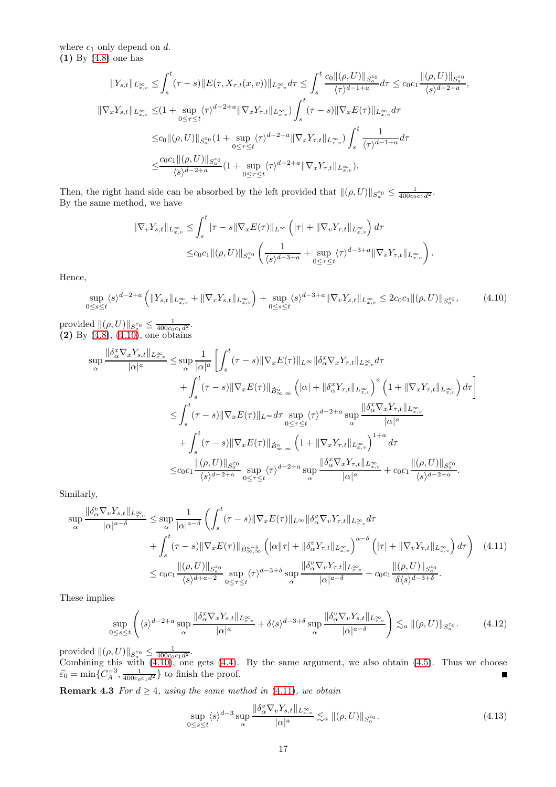where  $c_1$  only depend on  $d$ . (1) By [\(4.8\)](#page-15-2) one has

$$
||Y_{s,t}||_{L^{\infty}_{x,v}} \leq \int_{s}^{t} (\tau - s) ||E(\tau, X_{\tau,t}(x,v))||_{L^{\infty}_{x,v}} d\tau \leq \int_{s}^{t} \frac{c_{0} ||(\rho, U)||_{S_{a}^{\varepsilon_{0}}}}{\langle \tau \rangle^{d-1+a}} d\tau \leq c_{0} c_{1} \frac{||(\rho, U)||_{S_{a}^{\varepsilon_{0}}}}{\langle s \rangle^{d-2+a}},
$$
  

$$
||\nabla_{x} Y_{s,t}||_{L^{\infty}_{x,v}} \leq (1 + \sup_{0 \leq \tau \leq t} \langle \tau \rangle^{d-2+a} ||\nabla_{x} Y_{\tau,t}||_{L^{\infty}_{x,v}}) \int_{s}^{t} (\tau - s) ||\nabla_{x} E(\tau)||_{L^{\infty}_{x,v}} d\tau
$$
  

$$
\leq c_{0} ||(\rho, U)||_{S_{a}^{\varepsilon_{0}}}(1 + \sup_{0 \leq \tau \leq t} \langle \tau \rangle^{d-2+a} ||\nabla_{x} Y_{\tau,t}||_{L^{\infty}_{x,v}}) \int_{s}^{t} \frac{1}{\langle \tau \rangle^{d-1+a}} d\tau
$$
  

$$
\leq \frac{c_{0} c_{1} ||(\rho, U)||_{S_{a}^{\varepsilon_{0}}}}{\langle s \rangle^{d-2+a}} (1 + \sup_{0 \leq \tau \leq t} \langle \tau \rangle^{d-2+a} ||\nabla_{x} Y_{\tau,t}||_{L^{\infty}_{x,v}}).
$$

Then, the right hand side can be absorbed by the left provided that  $\|(\rho, U)\|_{S^{\varepsilon_0}_a} \leq \frac{1}{400c_0c_1d^2}$ . By the same method, we have

$$
\begin{split} \|\nabla_v Y_{s,t}\|_{L^\infty_{x,v}} &\leq \int_s^t |\tau - s\|\nabla_x E(\tau)\|_{L^\infty} \left( |\tau| + \|\nabla_v Y_{\tau,t}\|_{L^\infty_{x,v}} \right) d\tau \\ &\leq c_0 c_1 \|(\rho, U)\|_{S^{\varepsilon_0}_a} \left( \frac{1}{\langle s \rangle^{d-3+a}} + \sup_{0 \leq \tau \leq t} \langle \tau \rangle^{d-3+a} \|\nabla_v Y_{\tau,t}\|_{L^\infty_{x,v}} \right). \end{split}
$$

Hence,

<span id="page-16-0"></span>
$$
\sup_{0 \le s \le t} \langle s \rangle^{d-2+a} \left( \|Y_{s,t}\|_{L^{\infty}_{x,v}} + \|\nabla_x Y_{s,t}\|_{L^{\infty}_{x,v}} \right) + \sup_{0 \le s \le t} \langle s \rangle^{d-3+a} \|\nabla_v Y_{s,t}\|_{L^{\infty}_{x,v}} \le 2c_0 c_1 \|(\rho, U)\|_{S^{\varepsilon_0}_a},\tag{4.10}
$$

provided  $\|(\rho, U)\|_{S^{\varepsilon_0}_{\alpha}} \leq \frac{1}{400c_0c_1d^2}.$  $(2)$  By  $(4.8)$ ,  $(4.10)$ , one obtains

$$
\sup_{\alpha} \frac{\|\delta_{\alpha}^{x} \nabla_{x} Y_{s,t}\|_{L^{\infty}_{x,v}}}{|\alpha|^{a}} \leq \sup_{\alpha} \frac{1}{|\alpha|^{a}} \left[ \int_{s}^{t} (\tau - s) \|\nabla_{x} E(\tau)\|_{L^{\infty}} \|\delta_{\alpha}^{x} \nabla_{x} Y_{\tau,t}\|_{L^{\infty}_{x,v}} d\tau \right. \\ \left. + \int_{s}^{t} (\tau - s) \|\nabla_{x} E(\tau)\|_{\dot{B}^{a}_{\infty,\infty}} \left( |\alpha| + \|\delta_{\alpha}^{x} Y_{\tau,t}\|_{L^{\infty}_{x,v}} \right)^{a} \left( 1 + \|\nabla_{x} Y_{\tau,t}\|_{L^{\infty}_{x,v}} \right) d\tau \right] \\ \leq \int_{s}^{t} (\tau - s) \|\nabla_{x} E(\tau)\|_{L^{\infty}} d\tau \sup_{0 \leq \tau \leq t} \langle \tau \rangle^{d-2+a} \sup_{\alpha} \frac{\|\delta_{\alpha}^{x} \nabla_{x} Y_{\tau,t}\|_{L^{\infty}_{x,v}}}{|\alpha|^{a}} \\ + \int_{s}^{t} (\tau - s) \|\nabla_{x} E(\tau)\|_{\dot{B}^{a}_{\infty,\infty}} \left( 1 + \|\nabla_{x} Y_{\tau,t}\|_{L^{\infty}_{x,v}} \right)^{1+a} d\tau \\ \leq c_{0} c_{1} \frac{\|(\rho, U)\|_{S_{\alpha}^{\varepsilon 0}}}{\langle s \rangle^{d-2+a}} \sup_{0 \leq \tau \leq t} \langle \tau \rangle^{d-2+a} \sup_{\alpha} \frac{\|\delta_{\alpha}^{x} \nabla_{x} Y_{\tau,t}\|_{L^{\infty}_{x,v}}}{|\alpha|^{a}} + c_{0} c_{1} \frac{\|(\rho, U)\|_{S_{\alpha}^{\varepsilon 0}}}{\langle s \rangle^{d-2+a}}.
$$

Similarly,

<span id="page-16-1"></span>
$$
\sup_{\alpha} \frac{\|\delta_{\alpha}^{v} \nabla_{v} Y_{s,t}\|_{L^{\infty}_{x,v}}}{|\alpha|^{a-\delta}} \leq \sup_{\alpha} \frac{1}{|\alpha|^{a-\delta}} \left( \int_{s}^{t} (\tau - s) \|\nabla_{x} E(\tau)\|_{L^{\infty}} \|\delta_{\alpha}^{v} \nabla_{v} Y_{\tau,t}\|_{L^{\infty}_{x,v}} d\tau \right. \\
\left. + \int_{s}^{t} (\tau - s) \|\nabla_{x} E(\tau)\|_{\dot{B}^{a-\delta}_{\infty,\infty}} \left( |\alpha\| \tau| + \|\delta_{\alpha}^{v} Y_{\tau,t}\|_{L^{\infty}_{x,v}} \right)^{a-\delta} \left( |\tau| + \|\nabla_{v} Y_{\tau,t}\|_{L^{\infty}_{x,v}} \right) d\tau \right) (4.11)
$$
\n
$$
\leq c_0 c_1 \frac{\|(\rho, U)\|_{S^{c_0}_{\infty}}}{\langle s \rangle^{d+a-2}} \sup_{0 \leq \tau \leq t} \langle \tau \rangle^{d-3+\delta} \sup_{\alpha} \frac{\|\delta_{\alpha}^{v} \nabla_{v} Y_{\tau,t}\|_{L^{\infty}_{x,v}}}{|\alpha|^{a-\delta}} + c_0 c_1 \frac{\|(\rho, U)\|_{S^{c_0}_{\infty}}}{\delta \langle s \rangle^{d-3+\delta}}.
$$

These implies

$$
\sup_{0 \le s \le t} \left( \langle s \rangle^{d-2+a} \sup_{\alpha} \frac{\|\delta_{\alpha}^x \nabla_x Y_{s,t}\|_{L^{\infty}_{x,v}}}{|\alpha|^a} + \delta \langle s \rangle^{d-3+\delta} \sup_{\alpha} \frac{\|\delta_{\alpha}^v \nabla_v Y_{s,t}\|_{L^{\infty}_{x,v}}}{|\alpha|^{a-\delta}} \right) \lesssim_a \|(\rho, U)\|_{S^{\varepsilon_0}_a}.
$$
 (4.12)

provided  $\|(\rho, U)\|_{S^{\varepsilon_0}_{a}} \leq \frac{1}{400c_0c_1d^2}$ . Combining this with  $(4.10)$ , one gets  $(4.4)$ . By the same argument, we also obtain  $(4.5)$ . Thus we choose  $\widetilde{\varepsilon}_0 = \min\{C_A^{-3}, \frac{1}{400c_0c_1d^2}\}\$ to finish the proof.

<span id="page-16-3"></span>**Remark 4.3** For  $d \geq 4$ , using the same method in [\(4.11\)](#page-16-1), we obtain

<span id="page-16-2"></span>
$$
\sup_{0\le s\le t} \langle s \rangle^{d-3} \sup_{\alpha} \frac{\|\delta_{\alpha}^v \nabla_v Y_{s,t}\|_{L^{\infty}_{x,v}}}{|\alpha|^a} \lesssim_a \|(\rho, U)\|_{S^{\varepsilon_0}_a}.
$$
\n(4.13)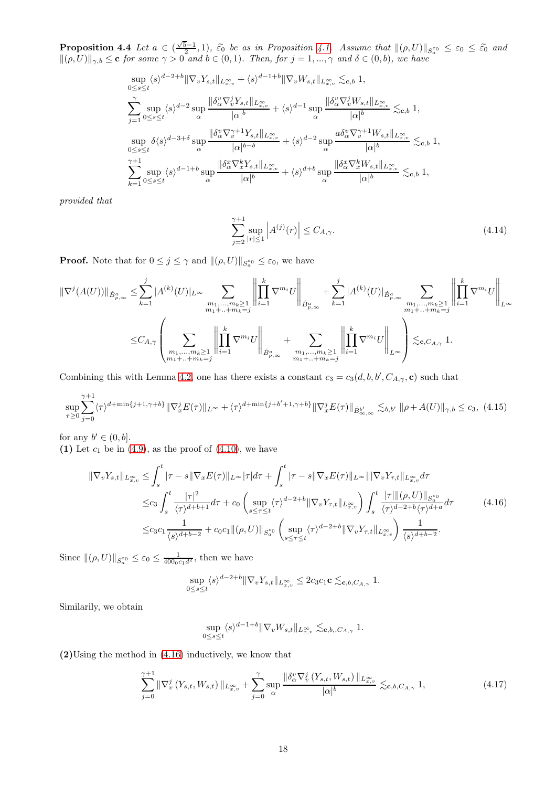**Proposition 4.4** Let  $a \in (\frac{\sqrt{5}-1}{2}, 1)$ ,  $\widetilde{\epsilon_0}$  be as in Proposition [4.1.](#page-15-0) Assume that  $\|(\rho, U)\|_{S_a^{\varepsilon_0}} \leq \varepsilon_0 \leq \widetilde{\epsilon_0}$  and  $\|(\rho, U)\|_{\gamma,b} \leq \mathbf{c}$  for some  $\gamma > 0$  and  $b \in (0, 1)$ . Then, for  $j = 1, ..., \gamma$  and  $\delta \in (0, b)$ , we have

$$
\sup_{0\leq s\leq t}\langle s\rangle^{d-2+b}\|\nabla_vY_{s,t}\|_{L^\infty_{x,v}} + \langle s\rangle^{d-1+b}\|\nabla_vW_{s,t}\|_{L^\infty_{x,v}} \lesssim_{\mathbf{c},b} 1,
$$
\n
$$
\sum_{j=1}^\gamma \sup_{0\leq s\leq t}\langle s\rangle^{d-2}\sup_\alpha \frac{\|\delta^\upsilon_\alpha\nabla^\jmath_\upsilon Y_{s,t}\|_{L^\infty_{x,v}}}{|\alpha|^b} + \langle s\rangle^{d-1}\sup_\alpha \frac{\|\delta^\upsilon_\alpha\nabla^\jmath_\upsilon W_{s,t}\|_{L^\infty_{x,v}}}{|\alpha|^b} \lesssim_{\mathbf{c},b} 1,
$$
\n
$$
\sup_{0\leq s\leq t} \delta\langle s\rangle^{d-3+\delta}\sup_\alpha \frac{\|\delta^\upsilon_\alpha\nabla^\gamma_\upsilon^{+1}Y_{s,t}\|_{L^\infty_{x,v}}}{|\alpha|^{b-\delta}} + \langle s\rangle^{d-2}\sup_\alpha \frac{a\delta^\upsilon_\alpha\nabla^\gamma_\upsilon^{+1}W_{s,t}\|_{L^\infty_{x,v}}}{|\alpha|^b} \lesssim_{\mathbf{c},b} 1,
$$
\n
$$
\sum_{k=1}^{\gamma+1} \sup_{0\leq s\leq t}\langle s\rangle^{d-1+b}\sup_\alpha \frac{\|\delta^\upsilon_\alpha\nabla^\kappa_xY_{s,t}\|_{L^\infty_{x,v}}}{|\alpha|^b} + \langle s\rangle^{d+b}\sup_\alpha \frac{\|\delta^\upsilon_\alpha\nabla^\kappa_xW_{s,t}\|_{L^\infty_{x,v}}}{|\alpha|^b} \lesssim_{\mathbf{c},b} 1,
$$

provided that

$$
\sum_{j=2}^{\gamma+1} \sup_{|r| \le 1} \left| A^{(j)}(r) \right| \le C_{A,\gamma}.\tag{4.14}
$$

**Proof.** Note that for  $0 \leq j \leq \gamma$  and  $\|(\rho, U)\|_{S^{\varepsilon_0}_{a}} \leq \varepsilon_0$ , we have

$$
\begin{split} \|\nabla^{j}(A(U))\|_{\dot{B}^a_{p,\infty}} &\leq \sum_{k=1}^j |A^{(k)}(U)|_{L^\infty} \sum_{\substack{m_1,\ldots,m_k\geq 1\\m_1+\ldots+m_k=j}} \left\| \prod_{i=1}^k \nabla^{m_i} U \right\|_{\dot{B}^a_{p,\infty}} + \sum_{k=1}^j |A^{(k)}(U)|_{\dot{B}^a_{p,\infty}} \sum_{\substack{m_1,\ldots,m_k\geq 1\\m_1+\ldots+m_k=j}} \left\| \prod_{i=1}^k \nabla^{m_i} U \right\|_{L^\infty} \\ &\leq C_{A,\gamma} \left(\sum_{\substack{m_1,\ldots,m_k\geq 1\\m_1+\ldots+m_k=j}} \left\| \prod_{i=1}^k \nabla^{m_i} U \right\|_{\dot{B}^a_{p,\infty}} + \sum_{\substack{m_1,\ldots,m_k\geq 1\\m_1+\ldots+m_k=j}} \left\| \prod_{i=1}^k \nabla^{m_i} U \right\|_{L^\infty} \right) \lesssim_{\mathbf{c},C_{A,\gamma}} 1. \end{split}
$$

Combining this with Lemma [4.2,](#page-15-1) one has there exists a constant  $c_3 = c_3(d, b, b', C_{A,\gamma}, \mathbf{c})$  such that

<span id="page-17-2"></span>
$$
\sup_{\tau\geq 0} \sum_{j=0}^{\gamma+1} \langle \tau \rangle^{d+\min\{j+1,\gamma+b\}} \|\nabla_x^j E(\tau)\|_{L^\infty} + \langle \tau \rangle^{d+\min\{j+b'+1,\gamma+b\}} \|\nabla_x^j E(\tau)\|_{\dot{B}^{b'}_{\infty,\infty}} \lesssim_{b,b'} \|\rho + A(U)\|_{\gamma,b} \leq c_3,
$$
(4.15)

for any  $b' \in (0, b]$ .

(1) Let  $c_1$  be in [\(4.9\)](#page-15-5), as the proof of [\(4.10\)](#page-16-0), we have

$$
\|\nabla_{v} Y_{s,t}\|_{L^{\infty}_{x,v}} \leq \int_{s}^{t} |\tau - s\|\nabla_{x} E(\tau)\|_{L^{\infty}} |\tau| d\tau + \int_{s}^{t} |\tau - s\|\nabla_{x} E(\tau)\|_{L^{\infty}} \|\nabla_{v} Y_{\tau,t}\|_{L^{\infty}_{x,v}} d\tau \n\leq c_3 \int_{s}^{t} \frac{|\tau|^{2}}{\langle \tau \rangle^{d+b+1}} d\tau + c_0 \left( \sup_{s \leq \tau \leq t} \langle \tau \rangle^{d-2+b} \|\nabla_{v} Y_{\tau,t}\|_{L^{\infty}_{x,v}} \right) \int_{s}^{t} \frac{|\tau| \|( \rho, U) \|_{S_{s}^{\varepsilon_{0}}}}{\langle \tau \rangle^{d-2+b} \langle \tau \rangle^{d+a}} d\tau \n\leq c_3 c_1 \frac{1}{\langle s \rangle^{d+b-2}} + c_0 c_1 \|(\rho, U)\|_{S_{a}^{\varepsilon_{0}}}\left( \sup_{s \leq \tau \leq t} \langle \tau \rangle^{d-2+b} \|\nabla_{v} Y_{\tau,t}\|_{L^{\infty}_{x,v}} \right) \frac{1}{\langle s \rangle^{d+b-2}}.
$$
\n(4.16)

Since  $\|(\rho, U)\|_{S^{\varepsilon_0}_a} \leq \varepsilon_0 \leq \frac{1}{400_0c_1d^2}$ , then we have

$$
\sup_{0\leq s\leq t} \langle s \rangle^{d-2+b} \|\nabla_v Y_{s,t}\|_{L^\infty_{x,v}} \leq 2c_3 c_1 \mathbf{c} \lesssim_{\mathbf{c},b,C_{A,\gamma}} 1.
$$

Similarily, we obtain

<span id="page-17-1"></span><span id="page-17-0"></span>
$$
\sup_{0\leq s\leq t} \langle s \rangle^{d-1+b} \|\nabla_v W_{s,t}\|_{L^\infty_{x,v}} \lesssim_{\mathbf{c},b,C_{A,\gamma}} 1.
$$

(2)Using the method in [\(4.16\)](#page-17-0) inductively, we know that

$$
\sum_{j=0}^{\gamma+1} \|\nabla_v^j(Y_{s,t}, W_{s,t})\|_{L^{\infty}_{x,v}} + \sum_{j=0}^{\gamma} \sup_{\alpha} \frac{\|\delta^v_{\alpha} \nabla_v^j(Y_{s,t}, W_{s,t})\|_{L^{\infty}_{x,v}}}{|\alpha|^b} \lesssim_{\mathbf{c}, b, C_{A,\gamma}} 1,
$$
\n(4.17)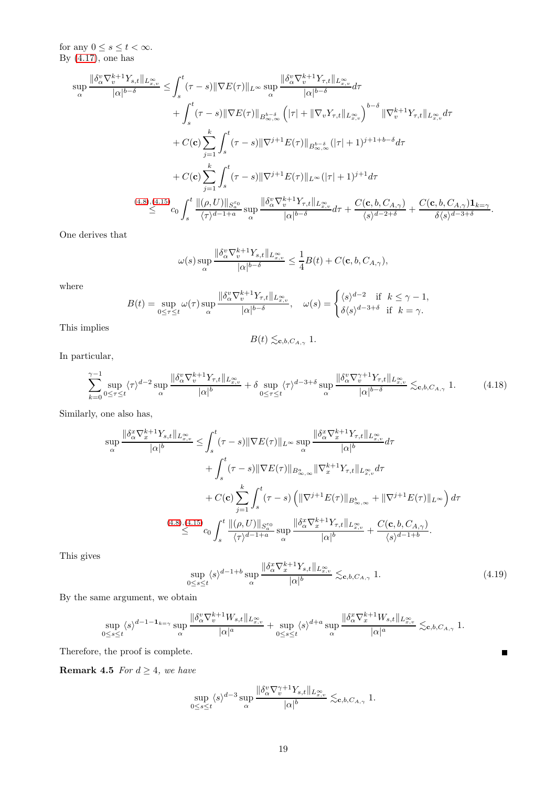for any  $0 \leq s \leq t < \infty$ . By  $(4.17)$ , one has

$$
\sup_{\alpha} \frac{\|\delta_{\alpha}^{v}\nabla_{v}^{k+1}Y_{s,t}\|_{L^{\infty}_{x,v}}}{|\alpha|^{b-\delta}} \leq \int_{s}^{t} (\tau-s)\|\nabla E(\tau)\|_{L^{\infty}} \sup_{\alpha} \frac{\|\delta_{\alpha}^{v}\nabla_{v}^{k+1}Y_{\tau,t}\|_{L^{\infty}_{x,v}}}{|\alpha|^{b-\delta}} d\tau + \int_{s}^{t} (\tau-s)\|\nabla E(\tau)\|_{B^{b-\delta}_{\infty,\infty}} \left(|\tau| + \|\nabla_{v}Y_{\tau,t}\|_{L^{\infty}_{x,v}}\right)^{b-\delta} \|\nabla_{v}^{k+1}Y_{\tau,t}\|_{L^{\infty}_{x,v}} d\tau + C(\mathbf{c}) \sum_{j=1}^{k} \int_{s}^{t} (\tau-s)\|\nabla^{j+1} E(\tau)\|_{B^{b-\delta}_{\infty,\infty}} (|\tau|+1)^{j+1+b-\delta} d\tau + C(\mathbf{c}) \sum_{j=1}^{k} \int_{s}^{t} (\tau-s)\|\nabla^{j+1} E(\tau)\|_{L^{\infty}} (|\tau|+1)^{j+1} d\tau \stackrel{(4.8),(4.15)}{\leq} c_0 \int_{s}^{t} \frac{\|(\rho, U)\|_{S^{s_0}_{\infty}}}{\langle \tau \rangle^{d-1+a}} \sup_{\alpha} \frac{\|\delta_{\alpha}^{v}\nabla_{v}^{k+1}Y_{\tau,t}\|_{L^{\infty}_{x,v}}}{|\alpha|^{b-\delta}} d\tau + \frac{C(\mathbf{c}, b, C_{A,\gamma})}{\langle s \rangle^{d-2+\delta}} + \frac{C(\mathbf{c}, b, C_{A,\gamma})\mathbf{1}_{k=\gamma}}{\delta\langle s \rangle^{d-3+\delta}}.
$$

One derives that

$$
\omega(s) \sup_{\alpha} \frac{\|\delta_{\alpha}^v \nabla_v^{k+1} Y_{s,t}\|_{L^{\infty}_{x,v}}}{|\alpha|^{b-\delta}} \leq \frac{1}{4} B(t) + C(\mathbf{c}, b, C_{A,\gamma}),
$$

where

$$
B(t)=\sup_{0\leq \tau\leq t}\omega(\tau)\sup_{\alpha}\frac{\|\delta_{\alpha}^v\nabla_{v}^{k+1}Y_{\tau,t}\|_{L^{\infty}_{x,v}}}{|\alpha|^{b-\delta}},\quad \omega(s)=\begin{cases} \langle s\rangle^{d-2} \quad \text{if} \quad k\leq \gamma-1,\\ \delta\langle s\rangle^{d-3+\delta} \quad \text{if} \quad k=\gamma. \end{cases}
$$

This implies

$$
B(t) \lesssim_{{\bf c},b,C_{A,\gamma}} 1.
$$

In particular,

$$
\sum_{k=0}^{\gamma-1} \sup_{0 \le \tau \le t} \langle \tau \rangle^{d-2} \sup_{\alpha} \frac{\|\delta_{\alpha}^v \nabla_v^{k+1} Y_{\tau,t}\|_{L^{\infty}_{x,v}}}{|\alpha|^b} + \delta \sup_{0 \le \tau \le t} \langle \tau \rangle^{d-3+\delta} \sup_{\alpha} \frac{\|\delta_{\alpha}^v \nabla_v^{\gamma+1} Y_{\tau,t}\|_{L^{\infty}_{x,v}}}{|\alpha|^{b-\delta}} \lesssim_{\mathbf{c},b,C_{A,\gamma}} 1. \tag{4.18}
$$

Similarly, one also has,

$$
\sup_{\alpha} \frac{\|\delta_{\alpha}^{x} \nabla_{x}^{k+1} Y_{s,t}\|_{L^{\infty}_{x,v}}}{|\alpha|^{b}} \leq \int_{s}^{t} (\tau - s) \|\nabla E(\tau)\|_{L^{\infty}} \sup_{\alpha} \frac{\|\delta_{\alpha}^{x} \nabla_{x}^{k+1} Y_{\tau,t}\|_{L^{\infty}_{x,v}}}{|\alpha|^{b}} d\tau + \int_{s}^{t} (\tau - s) \|\nabla E(\tau)\|_{B^{a}_{\infty,\infty}} \|\nabla_{x}^{k+1} Y_{\tau,t}\|_{L^{\infty}_{x,v}} d\tau + C(\mathbf{c}) \sum_{j=1}^{k} \int_{s}^{t} (\tau - s) \left( \|\nabla^{j+1} E(\tau)\|_{B^{b}_{\infty,\infty}} + \|\nabla^{j+1} E(\tau)\|_{L^{\infty}} \right) d\tau \n\leq \sum_{j=1}^{(4.8),(4.15)} c_0 \int_{s}^{t} \frac{\|(\rho, U)\|_{S^{s}_{\alpha}0}}{\langle \tau \rangle^{d-1+a}} \sup_{\alpha} \frac{\|\delta_{\alpha}^{x} \nabla_{x}^{k+1} Y_{\tau,t}\|_{L^{\infty}_{x,v}}}{|\alpha|^{b}} + \frac{C(\mathbf{c}, b, C_{A,\gamma})}{\langle s \rangle^{d-1+b}}.
$$

This gives

$$
\sup_{0\leq s\leq t} \langle s \rangle^{d-1+b} \sup_{\alpha} \frac{\|\delta_{\alpha}^x \nabla_x^{k+1} Y_{s,t}\|_{L^{\infty}_{x,v}}}{|\alpha|^b} \lesssim_{\mathbf{c},b,C_{A,\gamma}} 1.
$$
\n(4.19)

 $\blacksquare$ 

By the same argument, we obtain

$$
\sup_{0\leq s\leq t}\langle s\rangle^{d-1-{\bf 1}_{k=\gamma}}\sup_\alpha\frac{\|\delta^\upsilon_\alpha\nabla^{k+1}_\upsilon W_{s,t}\|_{L^\infty_{x,v}}}{|\alpha|^a}+\sup_{0\leq s\leq t}\langle s\rangle^{d+a}\sup_\alpha\frac{\|\delta^\upsilon_\alpha\nabla^{k+1}_xW_{s,t}\|_{L^\infty_{x,v}}}{|\alpha|^a}\lesssim_{{\bf c},b,C_{A,\gamma}}1.
$$

Therefore, the proof is complete.

<span id="page-18-0"></span>Remark 4.5 For  $d \geq 4$ , we have

$$
\sup_{0\leq s\leq t}\langle s\rangle^{d-3}\sup_{\alpha}\frac{\|\delta_{\alpha}^{v}\nabla_{v}^{\gamma+1}Y_{s,t}\|_{L^{\infty}_{x,v}}}{|\alpha|^b}\lesssim_{\mathbf{c},b,C_{A,\gamma}}1.
$$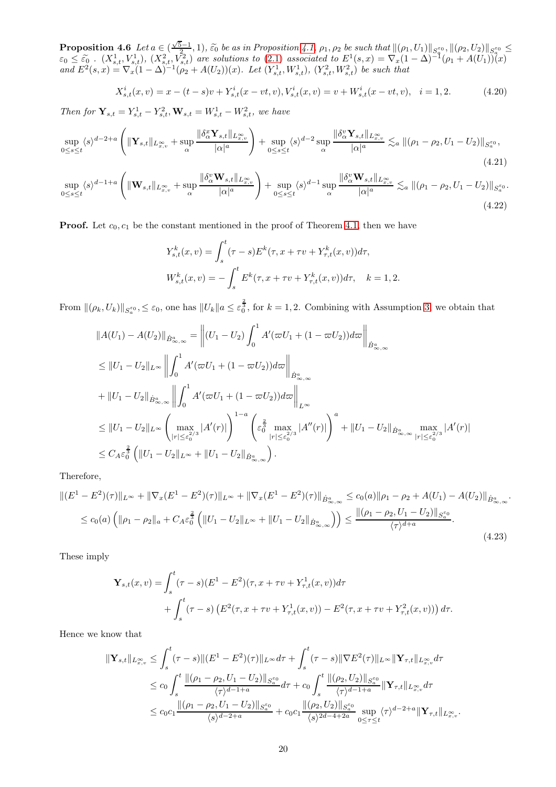**Proposition 4.6** Let  $a \in (\frac{\sqrt{5}-1}{2}, 1)$ ,  $\widetilde{\epsilon_0}$  be as in Proposition [4.1,](#page-15-0)  $\rho_1, \rho_2$  be such that  $\|(\rho_1, U_1)\|_{S_0^{\varepsilon_0}}, \|( \rho_2, U_2)\|_{S_0^{\varepsilon_0}} \le$ <br> $\varepsilon_0 \leq \widetilde{\epsilon_0}$ .  $(X^1_{s,t}, V^1_{s,t})$ ,  $(X^2_{s,t}, V^2_{s,t})$  are so and  $E^2(s,x) = \nabla_x (1-\Delta)^{-1} (\rho_2 + A(U_2))(x)$ . Let  $(Y_{s,t}^1, W_{s,t}^1), (Y_{s,t}^2, W_{s,t}^2)$  be such that

$$
X_{s,t}^i(x,v) = x - (t-s)v + Y_{s,t}^i(x-vt,v), V_{s,t}^i(x,v) = v + W_{s,t}^i(x-vt,v), \quad i = 1,2.
$$
 (4.20)

Then for  $\mathbf{Y}_{s,t} = Y_{s,t}^1 - Y_{s,t}^2$ ,  $\mathbf{W}_{s,t} = W_{s,t}^1 - W_{s,t}^2$ , we have

$$
\sup_{0\leq s\leq t} \langle s \rangle^{d-2+a} \left( \|\mathbf{Y}_{s,t}\|_{L^{\infty}_{x,v}} + \sup_{\alpha} \frac{\|\delta^x_{\alpha} \mathbf{Y}_{s,t}\|_{L^{\infty}_{x,v}}}{|\alpha|^a} \right) + \sup_{0\leq s\leq t} \langle s \rangle^{d-2} \sup_{\alpha} \frac{\|\delta^v_{\alpha} \mathbf{Y}_{s,t}\|_{L^{\infty}_{x,v}}}{|\alpha|^a} \lesssim_a \|(\rho_1 - \rho_2, U_1 - U_2)\|_{S^{\varepsilon_0}_{a}},\tag{4.21}
$$

$$
\sup_{0\leq s\leq t} \langle s \rangle^{d-1+a} \left( \|\mathbf{W}_{s,t}\|_{L^{\infty}_{x,v}} + \sup_{\alpha} \frac{\|\delta^v_{\alpha} \mathbf{W}_{s,t}\|_{L^{\infty}_{x,v}}}{|\alpha|^a} \right) + \sup_{0\leq s\leq t} \langle s \rangle^{d-1} \sup_{\alpha} \frac{\|\delta^v_{\alpha} \mathbf{W}_{s,t}\|_{L^{\infty}_{x,v}}}{|\alpha|^a} \lesssim_a \|(\rho_1 - \rho_2, U_1 - U_2)\|_{S^{\varepsilon_0}_a}.
$$
\n(4.22)

**Proof.** Let  $c_0, c_1$  be the constant mentioned in the proof of Theorem [4.1,](#page-15-0) then we have

<span id="page-19-1"></span><span id="page-19-0"></span>
$$
Y_{s,t}^{k}(x,v) = \int_{s}^{t} (\tau - s) E^{k}(\tau, x + \tau v + Y_{\tau,t}^{k}(x,v)) d\tau,
$$
  

$$
W_{s,t}^{k}(x,v) = -\int_{s}^{t} E^{k}(\tau, x + \tau v + Y_{\tau,t}^{k}(x,v)) d\tau, \quad k = 1, 2.
$$

From  $\|(\rho_k, U_k)\|_{S^{\varepsilon_0}_\alpha}, \leq \varepsilon_0$ , one has  $\|U_k\|_{\alpha} \leq \varepsilon_0^{\frac{2}{3}}$ , for  $k = 1, 2$ . Combining with Assumption [3,](#page-1-0) we obtain that

$$
||A(U_1) - A(U_2)||_{\dot{B}^a_{\infty,\infty}} = \left|| (U_1 - U_2) \int_0^1 A'(\varpi U_1 + (1 - \varpi U_2)) d\varpi \right||_{\dot{B}^a_{\infty,\infty}}
$$
  
\n
$$
\leq ||U_1 - U_2||_{L^{\infty}} \left|| \int_0^1 A'(\varpi U_1 + (1 - \varpi U_2)) d\varpi \right||_{\dot{B}^a_{\infty,\infty}}
$$
  
\n
$$
+ ||U_1 - U_2||_{\dot{B}^a_{\infty,\infty}} \left|| \int_0^1 A'(\varpi U_1 + (1 - \varpi U_2)) d\varpi \right||_{L^{\infty}}
$$
  
\n
$$
\leq ||U_1 - U_2||_{L^{\infty}} \left(\max_{|r| \leq \varepsilon_0^{2/3}} |A'(r)|\right)^{1-a} \left(\varepsilon_0^{\frac{2}{3}} \max_{|r| \leq \varepsilon_0^{2/3}} |A''(r)|\right)^a + ||U_1 - U_2||_{\dot{B}^a_{\infty,\infty}} \max_{|r| \leq \varepsilon_0^{2/3}} |A'(r)|
$$
  
\n
$$
\leq C_A \varepsilon_0^{\frac{2}{3}} \left(\|U_1 - U_2\|_{L^{\infty}} + \|U_1 - U_2\|_{\dot{B}^a_{\infty,\infty}}\right).
$$

Therefore,

$$
\|(E^1 - E^2)(\tau)\|_{L^{\infty}} + \|\nabla_x (E^1 - E^2)(\tau)\|_{L^{\infty}} + \|\nabla_x (E^1 - E^2)(\tau)\|_{\dot{B}^a_{\infty,\infty}} \le c_0(a) \|\rho_1 - \rho_2 + A(U_1) - A(U_2)\|_{\dot{B}^a_{\infty,\infty}}.
$$
  

$$
\le c_0(a) \left( \|\rho_1 - \rho_2\|_a + C_A \varepsilon_0^{\frac{2}{3}} \left( \|U_1 - U_2\|_{L^{\infty}} + \|U_1 - U_2\|_{\dot{B}^a_{\infty,\infty}} \right) \right) \le \frac{\|(\rho_1 - \rho_2, U_1 - U_2)\|_{S^{\varepsilon_0}_a}}{\langle \tau \rangle^{d+a}}.
$$
\n(4.23)

These imply

$$
\mathbf{Y}_{s,t}(x,v) = \int_{s}^{t} (\tau - s)(E^1 - E^2)(\tau, x + \tau v + Y_{\tau,t}^1(x,v))d\tau + \int_{s}^{t} (\tau - s) (E^2(\tau, x + \tau v + Y_{\tau,t}^1(x,v)) - E^2(\tau, x + \tau v + Y_{\tau,t}^2(x,v))) d\tau.
$$

Hence we know that

$$
\begin{split} \|\mathbf{Y}_{s,t}\|_{L^{\infty}_{x,v}} &\leq \int_{s}^{t} (\tau-s) \| (E^{1}-E^{2})(\tau)\|_{L^{\infty}} d\tau + \int_{s}^{t} (\tau-s) \| \nabla E^{2}(\tau)\|_{L^{\infty}} \|\mathbf{Y}_{\tau,t}\|_{L^{\infty}_{x,v}} d\tau \\ &\leq c_{0} \int_{s}^{t} \frac{\|(\rho_{1}-\rho_{2},U_{1}-U_{2})\|_{S^{ \varepsilon_{0}}_{a} }}{\langle \tau \rangle^{d-1+a}} d\tau + c_{0} \int_{s}^{t} \frac{\|(\rho_{2},U_{2})\|_{S^{ \varepsilon_{0}}_{a} }}{\langle \tau \rangle^{d-1+a}} \|\mathbf{Y}_{\tau,t}\|_{L^{\infty}_{x,v}} d\tau \\ &\leq c_{0} c_{1} \frac{\|(\rho_{1}-\rho_{2},U_{1}-U_{2})\|_{S^{ \varepsilon_{0}}_{a} }}{\langle s \rangle^{d-2+a}} + c_{0} c_{1} \frac{\|(\rho_{2},U_{2})\|_{S^{ \varepsilon_{0}}_{a} }}{\langle s \rangle^{2d-4+2a}} \sup_{0\leq \tau \leq t} \langle \tau \rangle^{d-2+a} \|\mathbf{Y}_{\tau,t}\|_{L^{\infty}_{x,v}}. \end{split}
$$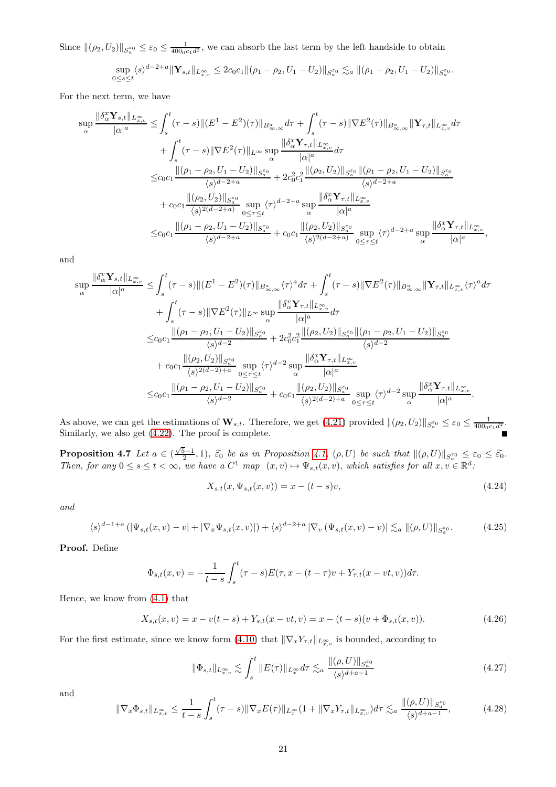Since  $\|(\rho_2, U_2)\|_{S_0^{\varepsilon_0}} \leq \varepsilon_0 \leq \frac{1}{400_0 c_1 d^2}$ , we can absorb the last term by the left handside to obtain

$$
\sup_{0 \le s \le t} \langle s \rangle^{d-2+a} \|\mathbf{Y}_{s,t}\|_{L^{\infty}_{x,v}} \le 2c_0 c_1 \|(\rho_1 - \rho_2, U_1 - U_2)\|_{S^{\varepsilon_0}_a} \lesssim_a \|(\rho_1 - \rho_2, U_1 - U_2)\|_{S^{\varepsilon_0}_a}
$$

.

For the next term, we have

$$
\begin{split} \sup_{\alpha}\frac{\|\delta_{\alpha}^x\mathbf{Y}_{s,t}\|_{L^{\infty}_{x,v}}}{|\alpha|^{a}} &\leq \int_{s}^{t}(\tau-s)\|(E^{1}-E^{2})(\tau)\|_{B^a_{\infty,\infty}}d\tau+\int_{s}^{t}(\tau-s)\|\nabla E^{2}(\tau)\|_{B^a_{\infty,\infty}}\|\mathbf{Y}_{\tau,t}\|_{L^{\infty}_{x,v}}d\tau\\ &+\int_{s}^{t}(\tau-s)\|\nabla E^{2}(\tau)\|_{L^{\infty}}\sup_{\alpha}\frac{\|\delta_{\alpha}^x\mathbf{Y}_{\tau,t}\|_{L^{\infty}_{x,v}}}{|\alpha|^{a}}d\tau\\ \leq & c_{0}c_{1}\frac{\|(\rho_{1}-\rho_{2},U_{1}-U_{2})\|_{S^{\varepsilon_{0}}_{a}}}{\langle s\rangle^{d-2+a}}+2c_{0}^{2}c_{1}^{2}\frac{\|(\rho_{2},U_{2})\|_{S^{\varepsilon_{0}}_{a}}\|(\rho_{1}-\rho_{2},U_{1}-U_{2})\|_{S^{\varepsilon_{0}}_{a}}}{\langle s\rangle^{d-2+a}}\\ &+c_{0}c_{1}\frac{\|(\rho_{2},U_{2})\|_{S^{\varepsilon_{0}}_{a}}}{\langle s\rangle^{2(d-2+a)}}\sup_{0\leq\tau\leq t}\langle\tau\rangle^{d-2+a}\sup_{\alpha}\frac{\|\delta_{\alpha}^x\mathbf{Y}_{\tau,t}\|_{L^{\infty}_{x,v}}}{|\alpha|^{a}}\\ \leq & c_{0}c_{1}\frac{\|(\rho_{1}-\rho_{2},U_{1}-U_{2})\|_{S^{\varepsilon_{0}}_{a}}}{\langle s\rangle^{d-2+a}}+c_{0}c_{1}\frac{\|(\rho_{2},U_{2})\|_{S^{\varepsilon_{0}}_{a}}}{\langle s\rangle^{2(d-2+a)}}\sup_{0\leq\tau\leq t}\langle\tau\rangle^{d-2+a}\sup_{\alpha}\frac{\|\delta_{\alpha}^x\mathbf{Y}_{\tau,t}\|_{L^{\infty}_{x,v}}}{|\alpha|^{a}}, \end{split}
$$

and

$$
\sup_{\alpha} \frac{\|\delta_{\alpha}^{v}\mathbf{Y}_{s,t}\|_{L^{\infty}_{x,v}}}{|\alpha|^{a}} \leq \int_{s}^{t} (\tau-s) \| (E^{1}-E^{2})(\tau)\|_{B^a_{\infty,\infty}} \langle \tau \rangle^{a} d\tau + \int_{s}^{t} (\tau-s) \| \nabla E^{2}(\tau) \|_{B^a_{\infty,\infty}} \| \mathbf{Y}_{\tau,t} \|_{L^{\infty}_{x,v}} \langle \tau \rangle^{a} d\tau + \int_{s}^{t} (\tau-s) \| \nabla E^{2}(\tau) \|_{L^{\infty}} \sup_{\alpha} \frac{\|\delta_{\alpha}^{v}\mathbf{Y}_{\tau,t}\|_{L^{\infty}_{x,v}}}{|\alpha|^{a}} d\tau \n\leq c_{0}c_{1} \frac{\|(\rho_{1}-\rho_{2}, U_{1}-U_{2})\|_{S^{\varepsilon_{0}}_{a}}}{\langle s \rangle^{d-2}} + 2c_{0}^{2}c_{1}^{2} \frac{\|(\rho_{2}, U_{2})\|_{S^{\varepsilon_{0}}_{a}} \|\rho_{1}-\rho_{2}, U_{1}-U_{2})\|_{S^{\varepsilon_{0}}_{a}}}{\langle s \rangle^{d-2}} + c_{0}c_{1} \frac{\|(\rho_{2}, U_{2})\|_{S^{\varepsilon_{0}}_{a}}}{\langle s \rangle^{2(d-2)+a}} \sup_{0 \leq \tau \leq t} \langle \tau \rangle^{d-2} \sup_{\alpha} \frac{\|\delta_{\alpha}^{x}\mathbf{Y}_{\tau,t}\|_{L^{\infty}_{x,v}}}{|\alpha|^{a}} \n\leq c_{0}c_{1} \frac{\|(\rho_{1}-\rho_{2}, U_{1}-U_{2})\|_{S^{\varepsilon_{0}}_{a}}}{\langle s \rangle^{d-2}} + c_{0}c_{1} \frac{\|(\rho_{2}, U_{2})\|_{S^{\varepsilon_{0}}_{a}}}{\langle s \rangle^{2(d-2)+a}} \sup_{0 \leq \tau \leq t} \langle \tau \rangle^{d-2} \sup_{\alpha} \frac{\|\delta_{\alpha}^{x}\mathbf{Y}_{\tau,t}\|_{L^{\infty}_{x,v}}}{|\alpha|^{a}}.
$$

As above, we can get the estimations of  $\mathbf{W}_{s,t}$ . Therefore, we get [\(4.21\)](#page-19-0) provided  $\|(\rho_2, U_2)\|_{S_0^{\varepsilon_0}} \leq \varepsilon_0 \leq \frac{1}{400_0 c_1 d^2}$ . Similarly, we also get [\(4.22\)](#page-19-1). The proof is complete.

**Proposition 4.7** Let  $a \in (\frac{\sqrt{5}-1}{2}, 1)$ ,  $\tilde{\epsilon_0}$  be as in Proposition [4.1,](#page-15-0)  $(\rho, U)$  be such that  $\|(\rho, U)\|_{S_a^{\varepsilon_0}} \leq \varepsilon_0 \leq \tilde{\epsilon_0}$ . Then, for any  $0 \le s \le t < \infty$ , we have a  $C^1$  map  $(x, v) \mapsto \Psi_{s,t}(x, v)$ , which satisfies for all  $x, v \in \mathbb{R}^d$ .

<span id="page-20-0"></span>
$$
X_{s,t}(x, \Psi_{s,t}(x, v)) = x - (t - s)v,
$$
\n(4.24)

and

<span id="page-20-2"></span>
$$
\langle s \rangle^{d-1+a} \left( |\Psi_{s,t}(x,v) - v| + |\nabla_x \Psi_{s,t}(x,v)| \right) + \langle s \rangle^{d-2+a} \left| \nabla_v \left( \Psi_{s,t}(x,v) - v \right) \right| \lesssim_a \| (\rho, U) \|_{S_a^{\varepsilon_0}}.
$$
 (4.25)

Proof. Define

$$
\Phi_{s,t}(x,v) = -\frac{1}{t-s} \int_s^t (\tau - s) E(\tau, x - (t - \tau)v + Y_{\tau,t}(x - vt, v)) d\tau.
$$

Hence, we know from [\(4.1\)](#page-14-0) that

$$
X_{s,t}(x,v) = x - v(t-s) + Y_{s,t}(x - vt, v) = x - (t-s)(v + \Phi_{s,t}(x,v)).
$$
\n(4.26)

For the first estimate, since we know form [\(4.10\)](#page-16-0) that  $\|\nabla_x Y_{\tau,t}\|_{L^{\infty}_{x,v}}$  is bounded, according to

<span id="page-20-1"></span>
$$
\|\Phi_{s,t}\|_{L^{\infty}_{x,v}} \lesssim \int_s^t \|E(\tau)\|_{L^{\infty}_x} d\tau \lesssim_a \frac{\|(\rho, U)\|_{S^{\varepsilon_0}_a}}{\langle s \rangle^{d+a-1}} \tag{4.27}
$$

and

$$
\|\nabla_x \Phi_{s,t}\|_{L^{\infty}_{x,v}} \leq \frac{1}{t-s} \int_s^t (\tau-s) \|\nabla_x E(\tau)\|_{L^{\infty}_x} (1+ \|\nabla_x Y_{\tau,t}\|_{L^{\infty}_{x,v}}) d\tau \lesssim_a \frac{\|(\rho, U)\|_{S^{\varepsilon_0}_a}}{\langle s \rangle^{d+a-1}},
$$
(4.28)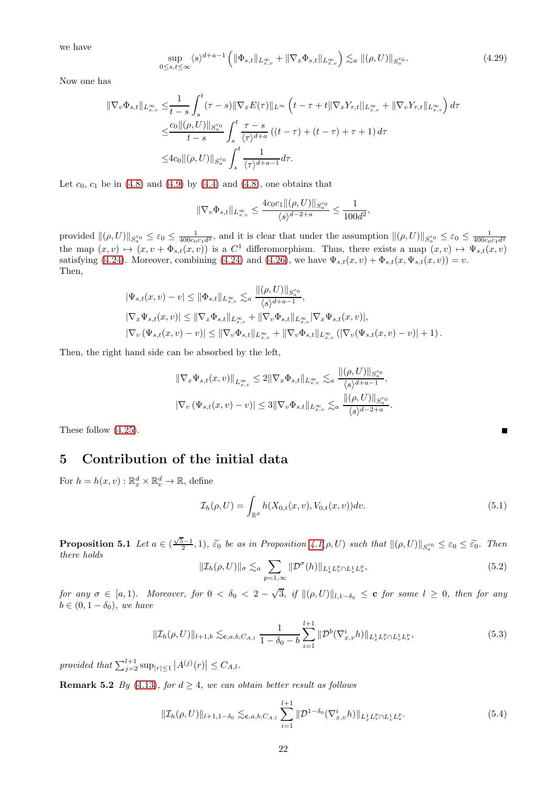we have

$$
\sup_{0\leq s,t\leq\infty} \langle s \rangle^{d+a-1} \left( \|\Phi_{s,t}\|_{L^{\infty}_{x,v}} + \|\nabla_x \Phi_{s,t}\|_{L^{\infty}_{x,v}} \right) \lesssim_a \|(\rho, U)\|_{S^{\varepsilon_0}_a}.
$$
\n(4.29)

Now one has

$$
\begin{split} \|\nabla_v \Phi_{s,t}\|_{L^{\infty}_{x,v}} &\leq \frac{1}{t-s} \int_s^t (\tau-s) \|\nabla_x E(\tau)\|_{L^{\infty}} \left( t-\tau+t \|\nabla_x Y_{\tau,t}\|_{L^{\infty}_{x,v}} + \|\nabla_v Y_{\tau,t}\|_{L^{\infty}_{x,v}} \right) d\tau \\ &\leq \frac{c_0 \|(\rho,U)\|_{S^{\varepsilon_0}_{a}}}{t-s} \int_s^t \frac{\tau-s}{\langle \tau \rangle^{d+a}} \left( (t-\tau)+(t-\tau)+\tau+1 \right) d\tau \\ &\leq 4c_0 \|(\rho,U)\|_{S^{\varepsilon_0}_{a}} \int_s^t \frac{1}{\langle \tau \rangle^{d+a-1}} d\tau. \end{split}
$$

Let  $c_0, c_1$  be in [\(4.8\)](#page-15-2) and [\(4.9\)](#page-15-5) by [\(4.4\)](#page-15-3) and (4.8), one obtains that

$$
\|\nabla_v \Phi_{s,t}\|_{L^{\infty}_{x,v}} \le \frac{4c_0c_1 \|\langle \rho, U \rangle\|_{S^{\varepsilon_0}_a}}{\langle s \rangle^{d-2+a}} \le \frac{1}{100d^2},
$$

provided  $\|(\rho, U)\|_{S^{\varepsilon_0}_a} \leq \varepsilon_0 \leq \frac{1}{400c_0c_1d^2}$ , and it is clear that under the assumption  $\|(\rho, U)\|_{S^{\varepsilon_0}_a} \leq \varepsilon_0 \leq \frac{1}{400c_0c_1d^2}$ the map  $(x, v) \mapsto (x, v + \Phi_{s,t}(x, v))$  is a  $C^1$  differomorphism. Thus, there exists a map  $(x, v) \mapsto \Psi_{s,t}(x, v)$ satisfying [\(4.24\)](#page-20-0). Moreover, combining (4.24) and [\(4.26\)](#page-20-1), we have  $\Psi_{s,t}(x, v) + \Phi_{s,t}(x, \Psi_{s,t}(x, v)) = v$ . Then,

$$
\begin{split} &|\Psi_{s,t}(x,v)-v| \leq \|\Phi_{s,t}\|_{L^{\infty}_{x,v}} \lesssim_{a} \frac{\|(\rho,U)\|_{S^{\varepsilon_0}_{a}}}{\langle s\rangle^{d+a-1}},\\ &|\nabla_x \Psi_{s,t}(x,v)| \leq \|\nabla_x \Phi_{s,t}\|_{L^{\infty}_{x,v}} + \|\nabla_v \Phi_{s,t}\|_{L^{\infty}_{x,v}}|\nabla_x \Psi_{s,t}(x,v)|,\\ &|\nabla_v (\Psi_{s,t}(x,v)-v)| \leq \|\nabla_v \Phi_{s,t}\|_{L^{\infty}_{x,v}} + \|\nabla_v \Phi_{s,t}\|_{L^{\infty}_{x,v}} \left(\left|\nabla_v (\Psi_{s,t}(x,v)-v)\right|+1\right). \end{split}
$$

Then, the right hand side can be absorbed by the left,

$$
\|\nabla_x \Psi_{s,t}(x,v)\|_{L^{\infty}_{x,v}} \leq 2\|\nabla_x \Phi_{s,t}\|_{L^{\infty}_{x,v}} \lesssim_a \frac{\|(\rho, U)\|_{S^{\varepsilon_0}_{a}}}{\langle s \rangle^{d+a-1}},
$$
  

$$
|\nabla_v (\Psi_{s,t}(x,v) - v)| \leq 3\|\nabla_v \Phi_{s,t}\|_{L^{\infty}_{x,v}} \lesssim_a \frac{\|(\rho, U)\|_{S^{\varepsilon_0}_{a}}}{\langle s \rangle^{d-2+a}}.
$$

These follow [\(4.25\)](#page-20-2).

#### 5 Contribution of the initial data

For  $h = h(x, v) : \mathbb{R}_x^d \times \mathbb{R}_v^d \to \mathbb{R}$ , define

$$
\mathcal{I}_h(\rho, U) = \int_{\mathbb{R}^d} h(X_{0,t}(x, v), V_{0,t}(x, v)) dv.
$$
\n(5.1)

<span id="page-21-2"></span>**Proposition 5.1** Let  $a \in (\frac{\sqrt{5}-1}{2}, 1)$ ,  $\widetilde{\epsilon_0}$  be as in Proposition [4.1](#page-15-0)( $\rho$ , U) such that  $\|(\rho, U)\|_{S^{\varepsilon_0}} \leq \varepsilon_0 \leq \widetilde{\epsilon_0}$ . Then there holds

<span id="page-21-0"></span>
$$
\|\mathcal{I}_h(\rho, U)\|_{\sigma} \lesssim_a \sum_{p=1,\infty} \|\mathcal{D}^{\sigma}(h)\|_{L^1_x L^p_v \cap L^1_v L^p_x},\tag{5.2}
$$

for any  $\sigma \in [a,1)$ . Moreover, for  $0 < \delta_0 < 2 - \sqrt{3}$ , if  $\|(\rho, U)\|_{l,1-\delta_0} \leq c$  for some  $l \geq 0$ , then for any  $b \in (0, 1 - \delta_0)$ , we have

<span id="page-21-1"></span>
$$
\|\mathcal{I}_h(\rho, U)\|_{l+1,b} \lesssim_{\mathbf{c},a,b,C_{A,l}} \frac{1}{1 - \delta_0 - b} \sum_{i=1}^{l+1} \|\mathcal{D}^b(\nabla_{x,v}^i h)\|_{L_x^1 L_v^p \cap L_v^1 L_x^p},\tag{5.3}
$$

provided that  $\sum_{j=2}^{l+1} \sup_{|r| \leq 1} |A^{(j)}(r)| \leq C_{A,l}$ .

**Remark 5.2** By [\(4.13\)](#page-16-2), for  $d \geq 4$ , we can obtain better result as follows

$$
\|\mathcal{I}_h(\rho, U)\|_{l+1, 1-\delta_0} \lesssim_{\mathbf{c}, a, b, C_{A,l}} \sum_{i=1}^{l+1} \|\mathcal{D}^{1-\delta_0}(\nabla_{x,v}^i h)\|_{L_x^1 L_v^p \cap L_v^1 L_x^p}.
$$
\n(5.4)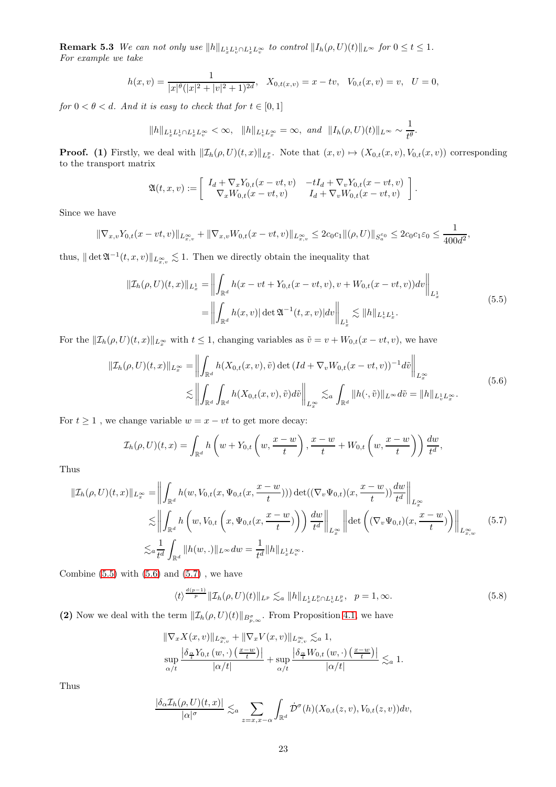**Remark 5.3** We can not only use  $||h||_{L_x^1 L_v^1 \cap L_x^1 L_v^{\infty}}$  to control  $||I_h(\rho, U)(t)||_{L^{\infty}}$  for  $0 \le t \le 1$ . For example we take

$$
h(x,v) = \frac{1}{|x|^{\theta}(|x|^2 + |v|^2 + 1)^{2d}}, \quad X_{0,t(x,v)} = x - tv, \quad V_{0,t}(x,v) = v, \quad U = 0,
$$

for  $0 < \theta < d$ . And it is easy to check that for  $t \in [0,1]$ 

$$
||h||_{L_x^1 L_v^1 \cap L_x^1 L_v^{\infty}} < \infty, \quad ||h||_{L_v^1 L_x^{\infty}} = \infty, \text{ and } ||I_h(\rho, U)(t)||_{L^{\infty}} \sim \frac{1}{t^{\theta}}.
$$

**Proof.** (1) Firstly, we deal with  $\|\mathcal{I}_h(\rho, U)(t, x)\|_{L_x^p}$ . Note that  $(x, v) \mapsto (X_{0,t}(x, v), V_{0,t}(x, v))$  corresponding to the transport matrix

$$
\mathfrak{A}(t,x,v) := \left[ \begin{array}{cc} I_d + \nabla_x Y_{0,t}(x-vt,v) & -tI_d + \nabla_v Y_{0,t}(x-vt,v) \\ \nabla_x W_{0,t}(x-vt,v) & I_d + \nabla_v W_{0,t}(x-vt,v) \end{array} \right].
$$

Since we have

$$
\|\nabla_{x,v}Y_{0,t}(x-vt,v)\|_{L^{\infty}_{x,v}}+\|\nabla_{x,v}W_{0,t}(x-vt,v)\|_{L^{\infty}_{x,v}}\leq 2c_0c_1\|(\rho,U)\|_{S^{\varepsilon_0}_{a}}\leq 2c_0c_1\varepsilon_0\leq \frac{1}{400d^2},
$$

thus,  $\|\det \mathfrak{A}^{-1}(t, x, v)\|_{L^\infty_{x,v}} \lesssim 1$ . Then we directly obtain the inequality that

$$
\|\mathcal{I}_h(\rho, U)(t, x)\|_{L_x^1} = \left\| \int_{\mathbb{R}^d} h(x - vt + Y_{0,t}(x - vt, v), v + W_{0,t}(x - vt, v)) dv \right\|_{L_x^1}
$$
  
=  $\left\| \int_{\mathbb{R}^d} h(x, v) |\det \mathfrak{A}^{-1}(t, x, v)| dv \right\|_{L_x^1} \lesssim \|h\|_{L_v^1 L_x^1}.$  (5.5)

<span id="page-22-0"></span>For the  $\|\mathcal{I}_h(\rho, U)(t, x)\|_{L^\infty_x}$  with  $t \leq 1$ , changing variables as  $\tilde{v} = v + W_{0,t}(x - vt, v)$ , we have

$$
\|\mathcal{I}_h(\rho, U)(t, x)\|_{L_x^{\infty}} = \left\| \int_{\mathbb{R}^d} h(X_{0,t}(x, v), \tilde{v}) \det (Id + \nabla_v W_{0,t}(x - vt, v))^{-1} d\tilde{v} \right\|_{L_x^{\infty}} \leq \left\| \int_{\mathbb{R}^d} \int_{\mathbb{R}^d} h(X_{0,t}(x, v), \tilde{v}) d\tilde{v} \right\|_{L_x^{\infty}} \lesssim_a \int_{\mathbb{R}^d} \|h(\cdot, \tilde{v})\|_{L^{\infty}} d\tilde{v} = \|h\|_{L_v^1 L_x^{\infty}}.
$$
\n(5.6)

For  $t\geq 1$  , we change variable  $w=x-vt$  to get more decay:

<span id="page-22-1"></span>
$$
\mathcal{I}_h(\rho, U)(t, x) = \int_{\mathbb{R}^d} h\left(w + Y_{0,t}\left(w, \frac{x-w}{t}\right), \frac{x-w}{t} + W_{0,t}\left(w, \frac{x-w}{t}\right)\right) \frac{dw}{t^d},
$$

Thus

<span id="page-22-2"></span>
$$
\begin{split} \|\mathcal{I}_h(\rho,U)(t,x)\|_{L_x^{\infty}} &= \left\| \int_{\mathbb{R}^d} h(w,V_{0,t}(x,\Psi_{0,t}(x,\frac{x-w}{t}))) \det((\nabla_v \Psi_{0,t})(x,\frac{x-w}{t})) \frac{dw}{t^d} \right\|_{L_x^{\infty}} \\ &\lesssim \left\| \int_{\mathbb{R}^d} h\left(w,V_{0,t}\left(x,\Psi_{0,t}(x,\frac{x-w}{t})\right) \right) \frac{dw}{t^d} \right\|_{L_x^{\infty}} \left\| \det\left((\nabla_v \Psi_{0,t})(x,\frac{x-w}{t})\right) \right\|_{L_{x,w}^{\infty}} \tag{5.7} \\ &\lesssim_a \frac{1}{t^d} \int_{\mathbb{R}^d} \|h(w,.)\|_{L^{\infty}} dw = \frac{1}{t^d} \|h\|_{L_x^1 L_v^{\infty}}. \end{split}
$$

Combine  $(5.5)$  with  $(5.6)$  and  $(5.7)$ , we have

<span id="page-22-3"></span>
$$
\langle t \rangle^{\frac{d(p-1)}{p}} \| \mathcal{I}_h(\rho, U)(t) \|_{L^p} \lesssim_a \| h \|_{L^1_x L^p_v \cap L^1_v L^p_x}, \quad p = 1, \infty.
$$
 (5.8)

(2) Now we deal with the term  $\|\mathcal{I}_h(\rho, U)(t)\|_{B^{\sigma}_{p,\infty}}$ . From Proposition [4.1,](#page-15-0) we have

$$
\|\nabla_x X(x,v)\|_{L^{\infty}_{x,v}} + \|\nabla_x V(x,v)\|_{L^{\infty}_{x,v}} \lesssim_a 1,
$$
  
\n
$$
\sup_{\alpha/t} \frac{|\delta_{\frac{\alpha}{t}} Y_{0,t}(w,\cdot) \left(\frac{x-w}{t}\right)|}{|\alpha/t|} + \sup_{\alpha/t} \frac{|\delta_{\frac{\alpha}{t}} W_{0,t}(w,\cdot) \left(\frac{x-w}{t}\right)|}{|\alpha/t|} \lesssim_a 1.
$$

Thus

$$
\frac{|\delta_\alpha \mathcal{I}_h(\rho, U)(t, x)|}{|\alpha|^{\sigma}} \lesssim_a \sum_{z=x, x-\alpha} \int_{\mathbb{R}^d} \dot{\mathcal{D}}^{\sigma}(h)(X_{0,t}(z, v), V_{0,t}(z, v)) dv,
$$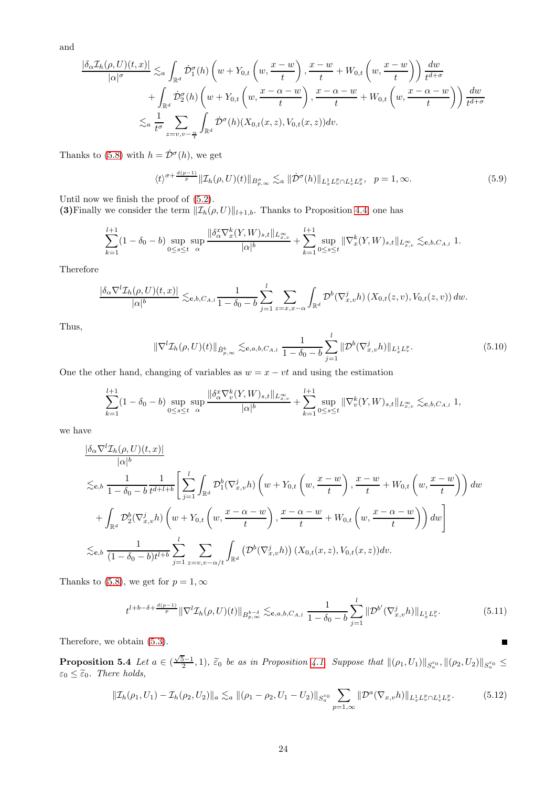and

$$
\frac{|\delta_{\alpha} \mathcal{I}_h(\rho, U)(t, x)|}{|\alpha|^{\sigma}} \lesssim_a \int_{\mathbb{R}^d} \dot{\mathcal{D}}_1^{\sigma}(h) \left( w + Y_{0,t} \left( w, \frac{x - w}{t} \right), \frac{x - w}{t} + W_{0,t} \left( w, \frac{x - w}{t} \right) \right) \frac{dw}{t^{d + \sigma}}
$$
  
+ 
$$
\int_{\mathbb{R}^d} \dot{\mathcal{D}}_2^{\sigma}(h) \left( w + Y_{0,t} \left( w, \frac{x - \alpha - w}{t} \right), \frac{x - \alpha - w}{t} + W_{0,t} \left( w, \frac{x - \alpha - w}{t} \right) \right) \frac{dw}{t^{d + \sigma}}
$$
  

$$
\lesssim_a \frac{1}{t^{\sigma}} \sum_{z = v, v - \frac{\alpha}{t}} \int_{\mathbb{R}^d} \dot{\mathcal{D}}^{\sigma}(h) (X_{0,t}(x, z), V_{0,t}(x, z)) dv.
$$

Thanks to [\(5.8\)](#page-22-3) with  $h = \dot{\mathcal{D}}^{\sigma}(h)$ , we get

$$
\langle t \rangle^{\sigma + \frac{d(p-1)}{p}} \| \mathcal{I}_h(\rho, U)(t) \|_{B^{\sigma}_{p,\infty}} \lesssim_a \|\dot{\mathcal{D}}^{\sigma}(h) \|_{L^1_x L^p_v \cap L^1_v L^p_x}, \quad p = 1, \infty.
$$
 (5.9)

Until now we finish the proof of [\(5.2\)](#page-21-0).

(3)Finally we consider the term  $\|\mathcal{I}_h(\rho, U)\|_{l+1,b}$ . Thanks to Proposition [4.4,](#page-16-3) one has

$$
\sum_{k=1}^{l+1} (1 - \delta_0 - b) \sup_{0 \le s \le t} \sup_{\alpha} \frac{\|\delta^x_{\alpha} \nabla^k_x(Y, W)_{s,t}\|_{L^{\infty}_{x,v}}}{|\alpha|^b} + \sum_{k=1}^{l+1} \sup_{0 \le s \le t} \|\nabla^k_x(Y, W)_{s,t}\|_{L^{\infty}_{x,v}} \lesssim_{\mathbf{c}, b, C_{A,l}} 1.
$$

Therefore

$$
\frac{|\delta_{\alpha} \nabla^l \mathcal{I}_h(\rho, U)(t, x)|}{|\alpha|^b} \lesssim_{\mathbf{c}, b, C_{A, l}} \frac{1}{1 - \delta_0 - b} \sum_{j=1}^l \sum_{z = x, x - \alpha} \int_{\mathbb{R}^d} \mathcal{D}^b(\nabla_{x, v}^j h) \left( X_{0,t}(z, v), V_{0,t}(z, v) \right) dw.
$$

Thus,

$$
\|\nabla^l \mathcal{I}_h(\rho, U)(t)\|_{\dot{B}_{p,\infty}^b} \lesssim_{\mathbf{c},a,b,C_{A,l}} \frac{1}{1-\delta_0-b} \sum_{j=1}^l \|\mathcal{D}^b(\nabla_{x,v}^j h)\|_{L_x^1 L_v^p}.
$$
\n(5.10)

One the other hand, changing of variables as  $w = x - vt$  and using the estimation

$$
\sum_{k=1}^{l+1} (1 - \delta_0 - b) \sup_{0 \le s \le t} \sup_{\alpha} \frac{\|\delta^x_{\alpha} \nabla^k_{v}(Y, W)_{s,t}\|_{L^{\infty}_{x,v}}}{|\alpha|^b} + \sum_{k=1}^{l+1} \sup_{0 \le s \le t} \|\nabla^k_{v}(Y, W)_{s,t}\|_{L^{\infty}_{x,v}} \lesssim_{\mathbf{c}, b, C_{A,l}} 1,
$$

we have

$$
\frac{|\delta_{\alpha} \nabla^{l} \mathcal{I}_{h}(\rho, U)(t, x)|}{|\alpha|^{b}}
$$
\n
$$
\lesssim_{\mathbf{c}, b} \frac{1}{1 - \delta_{0} - b} \frac{1}{t^{d+l+b}} \left[ \sum_{j=1}^{l} \int_{\mathbb{R}^{d}} \mathcal{D}_{1}^{b}(\nabla_{x,v}^{j} h) \left( w + Y_{0,t} \left( w, \frac{x-w}{t} \right), \frac{x-w}{t} + W_{0,t} \left( w, \frac{x-w}{t} \right) \right) dw \right.
$$
\n
$$
+ \int_{\mathbb{R}^{d}} \mathcal{D}_{2}^{b}(\nabla_{x,v}^{j} h) \left( w + Y_{0,t} \left( w, \frac{x-\alpha-w}{t} \right), \frac{x-\alpha-w}{t} + W_{0,t} \left( w, \frac{x-\alpha-w}{t} \right) dw \right] dw
$$
\n
$$
\lesssim_{\mathbf{c}, b} \frac{1}{(1 - \delta_{0} - b)t^{l+b}} \sum_{j=1}^{l} \sum_{z=v, v-\alpha/t} \int_{\mathbb{R}^{d}} \left( \mathcal{D}^{b}(\nabla_{x,v}^{j} h) \right) \left( X_{0,t}(x, z), V_{0,t}(x, z) \right) dv.
$$

Thanks to [\(5.8\)](#page-22-3), we get for  $p = 1, \infty$ 

<span id="page-23-0"></span>
$$
t^{l+b-\delta+\frac{d(p-1)}{p}} \|\nabla^l \mathcal{I}_h(\rho, U)(t)\|_{B^{b-\delta}_{p,\infty}} \lesssim_{\mathbf{c},a,b,C_{A,l}} \frac{1}{1-\delta_0-b} \sum_{j=1}^l \|\mathcal{D}^{b'}(\nabla_{x,v}^j h)\|_{L^1_x L^p_v}.
$$
 (5.11)

Therefore, we obtain [\(5.3\)](#page-21-1).

**Proposition 5.4** Let  $a \in (\frac{\sqrt{5}-1}{2}, 1)$ ,  $\widetilde{\varepsilon}_0$  be as in Proposition [4.1.](#page-15-0) Suppose that  $\|(\rho_1, U_1)\|_{S_a^{\varepsilon_0}}, \|\rho_2, U_2\|\|_{S_a^{\varepsilon_0}} \leq$  $\varepsilon_0 \leq \widetilde{\varepsilon}_0$ . There holds,

<span id="page-23-1"></span>
$$
\|\mathcal{I}_h(\rho_1, U_1) - \mathcal{I}_h(\rho_2, U_2)\|_{a} \lesssim_a \|(\rho_1 - \rho_2, U_1 - U_2)\|_{S_a^{\varepsilon_0}} \sum_{p=1,\infty} \|\mathcal{D}^a(\nabla_{x,v} h)\|_{L_x^1 L_v^p \cap L_v^1 L_x^p}.
$$
 (5.12)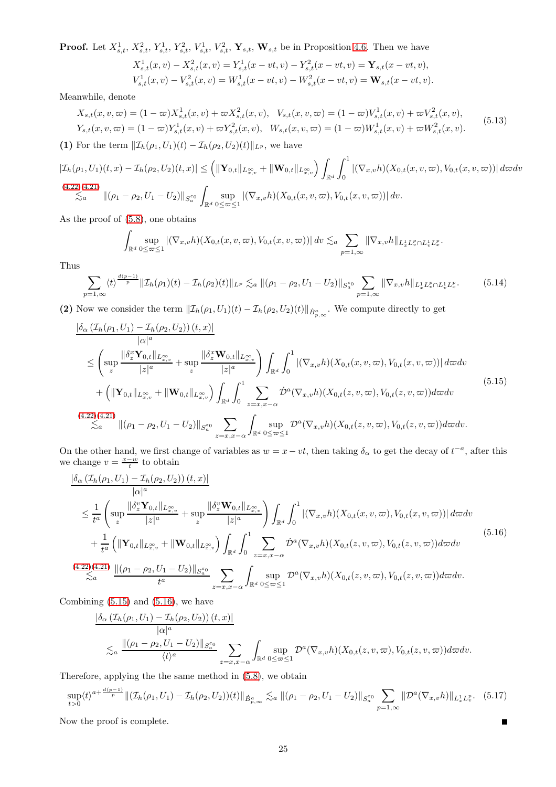**Proof.** Let  $X_{s,t}^1$ ,  $X_{s,t}^2$ ,  $Y_{s,t}^1$ ,  $Y_{s,t}^2$ ,  $V_{s,t}^1$ ,  $V_{s,t}^2$ ,  $\mathbf{Y}_{s,t}$ ,  $\mathbf{W}_{s,t}$  be in Proposition [4.6.](#page-18-0) Then we have

<span id="page-24-2"></span>
$$
X_{s,t}^1(x,v) - X_{s,t}^2(x,v) = Y_{s,t}^1(x - vt, v) - Y_{s,t}^2(x - vt, v) = \mathbf{Y}_{s,t}(x - vt, v),
$$
  

$$
V_{s,t}^1(x,v) - V_{s,t}^2(x,v) = W_{s,t}^1(x - vt, v) - W_{s,t}^2(x - vt, v) = \mathbf{W}_{s,t}(x - vt, v).
$$

Meanwhile, denote

$$
X_{s,t}(x,v,\varpi) = (1-\varpi)X_{s,t}^1(x,v) + \varpi X_{s,t}^2(x,v), \quad V_{s,t}(x,v,\varpi) = (1-\varpi)V_{s,t}^1(x,v) + \varpi V_{s,t}^2(x,v),
$$
  
\n
$$
Y_{s,t}(x,v,\varpi) = (1-\varpi)Y_{s,t}^1(x,v) + \varpi Y_{s,t}^2(x,v), \quad W_{s,t}(x,v,\varpi) = (1-\varpi)W_{s,t}^1(x,v) + \varpi W_{s,t}^2(x,v).
$$
\n
$$
(5.13)
$$

(1) For the term  $||\mathcal{I}_h(\rho_1, U_1)(t) - \mathcal{I}_h(\rho_2, U_2)(t)||_{L^p}$ , we have

$$
\begin{split}\n|\mathcal{I}_{h}(\rho_{1},U_{1})(t,x)-\mathcal{I}_{h}(\rho_{2},U_{2})(t,x)| &\leq \left(\|\mathbf{Y}_{0,t}\|_{L^{\infty}_{x,v}}+\|\mathbf{W}_{0,t}\|_{L^{\infty}_{x,v}}\right) \int_{\mathbb{R}^{d}} \int_{0}^{1} |(\nabla_{x,v}h)(X_{0,t}(x,v,\varpi),V_{0,t}(x,v,\varpi))| d\varpi dv \\
&\lesssim_{a}^{(4.22)(4.21)} \|\rho_{1}-\rho_{2},U_{1}-U_{2})\|_{S_{a}^{\varepsilon_{0}}} \int_{\mathbb{R}^{d}} \sup_{0\leq\varpi\leq 1} |(\nabla_{x,v}h)(X_{0,t}(x,v,\varpi),V_{0,t}(x,v,\varpi))| dv.\n\end{split}
$$

As the proof of [\(5.8\)](#page-22-3), one obtains

$$
\int_{\mathbb{R}^d} \sup_{0 \leq \varpi \leq 1} |(\nabla_{x,v} h)(X_{0,t}(x,v,\varpi),V_{0,t}(x,v,\varpi))| dv \lesssim_a \sum_{p=1,\infty} \|\nabla_{x,v} h\|_{L^1_x L^p_v \cap L^1_v L^p_x}.
$$

Thus

$$
\sum_{p=1,\infty} \langle t \rangle^{\frac{d(p-1)}{p}} \| \mathcal{I}_h(\rho_1)(t) - \mathcal{I}_h(\rho_2)(t) \|_{L^p} \lesssim_a \| (\rho_1 - \rho_2, U_1 - U_2) \|_{S_a^{\varepsilon_0}} \sum_{p=1,\infty} \| \nabla_{x,v} h \|_{L^1_x L^p_v \cap L^1_v L^p_x}.
$$
 (5.14)

(2) Now we consider the term  $\|\mathcal{I}_h(\rho_1, U_1)(t) - \mathcal{I}_h(\rho_2, U_2)(t)\|_{\dot{B}^a_{p,\infty}}$ . We compute directly to get

<span id="page-24-0"></span>
$$
\frac{|\delta_{\alpha} (\mathcal{I}_{h}(\rho_{1}, U_{1}) - \mathcal{I}_{h}(\rho_{2}, U_{2})) (t, x)|}{|\alpha|^{a}} \leq \left( \sup_{z} \frac{\|\delta_{z}^{x} \mathbf{Y}_{0,t}\|_{L_{\infty,v}^{\infty}}}{|z|^{a}} + \sup_{z} \frac{\|\delta_{z}^{x} \mathbf{W}_{0,t}\|_{L_{\infty,v}^{\infty}}}{|z|^{a}} \right) \int_{\mathbb{R}^{d}} \int_{0}^{1} |(\nabla_{x,v} h)(X_{0,t}(x, v, \varpi), V_{0,t}(x, v, \varpi))| d\varpi dv + \left( \|\mathbf{Y}_{0,t}\|_{L_{\infty,v}^{\infty}} + \|\mathbf{W}_{0,t}\|_{L_{\infty,v}^{\infty}} \right) \int_{\mathbb{R}^{d}} \int_{0}^{1} \sum_{z=x, x-\alpha} \dot{\mathcal{D}}^{a} (\nabla_{x,v} h)(X_{0,t}(z, v, \varpi), V_{0,t}(z, v, \varpi)) d\varpi dv
$$
\n(5.15)\n
$$
\lesssim_{a} (4.22)(4.21) \quad ||(\rho_{1} - \rho_{2}, U_{1} - U_{2})||_{S_{a}^{\varepsilon_{0}}} \sum_{z=x, x-\alpha} \int_{\mathbb{R}^{d}} \sup_{0 \leq \varpi \leq 1} \mathcal{D}^{a} (\nabla_{x,v} h)(X_{0,t}(z, v, \varpi), V_{0,t}(z, v, \varpi)) d\varpi dv.
$$

On the other hand, we first change of variables as  $w = x - vt$ , then taking  $\delta_{\alpha}$  to get the decay of  $t^{-a}$ , after this we change  $v = \frac{x-w}{t}$  to obtain

$$
\frac{|\delta_{\alpha}\left(\mathcal{I}_{h}(\rho_{1},U_{1})-\mathcal{I}_{h}(\rho_{2},U_{2})\right)(t,x)|}{|\alpha|^{a}}\n\leq\frac{1}{t^{a}}\left(\sup_{z}\frac{\left\|\delta_{z}^{v}\mathbf{Y}_{0,t}\right\|_{L^{\infty}_{x,v}}}{|z|^{a}}+\sup_{z}\frac{\left\|\delta_{z}^{v}\mathbf{W}_{0,t}\right\|_{L^{\infty}_{x,v}}}{|z|^{a}}\right)\int_{\mathbb{R}^{d}}\int_{0}^{1}\left|\left(\nabla_{x,v}h\right)\left(X_{0,t}(x,v,\varpi),V_{0,t}(x,v,\varpi)\right)\right|d\varpi dv\n+\frac{1}{t^{a}}\left(\left\|\mathbf{Y}_{0,t}\right\|_{L^{\infty}_{x,v}}+\left\|\mathbf{W}_{0,t}\right\|_{L^{\infty}_{x,v}}\right)\int_{\mathbb{R}^{d}}\int_{0}^{1}\sum_{z=x,x-\alpha}\dot{\mathcal{D}}^{a}(\nabla_{x,v}h)\left(X_{0,t}(z,v,\varpi),V_{0,t}(z,v,\varpi)\right)d\varpi dv\n\leq\frac{(4.22)(4.21)}{\epsilon a}\frac{\left\|\left(\rho_{1}-\rho_{2},U_{1}-U_{2}\right)\right\|_{S^{\varepsilon}_{a}}}{t^{a}}\sum_{z=x,x-\alpha}\int_{\mathbb{R}^{d}}\sup_{0\leq\varpi\leq1}\mathcal{D}^{a}(\nabla_{x,v}h)\left(X_{0,t}(z,v,\varpi),V_{0,t}(z,v,\varpi)\right)d\varpi dv.
$$
\n(5.16)

Combining  $(5.15)$  and  $(5.16)$ , we have

$$
\frac{\left|\delta_{\alpha}\left(\mathcal{I}_{h}(\rho_{1},U_{1})-\mathcal{I}_{h}(\rho_{2},U_{2})\right)(t,x)\right|}{\left|\alpha\right|^{a}} \\ \lesssim_{a} \frac{\left\|(\rho_{1}-\rho_{2},U_{1}-U_{2})\right\|_{S_{a}^{\varepsilon_{0}}}}{\langle t\rangle^{a}} \sum_{z=x,x-\alpha} \int_{\mathbb{R}^{d}} \sup_{0 \leq \infty \leq 1} \mathcal{D}^{a}(\nabla_{x,v}h)(X_{0,t}(z,v,\varpi),V_{0,t}(z,v,\varpi))d\varpi dv.
$$

Therefore, applying the the same method in [\(5.8\)](#page-22-3), we obtain

$$
\sup_{t>0} \langle t \rangle^{a + \frac{d(p-1)}{p}} \|( \mathcal{I}_h(\rho_1, U_1) - \mathcal{I}_h(\rho_2, U_2) )(t) \|_{\dot{B}^a_{p,\infty}} \lesssim_a \| (\rho_1 - \rho_2, U_1 - U_2) \|_{S^{\varepsilon_0}_a} \sum_{p=1,\infty} \| \mathcal{D}^a(\nabla_{x,v} h) \|_{L^1_x L^p_v}.
$$
 (5.17)

<span id="page-24-1"></span> $\blacksquare$ 

Now the proof is complete.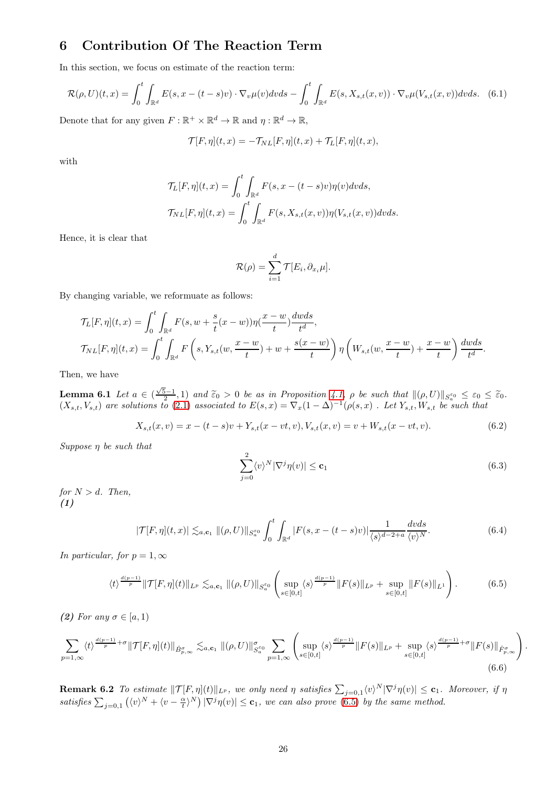# 6 Contribution Of The Reaction Term

In this section, we focus on estimate of the reaction term:

$$
\mathcal{R}(\rho, U)(t, x) = \int_0^t \int_{\mathbb{R}^d} E(s, x - (t - s)v) \cdot \nabla_v \mu(v) dv ds - \int_0^t \int_{\mathbb{R}^d} E(s, X_{s,t}(x, v)) \cdot \nabla_v \mu(V_{s,t}(x, v)) dv ds. \tag{6.1}
$$

Denote that for any given  $F : \mathbb{R}^+ \times \mathbb{R}^d \to \mathbb{R}$  and  $\eta : \mathbb{R}^d \to \mathbb{R}$ ,

$$
\mathcal{T}[F,\eta](t,x) = -\mathcal{T}_{NL}[F,\eta](t,x) + \mathcal{T}_L[F,\eta](t,x),
$$

with

$$
\mathcal{T}_L[F,\eta](t,x) = \int_0^t \int_{\mathbb{R}^d} F(s,x - (t-s)v)\eta(v)dvds,
$$
  

$$
\mathcal{T}_{NL}[F,\eta](t,x) = \int_0^t \int_{\mathbb{R}^d} F(s,X_{s,t}(x,v))\eta(V_{s,t}(x,v))dvds.
$$

Hence, it is clear that

$$
\mathcal{R}(\rho) = \sum_{i=1}^d \mathcal{T}[E_i, \partial_{x_i}\mu].
$$

By changing variable, we reformuate as follows:

$$
\mathcal{T}_L[F,\eta](t,x) = \int_0^t \int_{\mathbb{R}^d} F(s, w + \frac{s}{t}(x-w)) \eta(\frac{x-w}{t}) \frac{dwds}{t^d},
$$
  

$$
\mathcal{T}_{NL}[F,\eta](t,x) = \int_0^t \int_{\mathbb{R}^d} F\left(s, Y_{s,t}(w, \frac{x-w}{t}) + w + \frac{s(x-w)}{t}\right) \eta\left(W_{s,t}(w, \frac{x-w}{t}) + \frac{x-w}{t}\right) \frac{dwds}{t^d}.
$$

Then, we have

**Lemma 6.1** Let  $a \in (\frac{\sqrt{5}-1}{2}, 1)$  and  $\tilde{\varepsilon}_0 > 0$  be as in Proposition [4.1,](#page-15-0)  $\rho$  be such that  $\|(\rho, U)\|_{S_a^{\varepsilon_0}} \leq \varepsilon_0 \leq \tilde{\varepsilon}_0$ .  $(X_{s,t}, V_{s,t})$  are solutions to  $(2.1)$  associated to  $E(s,x) = \nabla_x (1-\Delta)^{-1} (\rho(s,x))$ . Let  $Y_{s,t}, W_{s,t}$  be such that

<span id="page-25-0"></span>
$$
X_{s,t}(x,v) = x - (t - s)v + Y_{s,t}(x - vt, v), V_{s,t}(x,v) = v + W_{s,t}(x - vt, v).
$$
\n(6.2)

Suppose η be such that

<span id="page-25-3"></span>
$$
\sum_{j=0}^{2} \langle v \rangle^{N} |\nabla^{j} \eta(v)| \le \mathbf{c}_{1}
$$
\n(6.3)

<span id="page-25-2"></span><span id="page-25-1"></span>.

for  $N > d$ . Then, (1)

$$
|\mathcal{T}[F,\eta](t,x)| \lesssim_{a,\mathbf{c}_1} \|(\rho, U)\|_{S_a^{\varepsilon_0}} \int_0^t \int_{\mathbb{R}^d} |F(s,x - (t-s)v)| \frac{1}{\langle s \rangle^{d-2+a}} \frac{dv ds}{\langle v \rangle^N}.
$$
 (6.4)

In particular, for  $p = 1, \infty$ 

$$
\langle t \rangle^{\frac{d(p-1)}{p}} \| \mathcal{T}[F,\eta](t) \|_{L^p} \lesssim_{a,\mathbf{c}_1} \| (\rho, U) \|_{S^{\varepsilon_0}_a} \left( \sup_{s \in [0,t]} \langle s \rangle^{\frac{d(p-1)}{p}} \| F(s) \|_{L^p} + \sup_{s \in [0,t]} \| F(s) \|_{L^1} \right).
$$
 (6.5)

(2) For any  $\sigma \in [a, 1)$ 

$$
\sum_{p=1,\infty} \langle t \rangle^{\frac{d(p-1)}{p}+\sigma} \| \mathcal{T}[F,\eta](t) \|_{\dot{B}^{\sigma}_{p,\infty}} \lesssim_{a,\mathbf{c}_1} \|\langle \rho, U \rangle\|_{S^{\varepsilon_0}_{a}}^{\sigma} \sum_{p=1,\infty} \left( \sup_{s \in [0,t]} \langle s \rangle^{\frac{d(p-1)}{p}} \| F(s) \|_{L^p} + \sup_{s \in [0,t]} \langle s \rangle^{\frac{d(p-1)}{p}+\sigma} \| F(s) \|_{\dot{F}^{\sigma}_{p,\infty}} \right) \tag{6.6}
$$

<span id="page-25-4"></span>**Remark 6.2** To estimate  $||\mathcal{T}[F,\eta](t)||_{L^p}$ , we only need  $\eta$  satisfies  $\sum_{j=0,1} \langle v \rangle^N |\nabla^j \eta(v)| \leq c_1$ . Moreover, if  $\eta$ satisfies  $\sum_{j=0,1} (\langle v \rangle^N + \langle v - \frac{\alpha}{t} \rangle^N) |\nabla^j \eta(v)| \leq c_1$ , we can also prove [\(6.5\)](#page-25-1) by the same method.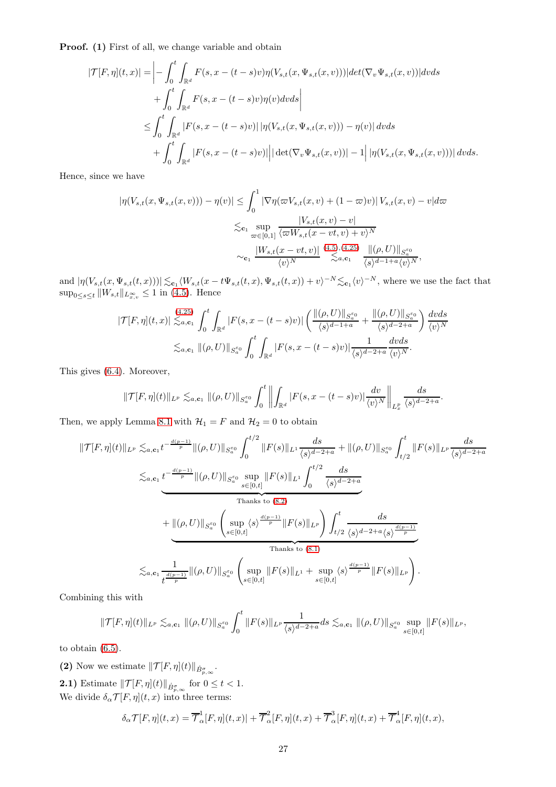Proof. (1) First of all, we change variable and obtain

$$
|\mathcal{T}[F,\eta](t,x)| = \Big| - \int_0^t \int_{\mathbb{R}^d} F(s, x - (t-s)v)\eta(V_{s,t}(x, \Psi_{s,t}(x, v)))|det(\nabla_v \Psi_{s,t}(x, v))|dvds + \int_0^t \int_{\mathbb{R}^d} F(s, x - (t-s)v)\eta(v)dvds \Big| \leq \int_0^t \int_{\mathbb{R}^d} |F(s, x - (t-s)v)| \left| \eta(V_{s,t}(x, \Psi_{s,t}(x, v))) - \eta(v) \right| dvds + \int_0^t \int_{\mathbb{R}^d} |F(s, x - (t-s)v)| \left| |\det(\nabla_v \Psi_{s,t}(x, v))| - 1 \right| |\eta(V_{s,t}(x, \Psi_{s,t}(x, v)))| dvds.
$$

Hence, since we have

$$
|\eta(V_{s,t}(x,\Psi_{s,t}(x,v))) - \eta(v)| \leq \int_0^1 |\nabla \eta(\varpi V_{s,t}(x,v) + (1-\varpi)v)| V_{s,t}(x,v) - v| d\varpi
$$
  

$$
\lesssim_{\mathbf{c}_1} \sup_{\varpi \in [0,1]} \frac{|V_{s,t}(x,v) - v|}{\langle \varpi W_{s,t}(x - vt, v) + v \rangle^N}
$$
  

$$
\sim_{\mathbf{c}_1} \frac{|W_{s,t}(x - vt, v)|}{\langle v \rangle^N} \stackrel{(4.5), (4.25)}{\lesssim_{a,\mathbf{c}_1}} \frac{\|(\rho, U)\|_{S_a^{\varepsilon_0}}}{\langle s \rangle^{d-1+a} \langle v \rangle^N},
$$

and  $|\eta(V_{s,t}(x,\Psi_{s,t}(t,x)))| \lesssim_{c_1} \langle W_{s,t}(x-t\Psi_{s,t}(t,x),\Psi_{s,t}(t,x)) + v \rangle^{-N} \lesssim_{c_1} \langle v \rangle^{-N}$ , where we use the fact that  $\sup_{0 \le s \le t} ||W_{s,t}||_{L^{\infty}_{x,v}} \le 1$  in [\(4.5\)](#page-15-4). Hence

$$
|\mathcal{T}[F,\eta](t,x)| \lesssim_{a,\mathbf{c}_1} \int_0^t \int_{\mathbb{R}^d} |F(s,x-(t-s)v)| \left( \frac{\|(\rho, U)\|_{S_a^{\varepsilon_0}}}{\langle s \rangle^{d-1+a}} + \frac{\|(\rho, U)\|_{S_a^{\varepsilon_0}}}{\langle s \rangle^{d-2+a}} \right) \frac{dvds}{\langle v \rangle^N}
$$
  

$$
\lesssim_{a,\mathbf{c}_1} \|\langle \rho, U \rangle\|_{S_a^{\varepsilon_0}} \int_0^t \int_{\mathbb{R}^d} |F(s,x-(t-s)v)| \frac{1}{\langle s \rangle^{d-2+a}} \frac{dvds}{\langle v \rangle^N}.
$$

This gives [\(6.4\)](#page-25-2). Moreover,

$$
\|\mathcal{T}[F,\eta](t)\|_{L^p} \lesssim_{a,\mathbf{c}_1} \|(\rho, U)\|_{S^{\varepsilon_0}_a} \int_0^t \left\| \int_{\mathbb{R}^d} |F(s, x - (t-s)v)| \frac{dv}{\langle v \rangle^N} \right\|_{L^p_x} \frac{ds}{\langle s \rangle^{d-2+a}}.
$$

Then, we apply Lemma [8.1](#page-44-8) with  $\mathcal{H}_1=F$  and  $\mathcal{H}_2=0$  to obtain

$$
\|\mathcal{T}[F,\eta](t)\|_{L^{p}} \lesssim_{a,\mathbf{c}_{1}} t^{-\frac{d(p-1)}{p}} \|(\rho,U)\|_{S_{a}^{\varepsilon_{0}}}\int_{0}^{t/2} \|F(s)\|_{L^{1}} \frac{ds}{\langle s\rangle^{d-2+a}} + \|(\rho,U)\|_{S_{a}^{\varepsilon_{0}}}\int_{t/2}^{t} \|F(s)\|_{L^{p}} \frac{ds}{\langle s\rangle^{d-2+a}}
$$
  

$$
\lesssim_{a,\mathbf{c}_{1}} t^{-\frac{d(p-1)}{p}} \|(\rho,U)\|_{S_{a}^{\varepsilon_{0}}}\sup_{s\in[0,t]} \|F(s)\|_{L^{1}}\int_{0}^{t/2} \frac{ds}{\langle s\rangle^{d-2+a}}
$$
  
Thanks to (8.2)  
+ 
$$
\|(\rho,U)\|_{S_{a}^{\varepsilon_{0}}}\left(\sup_{s\in[0,t]} \langle s\rangle^{\frac{d(p-1)}{p}} \|F(s)\|_{L^{p}}\right)\int_{t/2}^{t} \frac{ds}{\langle s\rangle^{d-2+a}\langle s\rangle^{\frac{d(p-1)}{p}}}
$$
  
Thanks to (8.1)  

$$
\lesssim_{a,\mathbf{c}_{1}} \frac{1}{t^{\frac{d(p-1)}{p}}}\|(\rho,U)\|_{S_{a}^{\varepsilon_{0}}}\left(\sup_{s\in[0,t]} \|F(s)\|_{L^{1}} + \sup_{s\in[0,t]} \langle s\rangle^{\frac{d(p-1)}{p}} \|F(s)\|_{L^{p}}\right).
$$

Combining this with

$$
\|\mathcal{T}[F,\eta](t)\|_{L^p} \lesssim_{a,\mathbf{c}_1} \|(\rho,U)\|_{S^{\varepsilon_0}_a} \int_0^t \|F(s)\|_{L^p} \frac{1}{\langle s \rangle^{d-2+a}} ds \lesssim_{a,\mathbf{c}_1} \|(\rho,U)\|_{S^{\varepsilon_0}_a} \sup_{s \in [0,t]} \|F(s)\|_{L^p},
$$

to obtain [\(6.5\)](#page-25-1).

(2) Now we estimate  $||\mathcal{T}[F,\eta](t)||_{\dot{B}_{p,\infty}^{\sigma}}$ . **2.1)** Estimate  $||\mathcal{T}[F, \eta](t)||_{\dot{B}^{\sigma}_{p,\infty}}$  for  $0 \leq t < 1$ .

We divide  $\delta_{\alpha} \mathcal{T}[F, \eta](t, x)$  into three terms:

$$
\delta_\alpha \mathcal{T}[F,\eta](t,x) = \overline{\mathcal{T}}_\alpha^1[F,\eta](t,x)| + \overline{\mathcal{T}}_\alpha^2[F,\eta](t,x) + \overline{\mathcal{T}}_\alpha^3[F,\eta](t,x) + \overline{\mathcal{T}}_\alpha^4[F,\eta](t,x),
$$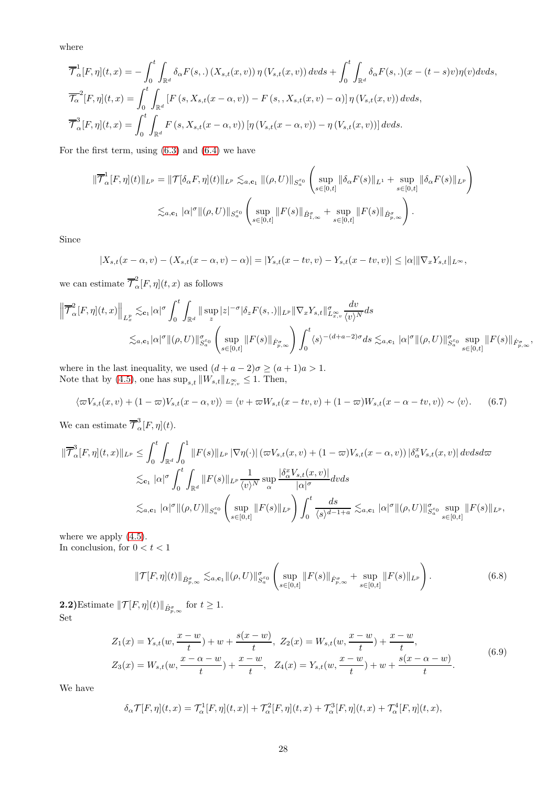where

$$
\overline{\mathcal{T}}_{\alpha}^{1}[F,\eta](t,x) = -\int_{0}^{t} \int_{\mathbb{R}^{d}} \delta_{\alpha}F(s,.)\left(X_{s,t}(x,v)\right)\eta\left(V_{s,t}(x,v)\right)dvds + \int_{0}^{t} \int_{\mathbb{R}^{d}} \delta_{\alpha}F(s,.)(x-(t-s)v)\eta(v)dvds,
$$
  

$$
\overline{\mathcal{T}}_{\alpha}^{2}[F,\eta](t,x) = \int_{0}^{t} \int_{\mathbb{R}^{d}} \left[F\left(s,X_{s,t}(x-\alpha,v)\right) - F\left(s,X_{s,t}(x,v)-\alpha\right)\right]\eta\left(V_{s,t}(x,v)\right)dvds,
$$
  

$$
\overline{\mathcal{T}}_{\alpha}^{3}[F,\eta](t,x) = \int_{0}^{t} \int_{\mathbb{R}^{d}} F\left(s,X_{s,t}(x-\alpha,v)\right)\left[\eta\left(V_{s,t}(x-\alpha,v)\right) - \eta\left(V_{s,t}(x,v)\right)\right]dvds.
$$

For the first term, using [\(6.3\)](#page-25-3) and [\(6.4\)](#page-25-2) we have

$$
\begin{split} \|\overline{\mathcal{T}}_{\alpha}^{1}[F,\eta](t)\|_{L^{p}} &= \|\mathcal{T}[\delta_{\alpha}F,\eta](t)\|_{L^{p}} \lesssim_{a,\mathbf{c}_{1}} \|\left(\rho,U\right)\|_{S_{a}^{\varepsilon_{0}}}\left(\sup_{s\in[0,t]}\|\delta_{\alpha}F(s)\|_{L^{1}}+\sup_{s\in[0,t]}\|\delta_{\alpha}F(s)\|_{L^{p}}\right) \\ &\lesssim_{a,\mathbf{c}_{1}}|\alpha|^{\sigma}\|(\rho,U)\|_{S_{a}^{\varepsilon_{0}}}\left(\sup_{s\in[0,t]}\|F(s)\|_{\dot{B}_{1,\infty}^{\sigma}}+\sup_{s\in[0,t]}\|F(s)\|_{\dot{B}_{p,\infty}^{\sigma}}\right). \end{split}
$$

Since

$$
|X_{s,t}(x-\alpha,v) - (X_{s,t}(x-\alpha,v) - \alpha)| = |Y_{s,t}(x-tv,v) - Y_{s,t}(x-tv,v)| \le |\alpha| ||\nabla_x Y_{s,t}||_{L^{\infty}},
$$

we can estimate  $\overline{\mathcal{T}}_{\alpha}^{2}[F,\eta](t,x)$  as follows

$$
\begin{split} \left\| \overline{\mathcal{T}}^2_{\alpha}[F,\eta](t,x) \right\|_{L^p_x} &\lesssim_{\mathbf{c}_1} |\alpha|^{\sigma} \int_0^t \int_{\mathbb{R}^d} \| \sup_z |z|^{-\sigma} |\delta_z F(s,.) \|_{L^p} \|\nabla_x Y_{s,t}\|_{L^\infty_{x,v}}^{\sigma} \frac{dv}{\langle v \rangle^N} ds \\ &\lesssim_{a,\mathbf{c}_1} |\alpha|^{\sigma} \|(\rho,U) \|_{S^{\varepsilon_0}_{a}}^{\sigma} \left( \sup_{s \in [0,t]} \| F(s) \|_{\dot{F}^{\sigma}_{p,\infty}} \right) \int_0^t \langle s \rangle^{-(d+a-2)\sigma} ds \lesssim_{a,\mathbf{c}_1} |\alpha|^{\sigma} \|(\rho,U) \|_{S^{\varepsilon_0}_{a}}^{\sigma} \sup_{s \in [0,t]} \| F(s) \|_{\dot{F}^{\sigma}_{p,\infty}}, \end{split}
$$

where in the last inequality, we used  $(d + a - 2)\sigma \ge (a + 1)a > 1$ . Note that by [\(4.5\)](#page-15-4), one has  $\sup_{s,t} ||W_{s,t}||_{L^{\infty}_{x,v}} \leq 1$ . Then,

$$
\langle \varpi V_{s,t}(x,v) + (1-\varpi) V_{s,t}(x-\alpha,v) \rangle = \langle v + \varpi W_{s,t}(x-tv,v) + (1-\varpi) W_{s,t}(x-\alpha-tv,v) \rangle \sim \langle v \rangle.
$$
 (6.7)

We can estimate  $\overline{\mathcal{T}}_{\alpha}^{3}[F,\eta](t)$ .

$$
\begin{split} \|\overline{\mathcal{T}}_{\alpha}^3 [F,\eta](t,x)\|_{L^p} &\leq \int_0^t \int_{\mathbb{R}^d} \int_0^1 \|F(s)\|_{L^p} \left|\nabla \eta(\cdot)\right|(\varpi V_{s,t}(x,v)+(1-\varpi)V_{s,t}(x-\alpha,v))\left|\delta_{\alpha}^x V_{s,t}(x,v)\right| dv ds d\varpi \\ &\lesssim_{\mathbf{c}_1} |\alpha|^{\sigma} \int_0^t \int_{\mathbb{R}^d} \|F(s)\|_{L^p} \frac{1}{\langle v \rangle^N} \sup_{\alpha} \frac{\left|\delta_{\alpha}^x V_{s,t}(x,v)\right|}{|\alpha|^{\sigma}} dv ds \\ &\lesssim_{a,\mathbf{c}_1} |\alpha|^{\sigma} \|(\rho, U)\|_{S_a^{\varepsilon_0}} \left(\sup_{s \in [0,t]} \|F(s)\|_{L^p}\right) \int_0^t \frac{ds}{\langle s \rangle^{d-1+a}} \lesssim_{a,\mathbf{c}_1} |\alpha|^{\sigma} \|(\rho, U)\|_{S_a^{\varepsilon_0}}^{\sigma} \sup_{s \in [0,t]} \|F(s)\|_{L^p}, \end{split}
$$

where we apply  $(4.5)$ . In conclusion, for  $0 < t < 1$ 

<span id="page-27-1"></span><span id="page-27-0"></span>
$$
\|\mathcal{T}[F,\eta](t)\|_{\dot{B}_{p,\infty}^{\sigma}} \lesssim_{a,\mathbf{c}_{1}} \|(\rho,U)\|_{S_{a}^{\varepsilon_{0}}}^{\sigma} \left( \sup_{s \in [0,t]} \|F(s)\|_{\dot{F}_{p,\infty}^{\sigma}} + \sup_{s \in [0,t]} \|F(s)\|_{L^{p}} \right).
$$
\n(6.8)

**2.2)**Estimate  $||\mathcal{T}[F, \eta](t)||_{\dot{B}^{\sigma}_{p,\infty}}$  for  $t \geq 1$ . Set

$$
Z_1(x) = Y_{s,t}(w, \frac{x-w}{t}) + w + \frac{s(x-w)}{t}, \ Z_2(x) = W_{s,t}(w, \frac{x-w}{t}) + \frac{x-w}{t},
$$
  

$$
Z_3(x) = W_{s,t}(w, \frac{x-\alpha-w}{t}) + \frac{x-w}{t}, \ Z_4(x) = Y_{s,t}(w, \frac{x-w}{t}) + w + \frac{s(x-\alpha-w)}{t}.
$$
 (6.9)

We have

$$
\delta_{\alpha} \mathcal{T}[F,\eta](t,x) = \mathcal{T}_{\alpha}^1[F,\eta](t,x) + \mathcal{T}_{\alpha}^2[F,\eta](t,x) + \mathcal{T}_{\alpha}^3[F,\eta](t,x) + \mathcal{T}_{\alpha}^4[F,\eta](t,x),
$$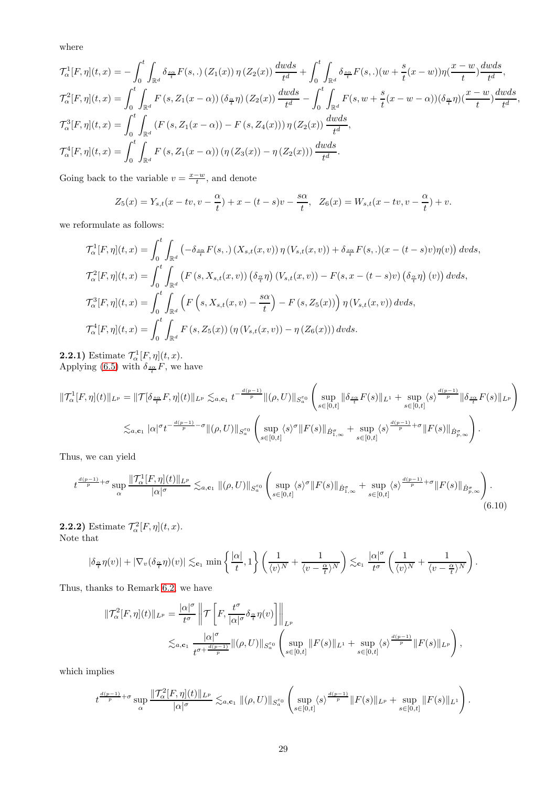where

$$
\mathcal{T}_{\alpha}^{1}[F,\eta](t,x) = -\int_{0}^{t} \int_{\mathbb{R}^{d}} \delta_{\frac{s\alpha}{t}}F(s,.) (Z_{1}(x)) \eta (Z_{2}(x)) \frac{dwds}{t^{d}} + \int_{0}^{t} \int_{\mathbb{R}^{d}} \delta_{\frac{s\alpha}{t}}F(s,.) (w + \frac{s}{t}(x-w)) \eta(\frac{x-w}{t}) \frac{dwds}{t^{d}},
$$
  

$$
\mathcal{T}_{\alpha}^{2}[F,\eta](t,x) = \int_{0}^{t} \int_{\mathbb{R}^{d}} F(s, Z_{1}(x-\alpha)) (\delta_{\frac{\alpha}{t}}\eta) (Z_{2}(x)) \frac{dwds}{t^{d}} - \int_{0}^{t} \int_{\mathbb{R}^{d}} F(s, w + \frac{s}{t}(x-w-\alpha)) (\delta_{\frac{\alpha}{t}}\eta) (\frac{x-w}{t}) \frac{dwds}{t^{d}},
$$
  

$$
\mathcal{T}_{\alpha}^{3}[F,\eta](t,x) = \int_{0}^{t} \int_{\mathbb{R}^{d}} (F(s, Z_{1}(x-\alpha)) - F(s, Z_{4}(x))) \eta (Z_{2}(x)) \frac{dwds}{t^{d}},
$$
  

$$
\mathcal{T}_{\alpha}^{4}[F,\eta](t,x) = \int_{0}^{t} \int_{\mathbb{R}^{d}} F(s, Z_{1}(x-\alpha)) (\eta (Z_{3}(x)) - \eta (Z_{2}(x))) \frac{dwds}{t^{d}}.
$$

Going back to the variable  $v = \frac{x-w}{t}$ , and denote

$$
Z_5(x) = Y_{s,t}(x - tv, v - \frac{\alpha}{t}) + x - (t - s)v - \frac{s\alpha}{t}, \quad Z_6(x) = W_{s,t}(x - tv, v - \frac{\alpha}{t}) + v.
$$

we reformulate as follows:

$$
\mathcal{T}_{\alpha}^{1}[F,\eta](t,x) = \int_{0}^{t} \int_{\mathbb{R}^{d}} \left( -\delta \frac{s_{\alpha}}{t} F(s,.) \left( X_{s,t}(x,v) \right) \eta \left( V_{s,t}(x,v) \right) + \delta \frac{s_{\alpha}}{t} F(s,.) (x - (t - s)v) \eta(v) \right) dv ds,
$$
  

$$
\mathcal{T}_{\alpha}^{2}[F,\eta](t,x) = \int_{0}^{t} \int_{\mathbb{R}^{d}} \left( F(s, X_{s,t}(x,v)) \left( \delta \frac{\alpha}{t} \eta \right) \left( V_{s,t}(x,v) \right) - F(s, x - (t - s)v) \left( \delta \frac{\alpha}{t} \eta \right) (v) \right) dv ds,
$$
  

$$
\mathcal{T}_{\alpha}^{3}[F,\eta](t,x) = \int_{0}^{t} \int_{\mathbb{R}^{d}} \left( F\left(s, X_{s,t}(x,v) - \frac{s\alpha}{t} \right) - F(s, Z_{5}(x)) \right) \eta \left( V_{s,t}(x,v) \right) dv ds,
$$
  

$$
\mathcal{T}_{\alpha}^{4}[F,\eta](t,x) = \int_{0}^{t} \int_{\mathbb{R}^{d}} F(s, Z_{5}(x)) \left( \eta \left( V_{s,t}(x,v) \right) - \eta \left( Z_{6}(x) \right) \right) dv ds.
$$

**2.2.1)** Estimate  $\mathcal{T}_{\alpha}^1[F,\eta](t,x)$ . Applying [\(6.5\)](#page-25-1) with  $\delta_{\frac{s\alpha}{t}}F$ , we have

$$
\begin{split} \|\mathcal{T}^{1}_{\alpha}[F,\eta](t)\|_{L^{p}} &= \|\mathcal{T}[\delta_{\frac{s\alpha}{t}}F,\eta](t)\|_{L^{p}} \lesssim_{a,\mathbf{c}_{1}} t^{-\frac{d(p-1)}{p}} \|\langle \rho, U\rangle\|_{S_{a}^{\varepsilon_{0}}}\left(\sup_{s\in[0,t]} \|\delta_{\frac{s\alpha}{t}}F(s)\|_{L^{1}}+\sup_{s\in[0,t]} \langle s\rangle^{\frac{d(p-1)}{p}}\|\delta_{\frac{s\alpha}{t}}F(s)\|_{L^{p}}\right) \\ &\lesssim_{a,\mathbf{c}_{1}} |\alpha|^{\sigma}t^{-\frac{d(p-1)}{p}-\sigma}\|(\rho,U)\|_{S_{a}^{\varepsilon_{0}}}\left(\sup_{s\in[0,t]} \langle s\rangle^{\sigma} \|F(s)\|_{\dot{B}_{1,\infty}^{\sigma}}+\sup_{s\in[0,t]} \langle s\rangle^{\frac{d(p-1)}{p}+\sigma} \|F(s)\|_{\dot{B}_{p,\infty}^{\sigma}}\right). \end{split}
$$

Thus, we can yield

$$
t^{\frac{d(p-1)}{p}+\sigma} \sup_{\alpha} \frac{\|\mathcal{T}^1_{\alpha}[F,\eta](t)\|_{L^p}}{|\alpha|^{\sigma}} \lesssim_{a,\mathbf{c}_1} \|(\rho,U)\|_{S^{\varepsilon_0}_{a}} \left( \sup_{s\in[0,t]} \langle s \rangle^{\sigma} \|F(s)\|_{\dot{B}^{\sigma}_{1,\infty}} + \sup_{s\in[0,t]} \langle s \rangle^{\frac{d(p-1)}{p}+\sigma} \|F(s)\|_{\dot{B}^{\sigma}_{p,\infty}} \right).
$$
\n
$$
(6.10)
$$

**2.2.2)** Estimate  $\mathcal{T}_{\alpha}^2[F, \eta](t, x)$ . Note that

$$
|\delta_{\frac{\alpha}{t}}\eta(v)|+|\nabla_v(\delta_{\frac{\alpha}{t}}\eta)(v)|\lesssim_{\mathbf{c}_1}\min\left\{\frac{|\alpha|}{t},1\right\}\left(\frac{1}{\langle v\rangle^N}+\frac{1}{\langle v-\frac{\alpha}{t}\rangle^N}\right)\lesssim_{\mathbf{c}_1}\frac{|\alpha|^\sigma}{t^\sigma}\left(\frac{1}{\langle v\rangle^N}+\frac{1}{\langle v-\frac{\alpha}{t}\rangle^N}\right).
$$

Thus, thanks to Remark [6.2,](#page-25-4) we have

<span id="page-28-0"></span>
$$
\begin{split} \|\mathcal{T}_{\alpha}^{2}[F,\eta](t)\|_{L^{p}} &= \frac{|\alpha|^{\sigma}}{t^{\sigma}} \left\| \mathcal{T} \left[ F, \frac{t^{\sigma}}{|\alpha|^{\sigma}} \delta_{\frac{\alpha}{t}} \eta(v) \right] \right\|_{L^{p}} \\ &\lesssim_{a,\mathbf{c}_{1}} \frac{|\alpha|^{\sigma}}{t^{\sigma + \frac{d(p-1)}{p}}} \|(\rho, U)\|_{S_{a}^{\varepsilon_{0}}} \left( \sup_{s \in [0,t]} \|F(s)\|_{L^{1}} + \sup_{s \in [0,t]} \langle s \rangle^{\frac{d(p-1)}{p}} \|F(s)\|_{L^{p}} \right), \end{split}
$$

which implies

$$
t^{\frac{d(p-1)}{p}+\sigma}\sup_{\alpha}\frac{\|\mathcal{T}^{2}_{\alpha}[F,\eta](t)\|_{L^{p}}}{|\alpha|^{\sigma}}\lesssim_{a,\mathbf{c}_{1}}\|(\rho,U)\|_{S^{\varepsilon_{0}}_{a}}\left(\sup_{s\in[0,t]}\langle s\rangle^{\frac{d(p-1)}{p}}\|F(s)\|_{L^{p}}+\sup_{s\in[0,t]}\|F(s)\|_{L^{1}}\right).
$$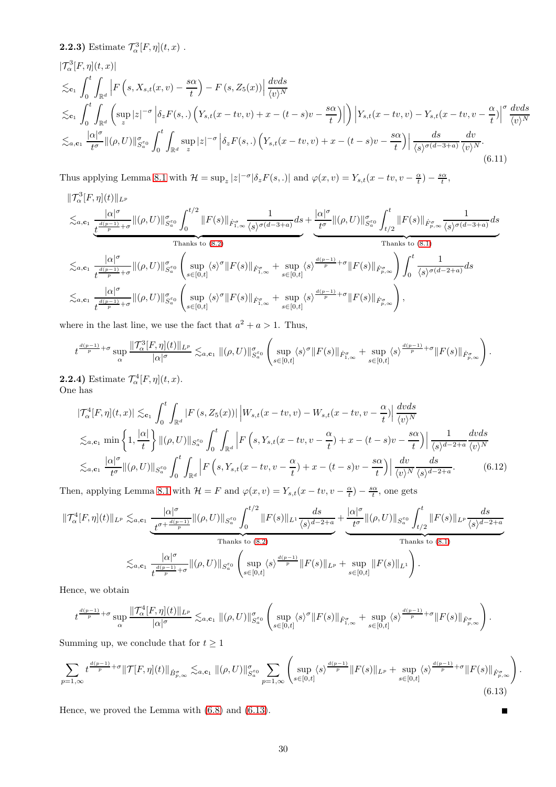**2.2.3)** Estimate  $\mathcal{T}_{\alpha}^{3}[F,\eta](t,x)$ .

$$
\begin{split}\n|\mathcal{T}_{\alpha}^{3}[F,\eta](t,x)| \\
&\lesssim_{\mathbf{c}_{1}} \int_{0}^{t} \int_{\mathbb{R}^{d}} \left| F\left(s,X_{s,t}(x,v) - \frac{s\alpha}{t}\right) - F\left(s,Z_{5}(x)\right) \right| \frac{dvds}{\langle v \rangle^{N}} \\
&\lesssim_{\mathbf{c}_{1}} \int_{0}^{t} \int_{\mathbb{R}^{d}} \left( \sup_{z} |z|^{-\sigma} \left| \delta_{z} F(s,.) \left(Y_{s,t}(x-tv,v) + x - (t-s)v - \frac{s\alpha}{t}\right) \right| \right) \left| Y_{s,t}(x-tv,v) - Y_{s,t}(x-tv,v - \frac{\alpha}{t}) \right| \frac{dvds}{\langle v \rangle^{N}} \\
&\lesssim_{a,\mathbf{c}_{1}} \frac{|\alpha|^{\sigma}}{t^{\sigma}} \|(\rho, U)\|_{S_{a}^{c_{0}}}^{\sigma} \int_{0}^{t} \int_{\mathbb{R}^{d}} \sup_{z} |z|^{-\sigma} \left| \delta_{z} F(s,.) \left(Y_{s,t}(x-tv,v) + x - (t-s)v - \frac{s\alpha}{t}\right) \right| \frac{ds}{\langle s \rangle^{\sigma(d-3+a)}} \frac{dv}{\langle v \rangle^{N}}.\n\end{split}
$$
\n(6.11)

Thus applying Lemma [8.1](#page-44-8) with  $\mathcal{H} = \sup_z |z|^{-\sigma} |\delta_z F(s,.)|$  and  $\varphi(x,v) = Y_{s,t}(x - tv, v - \frac{\alpha}{t}) - \frac{s\alpha}{t}$ ,

$$
\label{eq:20} \begin{split} &\|\mathcal{T}^3_\alpha[F,\eta](t)\|_{L^p}\\ \lesssim_{a,\mathbf{c}_1}\frac{|\alpha|^\sigma}{\frac{d(p-1)}{p}+\sigma}\|(\rho,U)\|^\sigma_{S^{\varepsilon_0}_a}\int_0^{t/2}\|F(s)\|_{\dot{F}^\sigma_{1,\infty}}\frac{1}{\langle s\rangle^{\sigma(d-3+a)}}ds+\frac{|\alpha|^\sigma}{t^\sigma}\|(\rho,U)\|^\sigma_{S^{\varepsilon_0}_a}\int_{t/2}^t\|F(s)\|_{\dot{F}^\sigma_{p,\infty}}\frac{1}{\langle s\rangle^{\sigma(d-3+a)}}ds\\ &\text{Thanks to }(8.2)\\ \lesssim_{a,\mathbf{c}_1}\frac{|\alpha|^\sigma}{t^{\frac{d(p-1)}{p}+\sigma}}\|(\rho,U)\|^\sigma_{S^{\varepsilon_0}_a}\left(\sup_{s\in[0,t]}\langle s\rangle^\sigma\|F(s)\|_{\dot{F}^\sigma_{1,\infty}}+\sup_{s\in[0,t]}\langle s\rangle^{\frac{d(p-1)}{p}+\sigma}\|F(s)\|_{\dot{F}^\sigma_{p,\infty}}\right)\int_0^t\frac{1}{\langle s\rangle^{\sigma(d-2+a)}}ds\\ \lesssim_{a,\mathbf{c}_1}\frac{|\alpha|^\sigma}{t^{\frac{d(p-1)}{p}+\sigma}}\|(\rho,U)\|^\sigma_{S^{\varepsilon_0}_a}\left(\sup_{s\in[0,t]}\langle s\rangle^\sigma\|F(s)\|_{\dot{F}^\sigma_{1,\infty}}+\sup_{s\in[0,t]}\langle s\rangle^{\frac{d(p-1)}{p}+\sigma}\|F(s)\|_{\dot{F}^\sigma_{p,\infty}}\right), \end{split}
$$

where in the last line, we use the fact that  $a^2 + a > 1$ . Thus,

$$
t^{\frac{d(p-1)}{p}+\sigma}\sup_{\alpha}\frac{\|\mathcal{T}^3_{\alpha}[F,\eta](t)\|_{L^p}}{|\alpha|^{\sigma}}\lesssim_{a,\mathbf{c}_1}\|(\rho,U)\|_{S^{\varepsilon_0}_{a}}^{\sigma}\left(\sup_{s\in[0,t]} \langle s\rangle^{\sigma}\|F(s)\|_{\dot{F}^{\sigma}_{1,\infty}}+\sup_{s\in[0,t]} \langle s\rangle^{\frac{d(p-1)}{p}+\sigma}\|F(s)\|_{\dot{F}^{\sigma}_{p,\infty}}\right).
$$

**2.2.4**) Estimate  $\mathcal{T}_{\alpha}^4[F, \eta](t, x)$ . One has

$$
|\mathcal{T}_{\alpha}^{4}[F,\eta](t,x)| \lesssim_{\mathbf{c}_{1}} \int_{0}^{t} \int_{\mathbb{R}^{d}} |F(s, Z_{5}(x))| \left| W_{s,t}(x - tv, v) - W_{s,t}(x - tv, v - \frac{\alpha}{t}) \right| \frac{dvds}{\langle v \rangle^{N}}
$$
  

$$
\lesssim_{a,\mathbf{c}_{1}} \min \left\{ 1, \frac{|\alpha|}{t} \right\} \|(\rho, U)\|_{S_{a}^{50}} \int_{0}^{t} \int_{\mathbb{R}^{d}} \left| F\left(s, Y_{s,t}(x - tv, v - \frac{\alpha}{t}) + x - (t - s)v - \frac{s\alpha}{t} \right) \right| \frac{1}{\langle s \rangle^{d-2+a}} \frac{dvds}{\langle v \rangle^{N}}
$$
  

$$
\lesssim_{a,\mathbf{c}_{1}} \frac{|\alpha|^{\sigma}}{t^{\sigma}} \|(\rho, U)\|_{S_{a}^{50}} \int_{0}^{t} \int_{\mathbb{R}^{d}} \left| F\left(s, Y_{s,t}(x - tv, v - \frac{\alpha}{t}) + x - (t - s)v - \frac{s\alpha}{t} \right) \right| \frac{dv}{\langle v \rangle^{N}} \frac{ds}{\langle s \rangle^{d-2+a}}. \tag{6.12}
$$

Then, applying Lemma [8.1](#page-44-8) with  $\mathcal{H} = F$  and  $\varphi(x, v) = Y_{s,t}(x - tv, v - \frac{\alpha}{t}) - \frac{s\alpha}{t}$ , one gets

$$
\begin{split} \|\mathcal{T}_{\alpha}^{4}[F,\eta](t)\|_{L^{p}} \lesssim_{a,\mathbf{c}_{1}} \frac{|\alpha|^{\sigma}}{t^{\sigma+\frac{d(p-1)}{p}}}\|(\rho,U)\|_{S_{a}^{\varepsilon_{0}}}\int_{0}^{t/2}\|F(s)\|_{L^{1}}\frac{ds}{\langle s\rangle^{d-2+a}} + \frac{|\alpha|^{\sigma}}{t^{\sigma}}\|(\rho,U)\|_{S_{a}^{\varepsilon_{0}}}\int_{t/2}^{t}\|F(s)\|_{L^{p}}\frac{ds}{\langle s\rangle^{d-2+a}} \\ \text{Thanks to (8.2)} \qquad & \text{Thanks to (8.1)}\\ \lesssim_{a,\mathbf{c}_{1}} \frac{|\alpha|^{\sigma}}{t^{\frac{d(p-1)}{p}}+\sigma}\|(\rho,U)\|_{S_{a}^{\varepsilon_{0}}}\left(\sup_{s\in[0,t]}\langle s\rangle^{\frac{d(p-1)}{p}}\|F(s)\|_{L^{p}}+\sup_{s\in[0,t]}\|F(s)\|_{L^{1}}\right). \end{split}
$$

Hence, we obtain

$$
t^{\frac{d(p-1)}{p}+\sigma}\sup_\alpha\frac{\|\mathcal{T}^4_\alpha[F,\eta](t)\|_{L^p}}{|\alpha|^{\sigma}}\lesssim_{a,\mathbf{c}_1}\|(\rho,U)\|^\sigma_{S^{\varepsilon_0}_a}\left(\sup_{s\in[0,t]}\langle s\rangle^\sigma\|F(s)\|_{\dot{F}^\sigma_{1,\infty}}+\sup_{s\in[0,t]}\langle s\rangle^{\frac{d(p-1)}{p}+\sigma}\|F(s)\|_{\dot{F}^\sigma_{p,\infty}}\right).
$$

Summing up, we conclude that for  $t\geq 1$ 

$$
\sum_{p=1,\infty} t^{\frac{d(p-1)}{p}+\sigma} \|T[F,\eta](t)\|_{\dot{B}^{\sigma}_{p,\infty}} \lesssim_{a,\mathbf{c}_1} \|(\rho,U)\|_{S^{\varepsilon_0}_{a}}^{\sigma} \sum_{p=1,\infty} \left( \sup_{s\in[0,t]} \langle s \rangle^{\frac{d(p-1)}{p}} \|F(s)\|_{L^p} + \sup_{s\in[0,t]} \langle s \rangle^{\frac{d(p-1)}{p}+\sigma} \|F(s)\|_{\dot{F}^{\sigma}_{p,\infty}} \right).
$$
\n(6.13)

<span id="page-29-0"></span> $\blacksquare$ 

<span id="page-29-1"></span>Hence, we proved the Lemma with [\(6.8\)](#page-27-0) and [\(6.13\)](#page-29-0).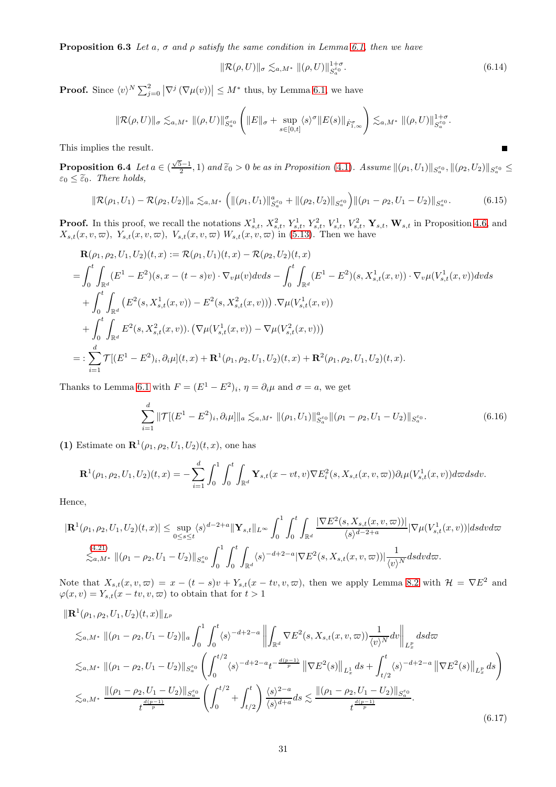**Proposition 6.3** Let a,  $\sigma$  and  $\rho$  satisfy the same condition in Lemma [6.1,](#page-25-0) then we have

<span id="page-30-2"></span><span id="page-30-1"></span>
$$
\|\mathcal{R}(\rho, U)\|_{\sigma} \lesssim_{a,M^*} \|(\rho, U)\|_{S^{\varepsilon_0}_{a}}^{1+\sigma}.
$$
\n(6.14)

**Proof.** Since  $\langle v \rangle^N \sum_{j=0}^2 |\nabla^j (\nabla \mu(v))| \leq M^*$  thus, by Lemma [6.1,](#page-25-0) we have

$$
\|\mathcal{R}(\rho,U)\|_{\sigma}\lesssim_{a,M^*}\|(\rho,U)\|_{S^{\sigma_0}_{a}}^{\sigma}\left(\|E\|_{\sigma}+\sup_{s\in[0,t]}\langle s\rangle^{\sigma}\|E(s)\|_{\dot{F}^{\sigma}_{1,\infty}}\right)\lesssim_{a,M^*}\|(\rho,U)\|_{S^{\sigma_0}_{a}}^{1+\sigma}.
$$

This implies the result.

**Proposition 6.4** Let  $a \in (\frac{\sqrt{5}-1}{2}, 1)$  and  $\widetilde{\varepsilon}_0 > 0$  be as in Proposition [\(4.1\)](#page-15-0). Assume  $\|(\rho_1, U_1)\|_{S_a^{\varepsilon_0}}, \|\rho_2, U_2\|\|_{S_a^{\varepsilon_0}} \leq$  $\varepsilon_0 \leq \widetilde{\varepsilon}_0$ . There holds,

$$
\|\mathcal{R}(\rho_1, U_1) - \mathcal{R}(\rho_2, U_2)\|_{a} \lesssim_{a, M^*} \left( \|(\rho_1, U_1)\|_{S_a^{\varepsilon_0}}^a + \|(\rho_2, U_2)\|_{S_a^{\varepsilon_0}} \right) \|\rho_1 - \rho_2, U_1 - U_2\|_{S_a^{\varepsilon_0}}. \tag{6.15}
$$

**Proof.** In this proof, we recall the notations  $X_{s,t}^1$ ,  $X_{s,t}^2$ ,  $Y_{s,t}^1$ ,  $Y_{s,t}^2$ ,  $V_{s,t}^1$ ,  $V_{s,t}^2$ ,  $\mathbf{Y}_{s,t}$ ,  $\mathbf{W}_{s,t}$  in Proposition [4.6,](#page-18-0) and  $X_{s,t}(x, v, \overline{\omega})$ ,  $Y_{s,t}(x, v, \overline{\omega})$ ,  $V_{s,t}(x, v, \overline{\omega})$ ,  $W_{s,t}(x, v, \overline{\omega})$  in [\(5.13\)](#page-24-2). Then we have

$$
\mathbf{R}(\rho_1, \rho_2, U_1, U_2)(t, x) := \mathcal{R}(\rho_1, U_1)(t, x) - \mathcal{R}(\rho_2, U_2)(t, x)
$$
\n
$$
= \int_0^t \int_{\mathbb{R}^d} (E^1 - E^2)(s, x - (t - s)v) \cdot \nabla_v \mu(v) dv ds - \int_0^t \int_{\mathbb{R}^d} (E^1 - E^2)(s, X_{s,t}^1(x, v)) \cdot \nabla_v \mu(V_{s,t}^1(x, v)) dv ds
$$
\n
$$
+ \int_0^t \int_{\mathbb{R}^d} (E^2(s, X_{s,t}^1(x, v)) - E^2(s, X_{s,t}^2(x, v))) \cdot \nabla \mu(V_{s,t}^1(x, v))
$$
\n
$$
+ \int_0^t \int_{\mathbb{R}^d} E^2(s, X_{s,t}^2(x, v)) \cdot (\nabla \mu(V_{s,t}^1(x, v)) - \nabla \mu(V_{s,t}^2(x, v)))
$$
\n
$$
=: \sum_{i=1}^d \mathcal{T}[(E^1 - E^2)_i, \partial_i \mu](t, x) + \mathbf{R}^1(\rho_1, \rho_2, U_1, U_2)(t, x) + \mathbf{R}^2(\rho_1, \rho_2, U_1, U_2)(t, x).
$$

Thanks to Lemma [6.1](#page-25-0) with  $F = (E^1 - E^2)_i$ ,  $\eta = \partial_i \mu$  and  $\sigma = a$ , we get

$$
\sum_{i=1}^{d} \|\mathcal{T}[(E^1 - E^2)_i, \partial_i \mu] \|_a \lesssim_{a, M^*} \|(\rho_1, U_1)\|_{S_a^{\varepsilon_0}}^a \|\rho_1 - \rho_2, U_1 - U_2\|_{S_a^{\varepsilon_0}}.\tag{6.16}
$$

(1) Estimate on  $\mathbb{R}^1(\rho_1, \rho_2, U_1, U_2)(t, x)$ , one has

$$
\mathbf{R}^{1}(\rho_{1},\rho_{2},U_{1},U_{2})(t,x)=-\sum_{i=1}^{d}\int_{0}^{1}\int_{0}^{t}\int_{\mathbb{R}^{d}}\mathbf{Y}_{s,t}(x-vt,v)\nabla E_{i}^{2}(s,X_{s,t}(x,v,\varpi))\partial_{i}\mu(V_{s,t}^{1}(x,v))d\varpi dsdv.
$$

Hence,

$$
|\mathbf{R}^{1}(\rho_{1},\rho_{2},U_{1},U_{2})(t,x)| \leq \sup_{0 \leq s \leq t} \langle s \rangle^{d-2+a} \|\mathbf{Y}_{s,t}\|_{L^{\infty}} \int_{0}^{1} \int_{0}^{t} \int_{\mathbb{R}^{d}} \frac{|\nabla E^{2}(s,X_{s,t}(x,v,\varpi))|}{\langle s \rangle^{d-2+a}} |\nabla \mu(V_{s,t}^{1}(x,v))| ds dv d\varpi
$$
  
\n
$$
\lesssim_{a,M^{*}} \|\rho_{1}-\rho_{2},U_{1}-U_{2})\|_{S_{a}^{\varepsilon_{0}}} \int_{0}^{1} \int_{\mathbb{R}^{d}} \langle s \rangle^{-d+2-a} |\nabla E^{2}(s,X_{s,t}(x,v,\varpi))| \frac{1}{\langle v \rangle^{N}} ds dv d\varpi.
$$

Note that  $X_{s,t}(x, v, \overline{\omega}) = x - (t - s)v + Y_{s,t}(x - tv, v, \overline{\omega})$ , then we apply Lemma [8.2](#page-44-11) with  $\mathcal{H} = \nabla E^2$  and  $\varphi(x,v)=Y_{s,t}(x-tv,v,\varpi)$  to obtain that for  $t>1$ 

<span id="page-30-0"></span>
$$
\|\mathbf{R}^{1}(\rho_{1},\rho_{2},U_{1},U_{2})(t,x)\|_{L^{p}}\n
$$
\lesssim_{a,M^{*}} \|\rho_{1}-\rho_{2},U_{1}-U_{2}\|_{a}\int_{0}^{1}\int_{0}^{t}\langle s\rangle^{-d+2-a}\left\|\int_{\mathbb{R}^{d}}\nabla E^{2}(s,X_{s,t}(x,v,\varpi))\frac{1}{\langle v\rangle^{N}}dv\right\|_{L_{x}^{p}}dsd\varpi
$$
\n
$$
\lesssim_{a,M^{*}} \|\rho_{1}-\rho_{2},U_{1}-U_{2}\|_{S_{a}^{\varepsilon_{0}}}\left(\int_{0}^{t/2}\langle s\rangle^{-d+2-a}t^{-\frac{d(p-1)}{p}}\|\nabla E^{2}(s)\|_{L_{x}^{1}}ds+\int_{t/2}^{t}\langle s\rangle^{-d+2-a}\|\nabla E^{2}(s)\|_{L_{x}^{p}}ds\right)
$$
\n
$$
\lesssim_{a,M^{*}} \frac{\|(\rho_{1}-\rho_{2},U_{1}-U_{2})\|_{S_{a}^{\varepsilon_{0}}}}{t^{\frac{d(p-1)}{p}}}\left(\int_{0}^{t/2}+\int_{t/2}^{t}\right)\frac{\langle s\rangle^{2-a}}{\langle s\rangle^{d+a}}ds\lesssim \frac{\|(\rho_{1}-\rho_{2},U_{1}-U_{2})\|_{S_{a}^{\varepsilon_{0}}}}{t^{\frac{d(p-1)}{p}}}.
$$
\n(6.17)
$$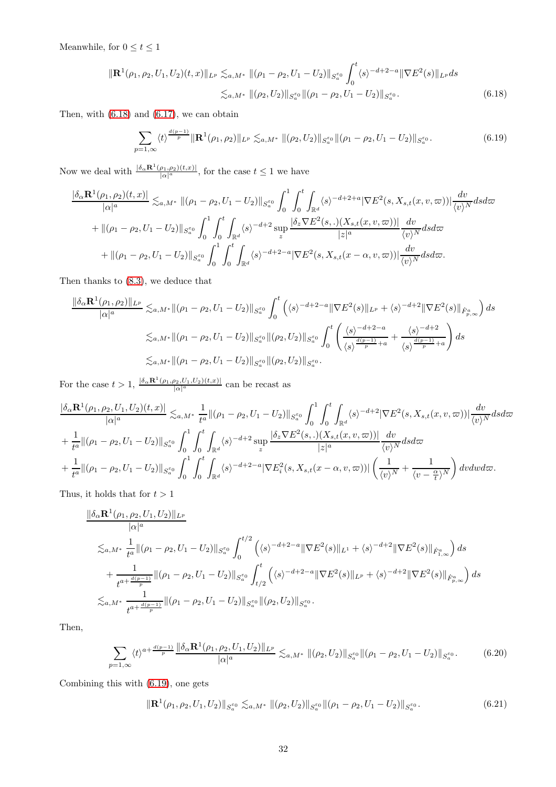Meanwhile, for  $0\leq t\leq 1$ 

$$
\|\mathbf{R}^{1}(\rho_{1},\rho_{2},U_{1},U_{2})(t,x)\|_{L^{p}} \lesssim_{a,M^{*}} \|(\rho_{1}-\rho_{2},U_{1}-U_{2})\|_{S_{a}^{\varepsilon_{0}}}\int_{0}^{t} \langle s \rangle^{-d+2-a} \|\nabla E^{2}(s)\|_{L^{p}} ds
$$

$$
\lesssim_{a,M^{*}} \|(\rho_{2},U_{2})\|_{S_{a}^{\varepsilon_{0}}}\|(\rho_{1}-\rho_{2},U_{1}-U_{2})\|_{S_{a}^{\varepsilon_{0}}}.
$$
(6.18)

Then, with [\(6.18\)](#page-31-0) and [\(6.17\)](#page-30-0), we can obtain

<span id="page-31-1"></span><span id="page-31-0"></span>
$$
\sum_{p=1,\infty} \langle t \rangle^{\frac{d(p-1)}{p}} \|\mathbf{R}^1(\rho_1,\rho_2)\|_{L^p} \lesssim_{a,M^*} \|(\rho_2,U_2)\|_{S_a^{\varepsilon_0}} \|\rho_1-\rho_2,U_1-U_2\|_{S_a^{\varepsilon_0}}. \tag{6.19}
$$

Now we deal with  $\frac{|\delta_{\alpha} \mathbf{R}^1(\rho_1, \rho_2)(t,x)|}{|\alpha|^a}$ , for the case  $t \leq 1$  we have

$$
\frac{|\delta_{\alpha} \mathbf{R}^{1}(\rho_{1}, \rho_{2})(t, x)|}{|\alpha|^{a}} \lesssim_{a, M^{*}} ||(\rho_{1} - \rho_{2}, U_{1} - U_{2})||_{S_{a}^{\varepsilon_{0}}} \int_{0}^{1} \int_{0}^{t} \int_{\mathbb{R}^{d}} \langle s \rangle^{-d+2+a} |\nabla E^{2}(s, X_{s,t}(x, v, \varpi))| \frac{dv}{\langle v \rangle^{N}} ds d\varpi + ||(\rho_{1} - \rho_{2}, U_{1} - U_{2})||_{S_{a}^{\varepsilon_{0}}} \int_{0}^{1} \int_{0}^{t} \int_{\mathbb{R}^{d}} \langle s \rangle^{-d+2} \sup_{z} \frac{|\delta_{z} \nabla E^{2}(s, .)(X_{s,t}(x, v, \varpi))|}{|z|^{a}} \frac{dv}{\langle v \rangle^{N}} ds d\varpi + ||(\rho_{1} - \rho_{2}, U_{1} - U_{2})||_{S_{a}^{\varepsilon_{0}}} \int_{0}^{1} \int_{0}^{t} \int_{\mathbb{R}^{d}} \langle s \rangle^{-d+2-a} |\nabla E^{2}(s, X_{s,t}(x - \alpha, v, \varpi))| \frac{dv}{\langle v \rangle^{N}} ds d\varpi.
$$

Then thanks to [\(8.3\)](#page-44-12), we deduce that

$$
\frac{\|\delta_{\alpha} \mathbf{R}^{1}(\rho_{1},\rho_{2})\|_{L^{p}}}{|\alpha|^{a}} \lesssim_{a,M^{*}} \|(\rho_{1}-\rho_{2},U_{1}-U_{2})\|_{S_{a}^{\varepsilon_{0}}}\int_{0}^{t} \left(\langle s \rangle^{-d+2-a} \|\nabla E^{2}(s)\|_{L^{p}} + \langle s \rangle^{-d+2} \|\nabla E^{2}(s)\|_{\dot{F}_{p,\infty}^{a}}\right) ds
$$
  

$$
\lesssim_{a,M^{*}} \|(\rho_{1}-\rho_{2},U_{1}-U_{2})\|_{S_{a}^{\varepsilon_{0}}}\|(\rho_{2},U_{2})\|_{S_{a}^{\varepsilon_{0}}}\int_{0}^{t} \left(\frac{\langle s \rangle^{-d+2-a}}{\langle s \rangle^{\frac{d(p-1)}{p}+a}} + \frac{\langle s \rangle^{-d+2}}{\langle s \rangle^{\frac{d(p-1)}{p}+a}}\right) ds
$$
  

$$
\lesssim_{a,M^{*}} \|(\rho_{1}-\rho_{2},U_{1}-U_{2})\|_{S_{a}^{\varepsilon_{0}}}\|(\rho_{2},U_{2})\|_{S_{a}^{\varepsilon_{0}}}.
$$

For the case  $t > 1$ ,  $\frac{|\delta_{\alpha} \mathbf{R}^1(\rho_1, \rho_2, U_1, U_2)(t, x)|}{|\alpha|^a}$  can be recast as

$$
\frac{|\delta_{\alpha} \mathbf{R}^{1}(\rho_{1},\rho_{2},U_{1},U_{2})(t,x)|}{|\alpha|^{a}} \lesssim_{a,M^{*}} \frac{1}{t^{a}} \Vert (\rho_{1}-\rho_{2},U_{1}-U_{2}) \Vert_{S_{a}^{\varepsilon_{0}}} \int_{0}^{1} \int_{0}^{t} \int_{\mathbb{R}^{d}} \langle s \rangle^{-d+2} \vert \nabla E^{2}(s,X_{s,t}(x,v,\varpi)) \vert \frac{dv}{\langle v \rangle^{N}} ds d\varpi + \frac{1}{t^{a}} \Vert (\rho_{1}-\rho_{2},U_{1}-U_{2}) \Vert_{S_{a}^{\varepsilon_{0}}} \int_{0}^{1} \int_{0}^{t} \int_{\mathbb{R}^{d}} \langle s \rangle^{-d+2} \sup_{z} \frac{\vert \delta_{z} \nabla E^{2}(s,.) (X_{s,t}(x,v,\varpi)) \vert}{|z|^{a}} \frac{dv}{\langle v \rangle^{N}} ds d\varpi + \frac{1}{t^{a}} \Vert (\rho_{1}-\rho_{2},U_{1}-U_{2}) \Vert_{S_{a}^{\varepsilon_{0}}} \int_{0}^{1} \int_{0}^{t} \int_{\mathbb{R}^{d}} \langle s \rangle^{-d+2-a} \vert \nabla E_{i}^{2}(s,X_{s,t}(x-\alpha,v,\varpi)) \vert \left( \frac{1}{\langle v \rangle^{N}} + \frac{1}{\langle v - \frac{\alpha}{t} \rangle^{N}} \right) dv dw d\varpi.
$$

Thus, it holds that for  $t > 1$ 

$$
\frac{\|\delta_{\alpha} \mathbf{R}^{1}(\rho_{1}, \rho_{2}, U_{1}, U_{2})\|_{L^{p}}}{|\alpha|^{a}}
$$
\n
$$
\lesssim_{a,M^{*}} \frac{1}{t^{a}} \|(\rho_{1} - \rho_{2}, U_{1} - U_{2})\|_{S_{a}^{\varepsilon_{0}}} \int_{0}^{t/2} \left( \langle s \rangle^{-d+2-a} \|\nabla E^{2}(s)\|_{L^{1}} + \langle s \rangle^{-d+2} \|\nabla E^{2}(s)\|_{\dot{F}_{1,\infty}^{a}} \right) ds
$$
\n
$$
+ \frac{1}{t^{a+\frac{d(p-1)}{p}}} \|(\rho_{1} - \rho_{2}, U_{1} - U_{2})\|_{S_{a}^{\varepsilon_{0}}} \int_{t/2}^{t} \left( \langle s \rangle^{-d+2-a} \|\nabla E^{2}(s)\|_{L^{p}} + \langle s \rangle^{-d+2} \|\nabla E^{2}(s)\|_{\dot{F}_{p,\infty}^{a}} \right) ds
$$
\n
$$
\lesssim_{a,M^{*}} \frac{1}{t^{a+\frac{d(p-1)}{p}}} \|(\rho_{1} - \rho_{2}, U_{1} - U_{2})\|_{S_{a}^{\varepsilon_{0}}} \|(\rho_{2}, U_{2})\|_{S_{a}^{\varepsilon_{0}}}.
$$

Then,

$$
\sum_{p=1,\infty} \langle t \rangle^{a + \frac{d(p-1)}{p}} \frac{\|\delta_{\alpha} \mathbf{R}^1(\rho_1, \rho_2, U_1, U_2)\|_{L^p}}{|\alpha|^a} \lesssim_{a,M^*} \|(\rho_2, U_2)\|_{S_a^{\varepsilon_0}} \|(\rho_1 - \rho_2, U_1 - U_2)\|_{S_a^{\varepsilon_0}}.\tag{6.20}
$$

Combining this with [\(6.19\)](#page-31-1), one gets

$$
\|\mathbf{R}^{1}(\rho_{1},\rho_{2},U_{1},U_{2})\|_{S_{a}^{\varepsilon_{0}}}\lesssim_{a,M^{*}} \|(\rho_{2},U_{2})\|_{S_{a}^{\varepsilon_{0}}}\|(\rho_{1}-\rho_{2},U_{1}-U_{2})\|_{S_{a}^{\varepsilon_{0}}}.
$$
\n(6.21)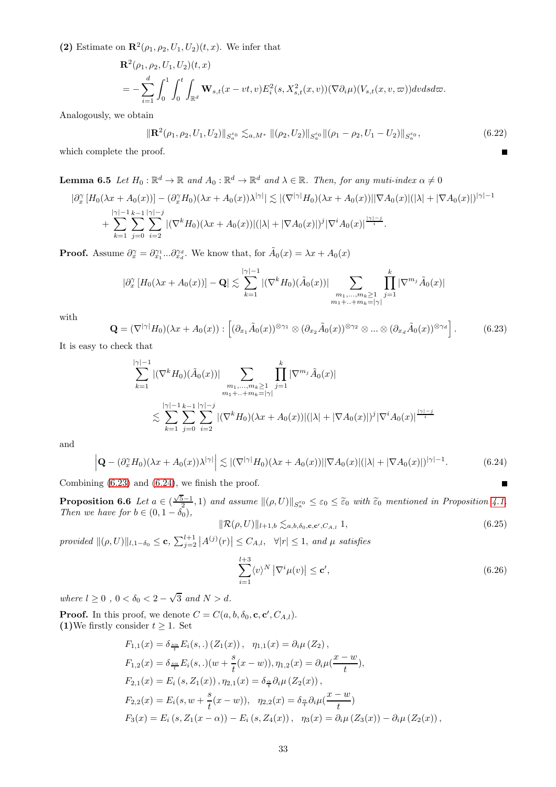(2) Estimate on  $\mathbb{R}^2(\rho_1, \rho_2, U_1, U_2)(t, x)$ . We infer that

$$
\mathbf{R}^{2}(\rho_{1},\rho_{2},U_{1},U_{2})(t,x) = -\sum_{i=1}^{d} \int_{0}^{1} \int_{\mathbb{R}^{d}} \mathbf{W}_{s,t}(x-vt,v) E_{i}^{2}(s,X_{s,t}^{2}(x,v)) (\nabla \partial_{i}\mu)(V_{s,t}(x,v,\varpi)) dv ds d\varpi.
$$

Analogously, we obtain

$$
\|\mathbf{R}^{2}(\rho_{1},\rho_{2},U_{1},U_{2})\|_{S_{a}^{\varepsilon_{0}}}\lesssim_{a,M^{*}} \|(\rho_{2},U_{2})\|_{S_{a}^{\varepsilon_{0}}}\|(\rho_{1}-\rho_{2},U_{1}-U_{2})\|_{S_{a}^{\varepsilon_{0}}},\tag{6.22}
$$

<span id="page-32-2"></span>which complete the proof.

**Lemma 6.5** Let  $H_0: \mathbb{R}^d \to \mathbb{R}$  and  $A_0: \mathbb{R}^d \to \mathbb{R}^d$  and  $\lambda \in \mathbb{R}$ . Then, for any muti-index  $\alpha \neq 0$ 

$$
\left|\partial_x^{\gamma}\left[H_0(\lambda x + A_0(x))\right] - (\partial_x^{\gamma} H_0(\lambda x + A_0(x))\lambda^{|\gamma|}\right| \lesssim |(\nabla^{|\gamma|} H_0)(\lambda x + A_0(x))||\nabla A_0(x)|(|\lambda| + |\nabla A_0(x)|)^{|\gamma|-1} + \sum_{k=1}^{|\gamma|-1} \sum_{j=0}^{k-1} \sum_{i=2}^{|\gamma|-j} |(\nabla^k H_0)(\lambda x + A_0(x))|(|\lambda| + |\nabla A_0(x)|)^j |\nabla^i A_0(x)|^{\frac{|\gamma|-j}{i}}.
$$

**Proof.** Assume  $\partial_x^{\gamma} = \partial_{x_1}^{\gamma_1}...\partial_{x_d}^{\gamma_d}$ . We know that, for  $\tilde{A}_0(x) = \lambda x + A_0(x)$ 

$$
|\partial_x^{\gamma}[H_0(\lambda x + A_0(x))] - \mathbf{Q}| \lesssim \sum_{k=1}^{|\gamma|-1} |(\nabla^k H_0)(\tilde{A}_0(x))| \sum_{\substack{m_1, \dots, m_k \ge 1 \\ m_1 + \dots + m_k = |\gamma|}} \prod_{j=1}^k |\nabla^{m_j} \tilde{A}_0(x)|
$$

with

<span id="page-32-0"></span>
$$
\mathbf{Q} = (\nabla^{|\gamma|} H_0)(\lambda x + A_0(x)) : \left[ (\partial_{x_1} \tilde{A}_0(x))^{\otimes \gamma_1} \otimes (\partial_{x_2} \tilde{A}_0(x))^{\otimes \gamma_2} \otimes ... \otimes (\partial_{x_d} \tilde{A}_0(x))^{\otimes \gamma_d} \right].
$$
 (6.23)

It is easy to check that

$$
\sum_{k=1}^{|\gamma|-1} |(\nabla^k H_0)(\tilde{A}_0(x))| \sum_{\substack{m_1,\ldots,m_k \ge 1\\m_1 + \ldots + m_k = |\gamma|}} \prod_{j=1}^k |\nabla^{m_j} \tilde{A}_0(x)|
$$
  

$$
\lesssim \sum_{k=1}^{|\gamma|-1} \sum_{j=0}^{k-1} \sum_{i=2}^{|\gamma|-j} |(\nabla^k H_0)(\lambda x + A_0(x))|(|\lambda| + |\nabla A_0(x)|)^j |\nabla^i A_0(x)|^{\frac{|\gamma|-j}{i}}
$$

and

$$
\left|\mathbf{Q} - \left(\partial_x^{\gamma} H_0\right)(\lambda x + A_0(x))\lambda^{|\gamma|}\right| \lesssim \left| \left(\nabla^{|\gamma|} H_0\right)(\lambda x + A_0(x))\right| |\nabla A_0(x)| (|\lambda| + |\nabla A_0(x)|)^{|\gamma|-1}.
$$
\n(6.24)

Combining [\(6.23\)](#page-32-0) and [\(6.24\)](#page-32-1), we finish the proof.

**Proposition 6.6** Let  $a \in (\frac{\sqrt{5}-1}{5}, 1)$  and assume  $\|(\rho, U)\|_{S_a^{\varepsilon_0}} \leq \varepsilon_0 \leq \tilde{\varepsilon}_0$  with  $\tilde{\varepsilon}_0$  mentioned in Proposition [4.1.](#page-15-0) Then we have for  $b \in (0, 1 - \delta_0)$ ,

<span id="page-32-3"></span>
$$
\|\mathcal{R}(\rho, U)\|_{l+1,b} \lesssim_{a,b,\delta_0,c,c',C_{A,l}} 1,
$$
\n(6.25)

provided  $\|(\rho, U)\|_{l, 1-\delta_0} \leq \mathbf{c}, \sum_{j=2}^{l+1} |A^{(j)}(r)| \leq C_{A,l}, \quad \forall |r| \leq 1, \text{ and } \mu \text{ satisfies}$ 

<span id="page-32-4"></span><span id="page-32-1"></span>
$$
\sum_{i=1}^{l+3} \langle v \rangle^N \left| \nabla^i \mu(v) \right| \le \mathbf{c}',\tag{6.26}
$$

where  $l \geq 0$ ,  $0 < \delta_0 < 2 - \sqrt{3}$  and  $N > d$ .

**Proof.** In this proof, we denote  $C = C(a, b, \delta_0, \mathbf{c}, \mathbf{c}', C_{A,l}).$ (1)We firstly consider  $t \geq 1$ . Set

$$
F_{1,1}(x) = \delta_{\frac{s\alpha}{t}} E_i(s,.) (Z_1(x)), \quad \eta_{1,1}(x) = \partial_i \mu(Z_2),
$$
  
\n
$$
F_{1,2}(x) = \delta_{\frac{s\alpha}{t}} E_i(s,.) (w + \frac{s}{t}(x - w)), \eta_{1,2}(x) = \partial_i \mu(\frac{x - w}{t}),
$$
  
\n
$$
F_{2,1}(x) = E_i(s, Z_1(x)), \eta_{2,1}(x) = \delta_{\frac{\alpha}{t}} \partial_i \mu(Z_2(x)),
$$
  
\n
$$
F_{2,2}(x) = E_i(s, w + \frac{s}{t}(x - w)), \quad \eta_{2,2}(x) = \delta_{\frac{\alpha}{t}} \partial_i \mu(\frac{x - w}{t})
$$
  
\n
$$
F_3(x) = E_i(s, Z_1(x - \alpha)) - E_i(s, Z_4(x)), \quad \eta_3(x) = \partial_i \mu(Z_3(x)) - \partial_i \mu(Z_2(x)),
$$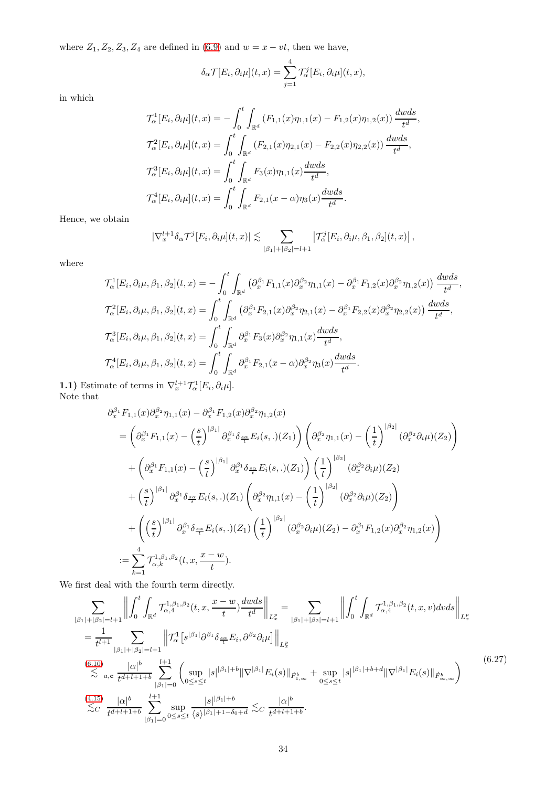where  $Z_1, Z_2, Z_3, Z_4$  are defined in [\(6.9\)](#page-27-1) and  $w = x - vt$ , then we have,

$$
\delta_{\alpha} \mathcal{T}[E_i, \partial_i \mu](t, x) = \sum_{j=1}^4 \mathcal{T}_{\alpha}^j[E_i, \partial_i \mu](t, x),
$$

in which

$$
\mathcal{T}_{\alpha}^{1}[E_{i}, \partial_{i}\mu](t, x) = -\int_{0}^{t} \int_{\mathbb{R}^{d}} (F_{1,1}(x)\eta_{1,1}(x) - F_{1,2}(x)\eta_{1,2}(x)) \frac{dwds}{t^{d}},
$$
  

$$
\mathcal{T}_{\alpha}^{2}[E_{i}, \partial_{i}\mu](t, x) = \int_{0}^{t} \int_{\mathbb{R}^{d}} (F_{2,1}(x)\eta_{2,1}(x) - F_{2,2}(x)\eta_{2,2}(x)) \frac{dwds}{t^{d}},
$$
  

$$
\mathcal{T}_{\alpha}^{3}[E_{i}, \partial_{i}\mu](t, x) = \int_{0}^{t} \int_{\mathbb{R}^{d}} F_{3}(x)\eta_{1,1}(x) \frac{dwds}{t^{d}},
$$
  

$$
\mathcal{T}_{\alpha}^{4}[E_{i}, \partial_{i}\mu](t, x) = \int_{0}^{t} \int_{\mathbb{R}^{d}} F_{2,1}(x - \alpha)\eta_{3}(x) \frac{dwds}{t^{d}}.
$$

Hence, we obtain

$$
|\nabla_x^{l+1} \delta_\alpha \mathcal{T}^j[E_i, \partial_i \mu](t, x)| \lesssim \sum_{|\beta_1|+|\beta_2|=l+1} |\mathcal{T}^j_\alpha[E_i, \partial_i \mu, \beta_1, \beta_2](t, x)|,
$$

where

$$
\mathcal{T}_{\alpha}^{1}[E_{i},\partial_{i}\mu,\beta_{1},\beta_{2}](t,x) = -\int_{0}^{t} \int_{\mathbb{R}^{d}} \left(\partial_{x}^{\beta_{1}}F_{1,1}(x)\partial_{x}^{\beta_{2}}\eta_{1,1}(x) - \partial_{x}^{\beta_{1}}F_{1,2}(x)\partial_{x}^{\beta_{2}}\eta_{1,2}(x)\right) \frac{dwds}{t^{d}},
$$
  
\n
$$
\mathcal{T}_{\alpha}^{2}[E_{i},\partial_{i}\mu,\beta_{1},\beta_{2}](t,x) = \int_{0}^{t} \int_{\mathbb{R}^{d}} \left(\partial_{x}^{\beta_{1}}F_{2,1}(x)\partial_{x}^{\beta_{2}}\eta_{2,1}(x) - \partial_{x}^{\beta_{1}}F_{2,2}(x)\partial_{x}^{\beta_{2}}\eta_{2,2}(x)\right) \frac{dwds}{t^{d}},
$$
  
\n
$$
\mathcal{T}_{\alpha}^{3}[E_{i},\partial_{i}\mu,\beta_{1},\beta_{2}](t,x) = \int_{0}^{t} \int_{\mathbb{R}^{d}} \partial_{x}^{\beta_{1}}F_{3}(x)\partial_{x}^{\beta_{2}}\eta_{1,1}(x) \frac{dwds}{t^{d}},
$$
  
\n
$$
\mathcal{T}_{\alpha}^{4}[E_{i},\partial_{i}\mu,\beta_{1},\beta_{2}](t,x) = \int_{0}^{t} \int_{\mathbb{R}^{d}} \partial_{x}^{\beta_{1}}F_{2,1}(x-\alpha)\partial_{x}^{\beta_{2}}\eta_{3}(x) \frac{dwds}{t^{d}}.
$$

**1.1**) Estimate of terms in  $\nabla_x^{l+1} \mathcal{T}_\alpha^1[E_i, \partial_i \mu].$ Note that

$$
\partial_x^{\beta_1} F_{1,1}(x) \partial_x^{\beta_2} \eta_{1,1}(x) - \partial_x^{\beta_1} F_{1,2}(x) \partial_x^{\beta_2} \eta_{1,2}(x)
$$
\n
$$
= \left( \partial_x^{\beta_1} F_{1,1}(x) - \left( \frac{s}{t} \right)^{|\beta_1|} \partial_x^{\beta_1} \delta_{\frac{s\alpha}{t}} E_i(s,.)(Z_1) \right) \left( \partial_x^{\beta_2} \eta_{1,1}(x) - \left( \frac{1}{t} \right)^{|\beta_2|} (\partial_x^{\beta_2} \partial_i \mu)(Z_2) \right)
$$
\n
$$
+ \left( \partial_x^{\beta_1} F_{1,1}(x) - \left( \frac{s}{t} \right)^{|\beta_1|} \partial_x^{\beta_1} \delta_{\frac{s\alpha}{t}} E_i(s,.)(Z_1) \right) \left( \frac{1}{t} \right)^{|\beta_2|} (\partial_x^{\beta_2} \partial_i \mu)(Z_2)
$$
\n
$$
+ \left( \frac{s}{t} \right)^{|\beta_1|} \partial_x^{\beta_1} \delta_{\frac{s\alpha}{t}} E_i(s,.)(Z_1) \left( \partial_x^{\beta_2} \eta_{1,1}(x) - \left( \frac{1}{t} \right)^{|\beta_2|} (\partial_x^{\beta_2} \partial_i \mu)(Z_2) \right)
$$
\n
$$
+ \left( \left( \frac{s}{t} \right)^{|\beta_1|} \partial_x^{\beta_1} \delta_{\frac{s\alpha}{t}} E_i(s,.)(Z_1) \left( \frac{1}{t} \right)^{|\beta_2|} (\partial_x^{\beta_2} \partial_i \mu)(Z_2) - \partial_x^{\beta_1} F_{1,2}(x) \partial_x^{\beta_2} \eta_{1,2}(x) \right)
$$
\n
$$
:= \sum_{k=1}^4 \mathcal{T}_{\alpha,k}^{1,\beta_1,\beta_2}(t,x,\frac{x-w}{t}).
$$

We first deal with the fourth term directly.

<span id="page-33-0"></span>
$$
\sum_{|\beta_{1}|+|\beta_{2}|=l+1} \left\| \int_{0}^{t} \int_{\mathbb{R}^{d}} \mathcal{T}_{\alpha,4}^{1,\beta_{1},\beta_{2}}(t,x,\frac{x-w}{t}) \frac{dwds}{t^{d}} \right\|_{L_{x}^{p}} = \sum_{|\beta_{1}|+|\beta_{2}|=l+1} \left\| \int_{0}^{t} \int_{\mathbb{R}^{d}} \mathcal{T}_{\alpha,4}^{1,\beta_{1},\beta_{2}}(t,x,v) \frac{dwds}{t^{l}} \right\|_{L_{x}^{p}}
$$
\n
$$
= \frac{1}{t^{l+1}} \sum_{|\beta_{1}|+|\beta_{2}|=l+1} \left\| \mathcal{T}_{\alpha}^{1}[s^{|\beta_{1}|}\partial^{\beta_{1}}\delta_{\frac{s\alpha}{t}}E_{i},\partial^{\beta_{2}}\partial_{i}\mu] \right\|_{L_{x}^{p}}
$$
\n
$$
\lesssim \sum_{a,\mathbf{c}} \frac{|\alpha|^{b}}{t^{d+l+1+b}} \sum_{|\beta_{1}|=0}^{l+1} \left( \sup_{0 \le s \le t} |s|^{|\beta_{1}|+b} \|\nabla^{|\beta_{1}|}E_{i}(s)\|_{\dot{F}_{1,\infty}^{b}} + \sup_{0 \le s \le t} |s|^{|\beta_{1}|+b+d} \|\nabla^{|\beta_{1}|}E_{i}(s)\|_{\dot{F}_{\infty,\infty}^{b}} \right)
$$
\n
$$
\lesssim C \frac{|\alpha|^{b}}{t^{d+l+1+b}} \sum_{|\beta_{1}|=0}^{l+1} \sup_{0 \le s \le t} \frac{|s|^{|\beta_{1}|+b}}{\langle s \rangle^{|\beta_{1}|+1-\delta_{0}+d}} \lesssim C \frac{|\alpha|^{b}}{t^{d+l+1+b}}.
$$
\n
$$
(6.27)
$$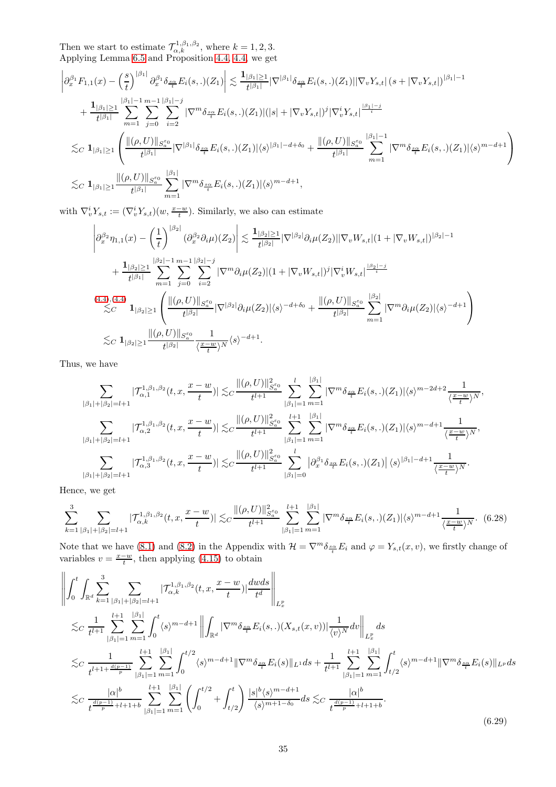Then we start to estimate  $\mathcal{T}_{\alpha,k}^{1,\beta_1,\beta_2}$ , where  $k = 1,2,3$ . Applying Lemma [6.5](#page-32-2) and Proposition [4.4,](#page-15-3) [4.4,](#page-16-3) we get

$$
\left| \partial_x^{\beta_1} F_{1,1}(x) - \left(\frac{s}{t}\right)^{\beta_1} \partial_x^{\beta_1} \delta_{\frac{s\alpha}{t}} E_i(s,.)(Z_1) \right| \lesssim \frac{1_{|\beta_1| \geq 1}}{t^{|\beta_1|}} |\nabla^{|\beta_1|} \delta_{\frac{s\alpha}{t}} E_i(s,.)(Z_1) || \nabla_v Y_{s,t} | (s + |\nabla_v Y_{s,t}|)^{|\beta_1| - 1} + \frac{1_{|\beta_1| \geq 1}}{t^{|\beta_1|}} \sum_{m=1}^{|\beta_1| - 1} \sum_{j=0}^{m-1} \sum_{i=2}^{|\beta_1| - j} |\nabla^m \delta_{\frac{s\alpha}{t}} E_i(s,.)(Z_1)| (|s| + |\nabla_v Y_{s,t}|)^j |\nabla_v^i Y_{s,t}|^{\frac{|\beta_1| - j}{i}} + \frac{1_{|\beta_1| \geq 1}}{t^{|\beta_1|}} \left( \frac{\|(\rho, U)\|_{S_0^{\varepsilon_0}}}{t^{|\beta_1|}} |\nabla^{|\beta_1|} \delta_{\frac{s\alpha}{t}} E_i(s,.)(Z_1)| \langle s \rangle^{|\beta_1| - d + \delta_0} + \frac{\|(\rho, U)\|_{S_0^{\varepsilon_0}}}{t^{|\beta_1|}} \sum_{m=1}^{|\beta_1| - 1} |\nabla^m \delta_{\frac{s\alpha}{t}} E_i(s,.)(Z_1)| \langle s \rangle^{m - d + 1} \right)
$$
  

$$
\lesssim_C \mathbf{1}_{|\beta_1| \geq 1} \frac{\|(\rho, U)\|_{S_0^{\varepsilon_0}}}{t^{|\beta_1|}} \sum_{m=1}^{|\beta_1|} |\nabla^m \delta_{\frac{s\alpha}{t}} E_i(s,.)(Z_1)| \langle s \rangle^{m - d + 1},
$$

with  $\nabla_v^i Y_{s,t} := (\nabla_v^i Y_{s,t})(w, \frac{x-w}{t}).$  Similarly, we also can estimate

$$
\begin{split} &\left|\partial_x^{\beta_2}\eta_{1,1}(x)-\left(\frac{1}{t}\right)^{|\beta_2|}(\partial_x^{\beta_2}\partial_i\mu)(Z_2)\right|\lesssim \frac{\mathbf{1}_{|\beta_2|\geq 1}}{t^{|\beta_2|}}|\nabla^{|\beta_2|}\partial_i\mu(Z_2)||\nabla_vW_{s,t}|(1+|\nabla_vW_{s,t}|)^{|\beta_2|-1}\\ &+\frac{\mathbf{1}_{|\beta_2|\geq 1}}{t^{|\beta_1|}}\sum_{m=1}^{|\beta_2|-1}\sum_{j=0}^{m-1}\sum_{i=2}^{|\beta_2|-j}|\nabla^m\partial_i\mu(Z_2)|(1+|\nabla_vW_{s,t}|)^j|\nabla_v^iW_{s,t}|^{\frac{|\beta_2|-j}{i}}\\ &\stackrel{(4.4),(4.4)}{\lesssim_C}\mathbf{1}_{|\beta_2|\geq 1}\left(\frac{\|(\rho,U)\|_{S_a^{\varepsilon_0}}}{t^{|\beta_2|}}|\nabla^{|\beta_2|}\partial_i\mu(Z_2)|\langle s\rangle^{-d+\delta_0}+\frac{\|(\rho,U)\|_{S_a^{\varepsilon_0}}}{t^{|\beta_2|}}\sum_{m=1}^{|\beta_2|}|\nabla^m\partial_i\mu(Z_2)|\langle s\rangle^{-d+1}\right)\\ &\lesssim_C\mathbf{1}_{|\beta_2|\geq 1}\frac{\|(\rho,U)\|_{S_a^{\varepsilon_0}}}{t^{|\beta_2|}}\frac{1}{\langle\frac{x-w}{t}\rangle^N}\langle s\rangle^{-d+1}. \end{split}
$$

Thus, we have

$$
\sum_{|\beta_1|+|\beta_2|=l+1} |{\cal T}^{1,\beta_1,\beta_2}_{\alpha,1}(t,x,\frac{x-w}{t})|\lesssim_C \frac{\|(\rho,U)\|^2_{S^{\varepsilon_0}_{\alpha}}}{t^{l+1}}\sum_{|\beta_1|=1}^{l}\sum_{m=1}^{|\beta_1|} |\nabla^m\delta_{\frac{s\alpha}{t}}E_i(s,.)(Z_1)|\langle s\rangle^{m-2d+2}\frac{1}{\langle\frac{x-w}{t}\rangle^N},\\\sum_{|\beta_1|+|\beta_2|=l+1} |{\cal T}^{1,\beta_1,\beta_2}_{\alpha,2}(t,x,\frac{x-w}{t})|\lesssim_C \frac{\|(\rho,U)\|^2_{S^{\varepsilon_0}_{\alpha}}}{t^{l+1}}\sum_{|\beta_1|=1}^{l+1}\sum_{m=1}^{|\beta_1|} |\nabla^m\delta_{\frac{s\alpha}{t}}E_i(s,.)(Z_1)|\langle s\rangle^{m-d+1}\frac{1}{\langle\frac{x-w}{t}\rangle^N},\\\sum_{|\beta_1|+|\beta_2|=l+1} |{\cal T}^{1,\beta_1,\beta_2}_{\alpha,3}(t,x,\frac{x-w}{t})|\lesssim_C \frac{\|(\rho,U)\|^2_{S^{\varepsilon_0}_{\alpha}}}{t^{l+1}}\sum_{|\beta_1|=0}^{l}\big|\partial_x^{\beta_1}\delta_{\frac{s\alpha}{t}}E_i(s,.)(Z_1)|\,\langle s\rangle^{|\beta_1|-d+1}\frac{1}{\langle\frac{x-w}{t}\rangle^N}.
$$

Hence, we get

$$
\sum_{k=1}^{3} \sum_{|\beta_1|+|\beta_2|=l+1} |\mathcal{T}_{\alpha,k}^{1,\beta_1,\beta_2}(t,x,\frac{x-w}{t})| \lesssim_C \frac{\|(\rho,U)\|_{S_a^{\varepsilon_0}}^2}{t^{l+1}} \sum_{|\beta_1|=1}^{l+1} \sum_{m=1}^{|\beta_1|} |\nabla^m \delta_{\frac{s\alpha}{t}} E_i(s,.)(Z_1)| \langle s \rangle^{m-d+1} \frac{1}{\langle \frac{x-w}{t} \rangle^N}.
$$
 (6.28)

Note that we have [\(8.1\)](#page-44-10) and [\(8.2\)](#page-44-9) in the Appendix with  $\mathcal{H} = \nabla^m \delta_{\frac{s\alpha}{t}} E_i$  and  $\varphi = Y_{s,t}(x, v)$ , we firstly change of variables  $v = \frac{x-w}{t}$ , then applying [\(4.15\)](#page-17-2) to obtain

<span id="page-34-0"></span>
$$
\left\| \int_{0}^{t} \int_{\mathbb{R}^{d}} \sum_{k=1}^{3} \sum_{|\beta_{1}|+|\beta_{2}|=l+1} |\mathcal{T}_{\alpha,k}^{1,\beta_{1},\beta_{2}}(t,x,\frac{x-w}{t})| \frac{dwds}{t^{d}} \right\|_{L_{x}^{p}}\n\leq C \frac{1}{t^{l+1}} \sum_{|\beta_{1}|=1}^{l+1} \sum_{m=1}^{|\beta_{1}|} \int_{0}^{t} \langle s \rangle^{m-d+1} \left\| \int_{\mathbb{R}^{d}} |\nabla^{m} \delta_{\frac{s\alpha}{t}} E_{i}(s,.)(X_{s,t}(x,v))| \frac{1}{\langle v \rangle^{N}} dv \right\|_{L_{x}^{p}} ds\n\leq C \frac{1}{t^{l+1+\frac{d(p-1)}{p}}} \sum_{|\beta_{1}|=1}^{l+1} \sum_{m=1}^{|\beta_{1}|} \int_{0}^{t/2} \langle s \rangle^{m-d+1} \|\nabla^{m} \delta_{\frac{s\alpha}{t}} E_{i}(s) \|_{L^{1}} ds + \frac{1}{t^{l+1}} \sum_{|\beta_{1}|=1}^{l+1} \sum_{m=1}^{|\beta_{1}|} \int_{t/2}^{t} \langle s \rangle^{m-d+1} \|\nabla^{m} \delta_{\frac{s\alpha}{t}} E_{i}(s) \|_{L^{p}} ds\n\leq C \frac{|\alpha|^{b}}{t^{\frac{d(p-1)}{p}+l+1+b}} \sum_{|\beta_{1}|=1}^{l+1} \sum_{m=1}^{|\beta_{1}|} \left( \int_{0}^{t/2} + \int_{t/2}^{t} \right) \frac{|s|^{b} \langle s \rangle^{m-d+1}}{\langle s \rangle^{m+1-\delta_{0}}} ds \lesssim C \frac{|\alpha|^{b}}{t^{\frac{d(p-1)}{p}+l+1+b}}.
$$
\n(6.29)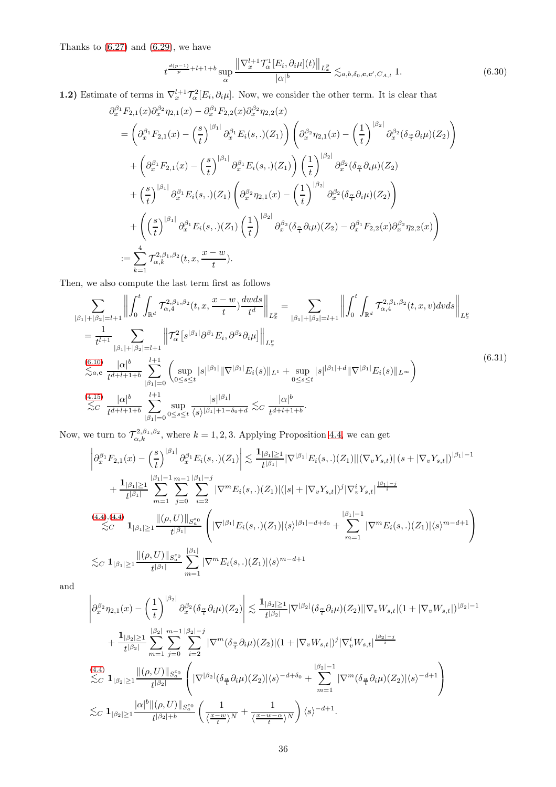Thanks to  $(6.27)$  and  $(6.29)$ , we have

<span id="page-35-1"></span>
$$
t^{\frac{d(p-1)}{p}+l+1+b} \sup_{\alpha} \frac{\left\| \nabla_x^{l+1} \mathcal{T}_{\alpha}^1[E_i, \partial_i \mu](t) \right\|_{L^p_x}}{|\alpha|^b} \lesssim_{a,b,\delta_0, \mathbf{c}, \mathbf{c}', C_{A,l}} 1.
$$
 (6.30)

**1.2)** Estimate of terms in  $\nabla_x^{l+1} \mathcal{T}_\alpha^2 [E_i, \partial_i \mu]$ . Now, we consider the other term. It is clear that

$$
\partial_{x}^{\beta_{1}}F_{2,1}(x)\partial_{x}^{\beta_{2}}\eta_{2,1}(x)-\partial_{x}^{\beta_{1}}F_{2,2}(x)\partial_{x}^{\beta_{2}}\eta_{2,2}(x)
$$
\n
$$
=\left(\partial_{x}^{\beta_{1}}F_{2,1}(x)-\left(\frac{s}{t}\right)^{|\beta_{1}|}\partial_{x}^{\beta_{1}}E_{i}(s,.)(Z_{1})\right)\left(\partial_{x}^{\beta_{2}}\eta_{2,1}(x)-\left(\frac{1}{t}\right)^{|\beta_{2}|}\partial_{x}^{\beta_{2}}(\delta_{\frac{\alpha}{t}}\partial_{i}\mu)(Z_{2})\right)
$$
\n
$$
+\left(\partial_{x}^{\beta_{1}}F_{2,1}(x)-\left(\frac{s}{t}\right)^{|\beta_{1}|}\partial_{x}^{\beta_{1}}E_{i}(s,.)(Z_{1})\right)\left(\frac{1}{t}\right)^{|\beta_{2}|}\partial_{x}^{\beta_{2}}(\delta_{\frac{\alpha}{t}}\partial_{i}\mu)(Z_{2})
$$
\n
$$
+\left(\frac{s}{t}\right)^{|\beta_{1}|}\partial_{x}^{\beta_{1}}E_{i}(s,.)(Z_{1})\left(\partial_{x}^{\beta_{2}}\eta_{2,1}(x)-\left(\frac{1}{t}\right)^{|\beta_{2}|}\partial_{x}^{\beta_{2}}(\delta_{\frac{\alpha}{t}}\partial_{i}\mu)(Z_{2})\right)
$$
\n
$$
+\left(\left(\frac{s}{t}\right)^{|\beta_{1}|}\partial_{x}^{\beta_{1}}E_{i}(s,.)(Z_{1})\left(\frac{1}{t}\right)^{|\beta_{2}|}\partial_{x}^{\beta_{2}}(\delta_{\frac{\alpha}{t}}\partial_{i}\mu)(Z_{2})-\partial_{x}^{\beta_{1}}F_{2,2}(x)\partial_{x}^{\beta_{2}}\eta_{2,2}(x)\right)
$$
\n
$$
:=\sum_{k=1}^{4}7_{\alpha,k}^{2,\beta_{1},\beta_{2}}(t,x,\frac{x-w}{t}).
$$

Then, we also compute the last term first as follows

$$
\sum_{|\beta_{1}|+|\beta_{2}|=l+1} \left\| \int_{0}^{t} \int_{\mathbb{R}^{d}} \mathcal{T}_{\alpha,4}^{2,\beta_{1},\beta_{2}}(t,x,\frac{x-w}{t}) \frac{dwds}{t^{d}} \right\|_{L_{x}^{p}} = \sum_{|\beta_{1}|+|\beta_{2}|=l+1} \left\| \int_{0}^{t} \int_{\mathbb{R}^{d}} \mathcal{T}_{\alpha,4}^{2,\beta_{1},\beta_{2}}(t,x,v) \frac{dwds}{t^{l}} \right\|_{L_{x}^{p}}
$$
\n
$$
= \frac{1}{t^{l+1}} \sum_{|\beta_{1}|+|\beta_{2}|=l+1} \left\| \mathcal{T}_{\alpha}^{2} \left[ s^{|\beta_{1}|} \partial^{\beta_{1}} E_{i}, \partial^{\beta_{2}} \partial_{i} \mu \right] \right\|_{L_{x}^{p}}
$$
\n
$$
\lesssim_{a,c} \frac{(6.10)}{t^{d+l+1+b}} \sum_{|\beta_{1}|=0}^{|\alpha|^{b}} \left( \sup_{0 \leq s \leq t} |s|^{|\beta_{1}|} \|\nabla^{|\beta_{1}|} E_{i}(s) \|\mathbf{L}^{1} + \sup_{0 \leq s \leq t} |s|^{|\beta_{1}|+d} \|\nabla^{|\beta_{1}|} E_{i}(s) \|\mathbf{L}^{\infty} \right)
$$
\n
$$
\lesssim_{C} \frac{(4.15)}{t^{d+l+1+b}} \sum_{|\beta_{1}|=0}^{l+1} \sup_{0 \leq s \leq t} \frac{|s|^{|\beta_{1}|}}{\langle s \rangle^{|\beta_{1}|+1-\delta_{0}+d}} \lesssim_{C} \frac{|\alpha|^{b}}{t^{d+l+1+b}}.
$$
\n(6.31)

Now, we turn to  $\mathcal{T}_{\alpha,k}^{2,\beta_1,\beta_2}$ , where  $k=1,2,3$ . Applying Proposition [4.4,](#page-16-3) we can get

<span id="page-35-0"></span>
$$
\left| \partial_x^{\beta_1} F_{2,1}(x) - \left(\frac{s}{t}\right)^{|\beta_1|} \partial_x^{\beta_1} E_i(s,.)(Z_1) \right| \lesssim \frac{\mathbf{1}_{|\beta_1| \ge 1}}{t^{|\beta_1|}} |\nabla^{|\beta_1|} E_i(s,.)(Z_1)||(\nabla_v Y_{s,t})| (s + |\nabla_v Y_{s,t}|)^{|\beta_1| - 1} \n+ \frac{\mathbf{1}_{|\beta_1| \ge 1}}{t^{|\beta_1|}} \sum_{m=1}^{|\beta_1| - 1} \sum_{j=0}^{m-1} \sum_{i=2}^{|\beta_1| - j} |\nabla^m E_i(s,.)(Z_1)| (|s| + |\nabla_v Y_{s,t}|)^j |\nabla_v^i Y_{s,t}|^{\frac{|\beta_1| - j}{i}} \n\lesssim_C \mathbf{1}_{|\beta_1| \ge 1} \frac{\|(\rho, U)\|_{S_a^{\varepsilon_0}}}{t^{|\beta_1|}} \left( |\nabla^{|\beta_1|} E_i(s,.)(Z_1)| \langle s \rangle^{|\beta_1| - d + \delta_0} + \sum_{m=1}^{|\beta_1| - 1} |\nabla^m E_i(s,.)(Z_1)| \langle s \rangle^{m - d + 1} \right) \n\lesssim_C \mathbf{1}_{|\beta_1| \ge 1} \frac{\|(\rho, U)\|_{S_a^{\varepsilon_0}}}{t^{|\beta_1|}} \sum_{m=1}^{|\beta_1|} |\nabla^m E_i(s,.)(Z_1)| \langle s \rangle^{m - d + 1}
$$

and

$$
\left| \partial_x^{\beta_2} \eta_{2,1}(x) - \left(\frac{1}{t}\right)^{|\beta_2|} \partial_x^{\beta_2} (\delta_{\frac{\alpha}{t}} \partial_i \mu)(Z_2) \right| \lesssim \frac{\mathbf{1}_{|\beta_2| \ge 1}}{t^{|\beta_2|}} |\nabla^{|\beta_2|} (\delta_{\frac{\alpha}{t}} \partial_i \mu)(Z_2)| |\nabla_v W_{s,t}| (1 + |\nabla_v W_{s,t}|)^{|\beta_2| - 1} \n+ \frac{\mathbf{1}_{|\beta_2| \ge 1}}{t^{|\beta_2|}} \sum_{m=1}^{| \beta_2 |} \sum_{j=0}^{m-1} \sum_{i=2}^{|\beta_2|} \sum_{i=2}^{m-1} |\nabla^m (\delta_{\frac{\alpha}{t}} \partial_i \mu)(Z_2)| (1 + |\nabla_v W_{s,t}|)^j |\nabla_v^i W_{s,t}|^{\frac{|\beta_2| - j}{i}} \n\lesssim_C \mathbf{1}_{|\beta_2| \ge 1} \frac{\|(\rho, U)\|_{S_a^{\varepsilon_0}}}{t^{|\beta_2|}} \left( |\nabla^{|\beta_2|} (\delta_{\frac{\alpha}{t}} \partial_i \mu)(Z_2)| \langle s \rangle^{-d + \delta_0} + \sum_{m=1}^{|\beta_2| - 1} |\nabla^m (\delta_{\frac{\alpha}{t}} \partial_i \mu)(Z_2)| \langle s \rangle^{-d+1} \right) \n\lesssim_C \mathbf{1}_{|\beta_2| \ge 1} \frac{|\alpha|^b |(\rho, U) \|_{S_a^{\varepsilon_0}}}{t^{|\beta_2| + b}} \left( \frac{1}{\langle \frac{x - w}{t} \rangle^N} + \frac{1}{\langle \frac{x - w - \alpha}{t} \rangle^N} \right) \langle s \rangle^{-d+1}.
$$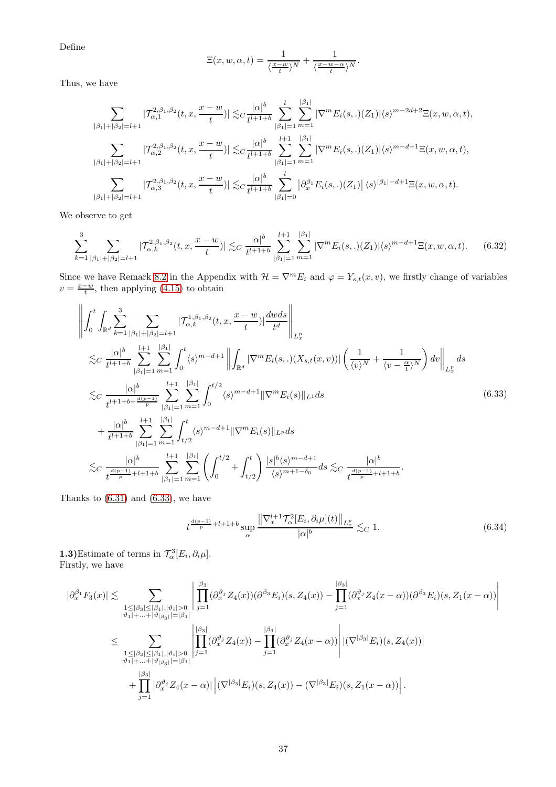Define

$$
\Xi(x, w, \alpha, t) = \frac{1}{\langle \frac{x-w}{t} \rangle^N} + \frac{1}{\langle \frac{x-w-\alpha}{t} \rangle^N}
$$

.

Thus, we have

$$
\sum_{|\beta_1|+|\beta_2|=l+1} |\mathcal{T}_{\alpha,1}^{2,\beta_1,\beta_2}(t,x,\frac{x-w}{t})| \lesssim_C \frac{|\alpha|^b}{t^{l+1+b}} \sum_{|\beta_1|=1}^{l} \sum_{m=1}^{|\beta_1|} |\nabla^m E_i(s,.)(Z_1)| \langle s \rangle^{m-2d+2} \Xi(x,w,\alpha,t),
$$
  

$$
\sum_{|\beta_1|+|\beta_2|=l+1} |\mathcal{T}_{\alpha,2}^{2,\beta_1,\beta_2}(t,x,\frac{x-w}{t})| \lesssim_C \frac{|\alpha|^b}{t^{l+1+b}} \sum_{|\beta_1|=1}^{l+1} \sum_{m=1}^{|\beta_1|} |\nabla^m E_i(s,.)(Z_1)| \langle s \rangle^{m-d+1} \Xi(x,w,\alpha,t),
$$
  

$$
\sum_{|\beta_1|+|\beta_2|=l+1} |\mathcal{T}_{\alpha,3}^{2,\beta_1,\beta_2}(t,x,\frac{x-w}{t})| \lesssim_C \frac{|\alpha|^b}{t^{l+1+b}} \sum_{|\beta_1|=0}^{l} |\partial_x^{\beta_1} E_i(s,.)(Z_1)| \langle s \rangle^{|\beta_1|-d+1} \Xi(x,w,\alpha,t).
$$

We observe to get

$$
\sum_{k=1}^{3} \sum_{|\beta_1|+|\beta_2|=l+1} |\mathcal{T}_{\alpha,k}^{2,\beta_1,\beta_2}(t,x,\frac{x-w}{t})| \lesssim_C \frac{|\alpha|^b}{t^{l+1+b}} \sum_{|\beta_1|=1}^{l+1} \sum_{m=1}^{|\beta_1|} |\nabla^m E_i(s,.)(Z_1)| \langle s \rangle^{m-d+1} \Xi(x,w,\alpha,t). \tag{6.32}
$$

Since we have Remark [8.2](#page-44-11) in the Appendix with  $\mathcal{H} = \nabla^m E_i$  and  $\varphi = Y_{s,t}(x, v)$ , we firstly change of variables  $v = \frac{x-w}{t}$ , then applying [\(4.15\)](#page-17-2) to obtain

$$
\left\| \int_{0}^{t} \int_{\mathbb{R}^{d}} \sum_{k=1}^{3} \sum_{|\beta_{1}|+|\beta_{2}|=l+1} |\mathcal{T}_{\alpha,k}^{1,\beta_{1},\beta_{2}}(t,x,\frac{x-w}{t})| \frac{dwds}{t^{d}} \right\|_{L_{x}^{p}}\n\lesssim_{C} \frac{|\alpha|^{b}}{t^{l+1+b}} \sum_{|\beta_{1}|=1}^{l+1} \sum_{m=1}^{|\beta_{1}|} \int_{0}^{t} \langle s \rangle^{m-d+1} \left\| \int_{\mathbb{R}^{d}} |\nabla^{m} E_{i}(s,.)(X_{s,t}(x,v))| \left( \frac{1}{\langle v \rangle^{N}} + \frac{1}{\langle v - \frac{\alpha}{t} \rangle^{N}} \right) dv \right\|_{L_{x}^{p}} ds\n\lesssim_{C} \frac{|\alpha|^{b}}{t^{l+1+b+\frac{d(p-1)}{p}}} \sum_{|\beta_{1}|=1}^{l+1} \sum_{m=1}^{|\beta_{1}|} \int_{0}^{t/2} \langle s \rangle^{m-d+1} \|\nabla^{m} E_{i}(s)\|_{L^{1}} ds\n+ \frac{|\alpha|^{b}}{t^{l+1+b}} \sum_{|\beta_{1}|=1}^{l+1} \sum_{m=1}^{|\beta_{1}|} \int_{t/2}^{t} \langle s \rangle^{m-d+1} \|\nabla^{m} E_{i}(s)\|_{L^{p}} ds\n\lesssim_{C} \frac{|\alpha|^{b}}{t^{\frac{d(p-1)}{p}+l+1+b}} \sum_{|\beta_{1}|=1}^{l+1} \sum_{m=1}^{|\beta_{1}|} \left( \int_{0}^{t/2} + \int_{t/2}^{t} \right) \frac{|s|^{b} \langle s \rangle^{m-d+1}}{\langle s \rangle^{m+1-\delta_{0}}} ds \lesssim_{C} \frac{|\alpha|^{b}}{t^{\frac{d(p-1)}{p}+l+1+b}}.
$$
\n(6.33)

Thanks to  $(6.31)$  and  $(6.33)$ , we have

<span id="page-36-1"></span><span id="page-36-0"></span>
$$
t^{\frac{d(p-1)}{p}+l+1+b} \sup_{\alpha} \frac{\left\| \nabla_x^{l+1} \mathcal{T}_{\alpha}^2[E_i, \partial_i \mu](t) \right\|_{L_x^p}}{|\alpha|^b} \lesssim_C 1.
$$
 (6.34)

**1.3**)Estimate of terms in  $\mathcal{T}_{\alpha}^{3}[E_i,\partial_i\mu].$ Firstly, we have

$$
\begin{split} |\partial_x^{\beta_1} F_3(x)| &\lesssim \sum_{\substack{1 \leq |\beta_3| \leq |\beta_1|, |\vartheta_i| > 0 \\ |\vartheta_1| + \ldots + |\vartheta_{|\beta_3|}| = |\beta_1|}} \left| \prod_{j=1}^{|\beta_3|} (\partial_x^{\vartheta_j} Z_4(x)) (\partial^{\beta_3} E_i)(s, Z_4(x)) - \prod_{j=1}^{|\beta_3|} (\partial_x^{\vartheta_j} Z_4(x - \alpha)) (\partial^{\beta_3} E_i)(s, Z_1(x - \alpha)) \right| \\ &\leq \sum_{\substack{1 \leq |\beta_3| \leq |\beta_1|, |\vartheta_i| > 0 \\ |\vartheta_1| + \ldots + |\vartheta_{|\beta_3|}| = |\beta_1|}} \left| \prod_{j=1}^{|\beta_3|} (\partial_x^{\vartheta_j} Z_4(x)) - \prod_{j=1}^{|\beta_3|} (\partial_x^{\vartheta_j} Z_4(x - \alpha)) \right| |(\nabla^{|\beta_3|} E_i)(s, Z_4(x))| \\ &\quad + \prod_{j=1}^{|\beta_3|} |\partial_x^{\vartheta_j} Z_4(x - \alpha)| \left| (\nabla^{|\beta_3|} E_i)(s, Z_4(x)) - (\nabla^{|\beta_3|} E_i)(s, Z_1(x - \alpha)) \right| . \end{split}
$$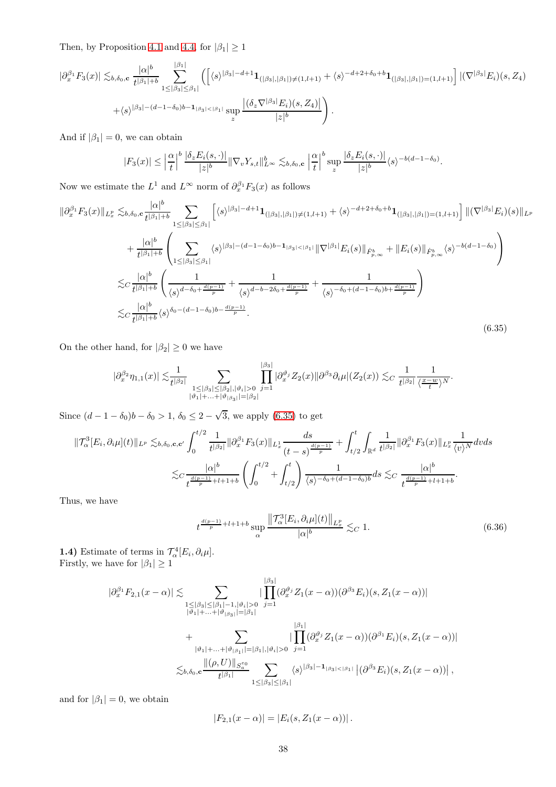Then, by Proposition [4.1](#page-15-0) and [4.4,](#page-16-3) for  $|\beta_1| \geq 1$ 

$$
|\partial_x^{\beta_1} F_3(x)| \lesssim_{b,\delta_0,c} \frac{|\alpha|^b}{t^{|\beta_1|+b}} \sum_{1 \leq |\beta_3| \leq |\beta_1|}^{|\beta_1|} \left( \left[ \langle s \rangle^{|\beta_3|-d+1} \mathbf{1}_{(|\beta_3|,|\beta_1|) \neq (1,l+1)} + \langle s \rangle^{-d+2+\delta_0+b} \mathbf{1}_{(|\beta_3|,|\beta_1|) = (1,l+1)} \right] |(\nabla^{|\beta_3|} E_i)(s, Z_4) \right)
$$

$$
+ \langle s \rangle^{|\beta_3|- (d-1-\delta_0)b-1_{|\beta_3|<|\beta_1|}} \sup_z \frac{|\langle \delta_z \nabla^{|\beta_3|} E_i \rangle(s, Z_4)|}{|z|^b} \right).
$$

And if  $|\beta_1| = 0$ , we can obtain

$$
|F_3(x)| \le \left|\frac{\alpha}{t}\right|^b \frac{|\delta_z E_i(s,\cdot)|}{|z|^b} \|\nabla_v Y_{s,t}\|_{L^\infty}^b \lesssim_{b,\delta_0,\mathbf{c}} \left|\frac{\alpha}{t}\right|^b \sup_z \frac{|\delta_z E_i(s,\cdot)|}{|z|^b} \langle s \rangle^{-b(d-1-\delta_0)}.
$$

Now we estimate the  $L^1$  and  $L^{\infty}$  norm of  $\partial_x^{\beta_1} F_3(x)$  as follows

$$
\|\partial_x^{\beta_1} F_3(x)\|_{L_x^p} \lesssim_{b,\delta_0,\mathbf{c}} \frac{|\alpha|^b}{t^{|\beta_1|+b}} \sum_{1 \leq |\beta_3| \leq \beta_1} \left[ \langle s \rangle^{|\beta_3|-d+1} \mathbf{1}_{(|\beta_3|,|\beta_1|) \neq (1,l+1)} + \langle s \rangle^{-d+2+\delta_0+b} \mathbf{1}_{(|\beta_3|,|\beta_1|) = (1,l+1)} \right] \| (\nabla^{|\beta_3|} E_i)(s) \|_{L^p}
$$
  
+ 
$$
\frac{|\alpha|^b}{t^{|\beta_1|+b}} \left( \sum_{1 \leq |\beta_3| \leq \beta_1} \langle s \rangle^{|\beta_3|- (d-1-\delta_0)b-1_{|\beta_3| < |\beta_1|} } \|\nabla^{|\beta_1|} E_i(s) \|_{\dot{F}_{p,\infty}^b} + \|E_i(s) \|_{\dot{F}_{p,\infty}^b} \langle s \rangle^{-b(d-1-\delta_0)} \right)
$$
  

$$
\lesssim_C \frac{|\alpha|^b}{t^{|\beta_1|+b}} \left( \frac{1}{\langle s \rangle^{d-\delta_0+\frac{d(p-1)}{p}}} + \frac{1}{\langle s \rangle^{d-b-2\delta_0+\frac{d(p-1)}{p}}} + \frac{1}{\langle s \rangle^{-\delta_0+(d-1-\delta_0)b+\frac{d(p-1)}{p}}} \right)
$$
  

$$
\lesssim_C \frac{|\alpha|^b}{t^{|\beta_1|+b}} \langle s \rangle^{\delta_0-(d-1-\delta_0)b-\frac{d(p-1)}{p}}.
$$
 (6.35)

On the other hand, for  $|\beta_2|\geq 0$  we have

$$
|\partial_x^{\beta_2}\eta_{1,1}(x)| \lesssim \frac{1}{t^{|\beta_2|}} \sum_{\substack{1 \leq |\beta_3| \leq |\beta_2|, |\vartheta_i| > 0 \\ |\vartheta_1| + \ldots + |\vartheta_{|\beta_3|} = |\beta_2|}} \prod_{j=1}^{|\beta_3|} |\partial_x^{\vartheta_j} Z_2(x)| |\partial^{\beta_3} \partial_i \mu|(Z_2(x)) \lesssim_C \frac{1}{t^{|\beta_2|}} \frac{1}{\langle \frac{x-w}{t} \rangle^N}.
$$

Since  $(d - 1 - \delta_0)b - \delta_0 > 1$ ,  $\delta_0 \leq 2 - \sqrt{3}$ , we apply [\(6.35\)](#page-37-0) to get

$$
\begin{split} \|\mathcal{T}_{\alpha}^{3}[E_{i},\partial_{i}\mu](t)\|_{L^{p}} \lesssim_{b,\delta_{0},\mathbf{c},\mathbf{c}'} \int_{0}^{t/2} \frac{1}{t^{|\beta_{2}|}} \|\partial_{x}^{\beta_{1}}F_{3}(x)\|_{L_{x}^{1}} \frac{ds}{(t-s)^{\frac{d(p-1)}{p}}} + \int_{t/2}^{t} \int_{\mathbb{R}^{d}} \frac{1}{t^{|\beta_{2}|}} \|\partial_{x}^{\beta_{1}}F_{3}(x)\|_{L_{x}^{p}} \frac{1}{\langle v \rangle^{N}} dvds \\ \lesssim_{C} \frac{|\alpha|^{b}}{t^{\frac{d(p-1)}{p}+l+1+b}} \left(\int_{0}^{t/2} + \int_{t/2}^{t} \right) \frac{1}{\langle s \rangle^{-\delta_{0}+(d-1-\delta_{0})b}} ds \lesssim_{C} \frac{|\alpha|^{b}}{t^{\frac{d(p-1)}{p}+l+1+b}}. \end{split}
$$

Thus, we have

<span id="page-37-1"></span><span id="page-37-0"></span>
$$
t^{\frac{d(p-1)}{p}+l+1+b} \sup_{\alpha} \frac{\left\|\mathcal{T}_{\alpha}^{3}[E_i,\partial_i\mu](t)\right\|_{L_x^p}}{|\alpha|^b} \lesssim_C 1.
$$
 (6.36)

**1.4)** Estimate of terms in  $\mathcal{T}_{\alpha}^4[E_i,\partial_i\mu]$ . Firstly, we have for  $|\beta_1| \geq 1$ 

$$
|\partial_x^{\beta_1} F_{2,1}(x - \alpha)| \lesssim \sum_{\substack{1 \leq |\beta_3| \leq |\beta_1| - 1, |\vartheta_i| > 0 \\ |\vartheta_1| + ... + |\vartheta_{|\beta_3|} | = |\beta_1|}} |\prod_{j=1}^{|\beta_3|} (\partial_x^{\vartheta_j} Z_1(x - \alpha)) (\partial^{\beta_3} E_i)(s, Z_1(x - \alpha))| + \sum_{\substack{|\vartheta_1| + ... + |\vartheta_{|\beta_1|} = |\beta_1|, |\vartheta_i| > 0 \\ t^{|\beta_1|}} |\prod_{j=1}^{|\beta_1|} (\partial_x^{\vartheta_j} Z_1(x - \alpha)) (\partial^{\beta_1} E_i)(s, Z_1(x - \alpha))| \lesssim_{b, \delta_0, \mathbf{c}} \frac{\|(\rho, U)\|_{S_a^{\varepsilon_0}}}{t^{|\beta_1|}} \sum_{1 \leq |\beta_3| \leq |\beta_1|} \langle s \rangle^{|\beta_3| - 1_{|\beta_3| < |\beta_1|}} |\partial_x^{\beta_3} E_i)(s, Z_1(x - \alpha))|,
$$

and for  $|\beta_1|=0$ , we obtain

$$
|F_{2,1}(x-\alpha)| = |E_i(s, Z_1(x-\alpha))|.
$$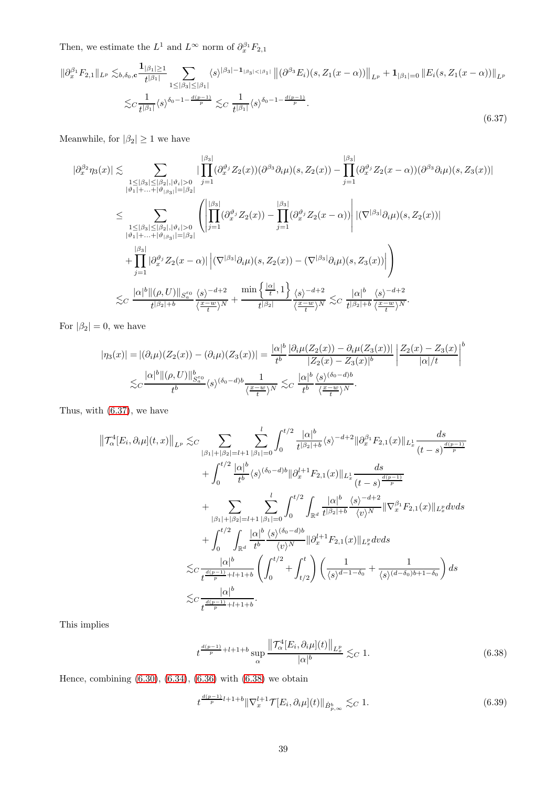Then, we estimate the  $L^1$  and  $L^{\infty}$  norm of  $\partial_{x}^{\beta_1} F_{2,1}$ 

$$
\|\partial_x^{\beta_1} F_{2,1}\|_{L^p} \lesssim_{b,\delta_0,\mathbf{c}} \frac{\mathbf{1}_{|\beta_1| \ge 1}}{t^{|\beta_1|}} \sum_{1 \le |\beta_3| \le |\beta_1|} \langle s \rangle^{|\beta_3|- \mathbf{1}_{|\beta_3| < |\beta_1|}} \left\| (\partial^{\beta_3} E_i)(s, Z_1(x - \alpha)) \right\|_{L^p} + \mathbf{1}_{|\beta_1| = 0} \left\| E_i(s, Z_1(x - \alpha)) \right\|_{L^p}
$$
  

$$
\lesssim_C \frac{1}{t^{|\beta_1|}} \langle s \rangle^{\delta_0 - 1 - \frac{d(p-1)}{p}} \lesssim_C \frac{1}{t^{|\beta_1|}} \langle s \rangle^{\delta_0 - 1 - \frac{d(p-1)}{p}}.
$$
\n
$$
(6.37)
$$

Meanwhile, for  $|\beta_2| \geq 1$  we have

<span id="page-38-0"></span>
$$
\begin{split} |\partial_x^{\beta_2}\eta_3(x)|\lesssim & \sum_{\substack{1\leq|\beta_3|\leq|\beta_2|,|\vartheta_i|>0\\|\vartheta_1|+\ldots+|\vartheta_{|\beta_3|}|=|\beta_2|}}|\prod_{j=1}^{|\beta_3|}(\partial_x^{\vartheta_j}Z_2(x))(\partial^{\beta_3}\partial_i\mu)(s,Z_2(x))-\prod_{j=1}^{|\beta_3|}(\partial_x^{\vartheta_j}Z_2(x-\alpha))(\partial^{\beta_3}\partial_i\mu)(s,Z_3(x))|\\ \leq & \sum_{\substack{1\leq|\beta_3|\leq|\beta_2|,|\vartheta_i|>0\\|\vartheta_1|+\ldots+|\vartheta_{|\beta_3|}|=|\beta_2|}}\left(\prod_{j=1}^{|\beta_3|}(\partial_x^{\vartheta_j}Z_2(x))-\prod_{j=1}^{|\beta_3|}(\partial_x^{\vartheta_j}Z_2(x-\alpha))\right||(\nabla^{|\beta_3|}\partial_i\mu)(s,Z_2(x))|\\ &+\prod_{j=1}^{|\beta_3|}|\partial_x^{\vartheta_j}Z_2(x-\alpha)||\left(\nabla^{|\beta_3|}\partial_i\mu)(s,Z_2(x))-(\nabla^{|\beta_3|}\partial_i\mu)(s,Z_3(x))|\right)\\ \lesssim & c\ \frac{|\alpha|^b\|(\rho,U)\|_{S_a^{\varepsilon_0}}}{t^{|\beta_2|+b}}\frac{\langle s\rangle^{-d+2}}{\langle \frac{x-w}{t}\rangle^N}+\frac{\min\left\{\frac{|\alpha|}{t},1\right\}}{t^{|\beta_2|}}\frac{\langle s\rangle^{-d+2}}{\langle \frac{x-w}{t}\rangle^N}\lesssim & c\ \frac{|\alpha|^b}{t^{|\beta_2|+b}}\frac{\langle s\rangle^{-d+2}}{\langle \frac{x-w}{t}\rangle^N}. \end{split}
$$

For  $|\beta_2|=0$ , we have

$$
|\eta_3(x)| = |(\partial_i \mu)(Z_2(x)) - (\partial_i \mu)(Z_3(x))| = \frac{|\alpha|^b}{t^b} \frac{|\partial_i \mu(Z_2(x)) - \partial_i \mu(Z_3(x))|}{|Z_2(x) - Z_3(x)|^b} \left| \frac{Z_2(x) - Z_3(x)}{|\alpha|/t} \right|^b
$$
  

$$
\lesssim_C \frac{|\alpha|^b |(\rho, U)|_{S_a^{\varepsilon_0}}^b}{t^b} \langle s \rangle^{(\delta_0 - d)b} \frac{1}{\langle \frac{x - w}{t} \rangle^N} \lesssim_C \frac{|\alpha|^b \langle s \rangle^{(\delta_0 - d)b}}{t^b \langle \frac{x - w}{t} \rangle^N}.
$$

Thus, with [\(6.37\)](#page-38-0), we have

$$
\begin{split} \left\| \mathcal{T}_{\alpha}^{4}[E_{i},\partial_{i}\mu](t,x) \right\|_{L^{p}} \lesssim_{C} & \sum_{|\beta_{1}|+|\beta_{2}|=l+1} \sum_{|\beta_{1}|=0}^{l} \int_{0}^{t/2} \frac{|\alpha|^{b}}{t^{|\beta_{2}|+b}} \langle s \rangle^{-d+2} \| \partial_{x}^{\beta_{1}} F_{2,1}(x) \|_{L_{x}^{1}} \frac{ds}{(t-s)^{\frac{d(p-1)}{p}}} \\ & + \int_{0}^{t/2} \frac{|\alpha|^{b}}{t^{b}} \langle s \rangle^{(\delta_{0}-d)b} \| \partial_{x}^{l+1} F_{2,1}(x) \|_{L_{x}^{1}} \frac{ds}{(t-s)^{\frac{d(p-1)}{p}}} \\ & + \sum_{|\beta_{1}|+|\beta_{2}|=l+1} \sum_{|\beta_{1}|=0} \int_{0}^{t/2} \int_{\mathbb{R}^{d}} \frac{|\alpha|^{b}}{t^{|\beta_{2}|+b}} \frac{\langle s \rangle^{-d+2}}{\langle v \rangle^{N}} \| \nabla_{x}^{\beta_{1}} F_{2,1}(x) \|_{L_{x}^{p}} dv ds \\ & + \int_{0}^{t/2} \int_{\mathbb{R}^{d}} \frac{|\alpha|^{b}}{t^{b}} \frac{\langle s \rangle^{(\delta_{0}-d)b}}{\langle v \rangle^{N}} \| \partial_{x}^{l+1} F_{2,1}(x) \|_{L_{x}^{p}} dv ds \\ \lesssim_{C} & \frac{|\alpha|^{b}}{t^{\frac{d(p-1)}{p}+l+1+b}} \left( \int_{0}^{t/2} + \int_{t/2}^{t} \right) \left( \frac{1}{\langle s \rangle^{d-1-\delta_{0}}} + \frac{1}{\langle s \rangle^{(d-\delta_{0})b+1-\delta_{0}}} \right) ds \\ & \lesssim_{C} \frac{|\alpha|^{b}}{t^{\frac{d(p-1)}{p}+l+1+b}} . \end{split}
$$

This implies

<span id="page-38-1"></span>
$$
t^{\frac{d(p-1)}{p}+l+1+b} \sup_{\alpha} \frac{\left\|\mathcal{T}_{\alpha}^{4}[E_i,\partial_i\mu](t)\right\|_{L_x^p}}{|\alpha|^b} \lesssim_C 1.
$$
 (6.38)

Hence, combining [\(6.30\)](#page-35-1), [\(6.34\)](#page-36-1), [\(6.36\)](#page-37-1) with [\(6.38\)](#page-38-1) we obtain

<span id="page-38-2"></span>
$$
t^{\frac{d(p-1)}{p}l+1+b} \|\nabla_x^{l+1} \mathcal{T}[E_i, \partial_i \mu](t)\|_{\dot{B}_{p,\infty}^b} \lesssim_C 1.
$$
 (6.39)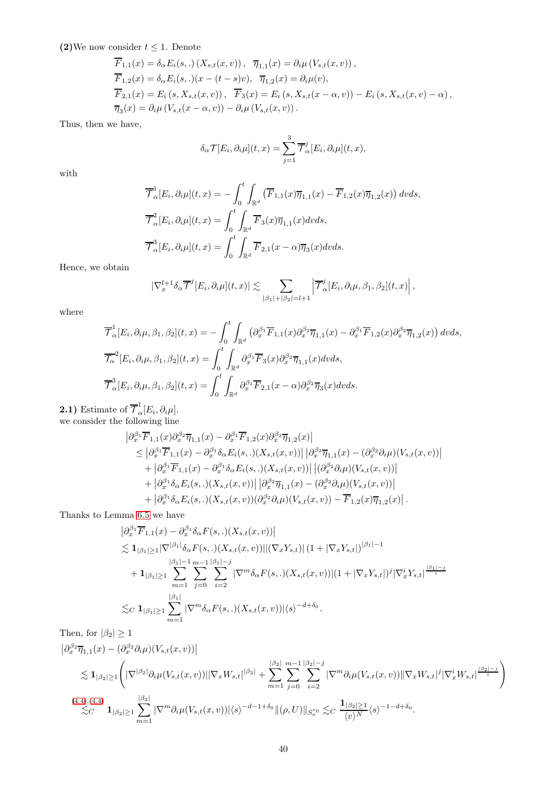(2)We now consider  $t \leq 1$ . Denote

$$
\overline{F}_{1,1}(x) = \delta_{\alpha} E_i(s,.) (X_{s,t}(x,v)), \quad \overline{\eta}_{1,1}(x) = \partial_i \mu (V_{s,t}(x,v)), \n\overline{F}_{1,2}(x) = \delta_{\alpha} E_i(s,.) (x - (t - s)v), \quad \overline{\eta}_{1,2}(x) = \partial_i \mu(v), \n\overline{F}_{2,1}(x) = E_i (s, X_{s,t}(x,v)), \quad \overline{F}_3(x) = E_i (s, X_{s,t}(x - \alpha, v)) - E_i (s, X_{s,t}(x,v) - \alpha), \n\overline{\eta}_3(x) = \partial_i \mu (V_{s,t}(x - \alpha, v)) - \partial_i \mu (V_{s,t}(x,v)).
$$

Thus, then we have,

$$
\delta_{\alpha} \mathcal{T}[E_i, \partial_i \mu](t, x) = \sum_{j=1}^3 \overline{\mathcal{T}}_{\alpha}^j [E_i, \partial_i \mu](t, x),
$$

with

$$
\overline{\mathcal{T}}_{\alpha}^{1}[E_{i}, \partial_{i}\mu](t, x) = -\int_{0}^{t} \int_{\mathbb{R}^{d}} (\overline{F}_{1,1}(x)\overline{\eta}_{1,1}(x) - \overline{F}_{1,2}(x)\overline{\eta}_{1,2}(x)) dvds,
$$
  

$$
\overline{\mathcal{T}}_{\alpha}^{2}[E_{i}, \partial_{i}\mu](t, x) = \int_{0}^{t} \int_{\mathbb{R}^{d}} \overline{F}_{3}(x)\overline{\eta}_{1,1}(x) dvds,
$$
  

$$
\overline{\mathcal{T}}_{\alpha}^{3}[E_{i}, \partial_{i}\mu](t, x) = \int_{0}^{t} \int_{\mathbb{R}^{d}} \overline{F}_{2,1}(x - \alpha)\overline{\eta}_{3}(x) dvds.
$$

Hence, we obtain

$$
|\nabla_x^{l+1}\delta_\alpha \overline{\mathcal{T}}^j[E_i,\partial_i\mu](t,x)| \lesssim \sum_{|\beta_1|+|\beta_2|=l+1} \left|\overline{\mathcal{T}}_\alpha^j[E_i,\partial_i\mu,\beta_1,\beta_2](t,x)\right|,
$$

where

$$
\overline{\mathcal{T}}_{\alpha}^{1}[E_{i},\partial_{i}\mu,\beta_{1},\beta_{2}](t,x) = -\int_{0}^{t} \int_{\mathbb{R}^{d}} \left(\partial_{x}^{\beta_{1}}\overline{F}_{1,1}(x)\partial_{x}^{\beta_{2}}\overline{\eta}_{1,1}(x) - \partial_{x}^{\beta_{1}}\overline{F}_{1,2}(x)\partial_{x}^{\beta_{2}}\overline{\eta}_{1,2}(x)\right)dvds,
$$
  

$$
\overline{\mathcal{T}_{\alpha}}^{2}[E_{i},\partial_{i}\mu,\beta_{1},\beta_{2}](t,x) = \int_{0}^{t} \int_{\mathbb{R}^{d}} \partial_{x}^{\beta_{1}}\overline{F}_{3}(x)\partial_{x}^{\beta_{2}}\overline{\eta}_{1,1}(x)dvds,
$$
  

$$
\overline{\mathcal{T}}_{\alpha}^{3}[E_{i},\partial_{i}\mu,\beta_{1},\beta_{2}](t,x) = \int_{0}^{t} \int_{\mathbb{R}^{d}} \partial_{x}^{\beta_{1}}\overline{F}_{2,1}(x-\alpha)\partial_{x}^{\beta_{2}}\overline{\eta}_{3}(x)dvds.
$$

**2.1)** Estimate of  $\overline{\mathcal{T}}_{\alpha}^1[E_i,\partial_i\mu].$ we consider the following line

$$
\begin{split} &\left|\partial_x^{\beta_1}\overline{F}_{1,1}(x)\partial_x^{\beta_2}\overline{\eta}_{1,1}(x)-\partial_x^{\beta_1}\overline{F}_{1,2}(x)\partial_x^{\beta_2}\overline{\eta}_{1,2}(x)\right|\\ &\leq \left|\partial_x^{\beta_1}\overline{F}_{1,1}(x)-\partial_x^{\beta_1}\delta_{\alpha}E_i(s,.)(X_{s,t}(x,v))\right|\left|\partial_x^{\beta_2}\overline{\eta}_{1,1}(x)-(\partial_x^{\beta_2}\partial_i\mu)(V_{s,t}(x,v))\right|\\ &+\left|\partial_x^{\beta_1}\overline{F}_{1,1}(x)-\partial_x^{\beta_1}\delta_{\alpha}E_i(s,.)(X_{s,t}(x,v))\right|\left|(\partial_x^{\beta_2}\partial_i\mu)(V_{s,t}(x,v))\right|\\ &+\left|\partial_x^{\beta_1}\delta_{\alpha}E_i(s,.)(X_{s,t}(x,v))\right|\left|\partial_x^{\beta_2}\overline{\eta}_{1,1}(x)-(\partial_x^{\beta_2}\partial_i\mu)(V_{s,t}(x,v))\right|\\ &+\left|\partial_x^{\beta_1}\delta_{\alpha}E_i(s,.)(X_{s,t}(x,v))(\partial_x^{\beta_2}\partial_i\mu)(V_{s,t}(x,v))-\overline{F}_{1,2}(x)\overline{\eta}_{1,2}(x)\right|. \end{split}
$$

Thanks to Lemma [6.5](#page-32-2) we have

$$
\begin{split}\n&\left|\partial_x^{\beta_1} \overline{F}_{1,1}(x) - \partial_x^{\beta_1} \delta_\alpha F(s,.)(X_{s,t}(x,v))\right| \\
&\lesssim \mathbf{1}_{|\beta_1| \geq 1} |\nabla^{|\beta_1|} \delta_\alpha F(s,.)(X_{s,t}(x,v))||(\nabla_x Y_{s,t})| (1 + |\nabla_x Y_{s,t}|)^{|\beta_1| - 1} \\
&+ \mathbf{1}_{|\beta_1| \geq 1} \sum_{m=1}^{|\beta_1| - 1} \sum_{j=0}^{m-1} \sum_{i=2}^{|\beta_1| - j} |\nabla^m \delta_\alpha F(s,.)(X_{s,t}(x,v))| (1 + |\nabla_x Y_{s,t}|)^j |\nabla_x^i Y_{s,t}|^{\frac{|\beta_1| - j}{i}} \\
&\lesssim_C \mathbf{1}_{|\beta_1| \geq 1} \sum_{m=1}^{|\beta_1|} |\nabla^m \delta_\alpha F(s,.)(X_{s,t}(x,v))| \langle s \rangle^{-d + \delta_0}.\n\end{split}
$$

Then, for  $|\beta_2| \geq 1$ 

$$
\begin{split} &\left|\partial_x^{\beta_2}\overline{\eta}_{1,1}(x)-(\partial_x^{\beta_2}\partial_i\mu)(V_{s,t}(x,v))\right|\\ &\lesssim \mathbf{1}_{|\beta_2|\geq 1}\Bigg(|\nabla^{|\beta_2|}\partial_i\mu(V_{s,t}(x,v))||\nabla_x W_{s,t}|^{|\beta_2|}+\sum_{m=1}^{|\beta_2|}\sum_{j=0}^{m-1}\sum_{i=2}^{|\beta_2|-j}|\nabla^m\partial_i\mu(V_{s,t}(x,v))||\nabla_x W_{s,t}|^j|\nabla_x^iW_{s,t}|^{\frac{|\beta_2|-j}{i}}\Bigg)\\ &\lesssim_C^{(4.4),(4.4)}\mathbf{1}_{|\beta_2|\geq 1}\sum_{m=1}^{|\beta_2|}|\nabla^m\partial_i\mu(V_{s,t}(x,v))|\langle s\rangle^{-d-1+\delta_0}\|(\rho,U)\|_{S^{e_0}_a}\lesssim_C\frac{\mathbf{1}_{|\beta_2|\geq 1}}{\langle v\rangle^{N}}\langle s\rangle^{-1-d+\delta_0}. \end{split}
$$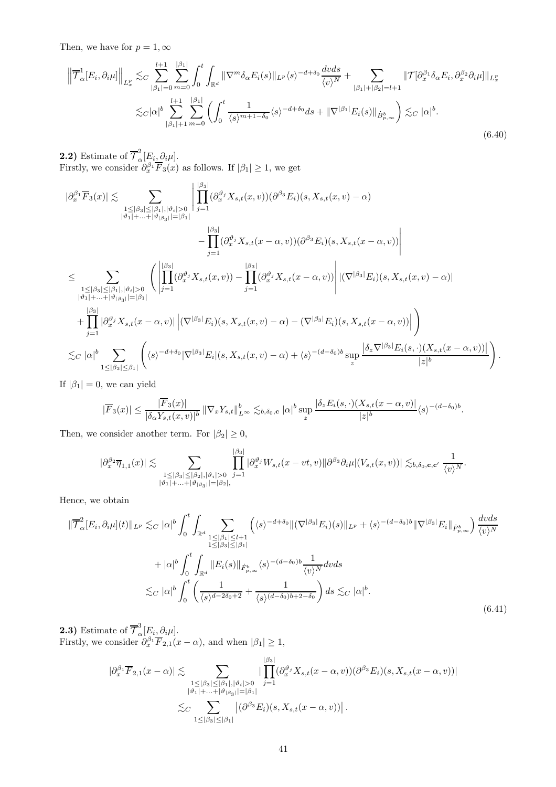Then, we have for  $p=1,\infty$ 

$$
\left\| \overline{\mathcal{T}}_{\alpha}^{1}[E_{i}, \partial_{i}\mu] \right\|_{L_{x}^{p}} \lesssim_{C} \sum_{|\beta_{1}|=0}^{l+1} \sum_{m=0}^{|\beta_{1}|} \int_{0}^{t} \int_{\mathbb{R}^{d}} \|\nabla^{m}\delta_{\alpha}E_{i}(s)\|_{L^{p}}\langle s\rangle^{-d+\delta_{0}} \frac{dvds}{\langle v\rangle^{N}} + \sum_{|\beta_{1}|+|\beta_{2}|=l+1} \|\mathcal{T}[\partial_{x}^{\beta_{1}}\delta_{\alpha}E_{i}, \partial_{x}^{\beta_{2}}\partial_{i}\mu]\|_{L_{x}^{p}} \lesssim_{C|\alpha|^{b}} \sum_{|\beta_{1}|+1}^{l+1} \sum_{m=0}^{|\beta_{1}|} \left(\int_{0}^{t} \frac{1}{\langle s\rangle^{m+1-\delta_{0}}}\langle s\rangle^{-d+\delta_{0}}ds + \|\nabla^{|\beta_{1}|}E_{i}(s)\|_{\dot{B}_{p,\infty}^{b}}\right) \lesssim_{C} |\alpha|^{b}.
$$
\n(6.40)

**2.2)** Estimate of  $\overline{\mathcal{T}}_{\alpha}^{2}[E_{i},\partial_{i}\mu].$ Firstly, we consider  $\partial_x^{\beta_1} \overline{F}_3(x)$  as follows. If  $|\beta_1| \geq 1$ , we get

<span id="page-40-0"></span>
$$
\begin{split} |\partial_x^{\beta_1}\overline{F}_3(x)|\lesssim & \sum_{\substack{1\leq|\beta_3|\leq|\beta_1|,|\vartheta_i|>0\\|\vartheta_1|+\ldots+|\vartheta_{|\beta_3|}|=|\beta_1|}} \left|\prod_{j=1}^{|\beta_3|} (\partial_x^{\vartheta_j}X_{s,t}(x,v))(\partial^{\beta_3}E_i)(s,X_{s,t}(x,v)-\alpha) \right| \\ & -\prod_{j=1}^{|\beta_3|} (\partial_x^{\vartheta_j}X_{s,t}(x-\alpha,v))(\partial^{\beta_3}E_i)(s,X_{s,t}(x-\alpha,v))\right| \\ \leq & \sum_{\substack{1\leq|\beta_3|\leq|\beta_1|,|\vartheta_i|>0\\|\vartheta_1|+\ldots+|\vartheta_{|\beta_3|}|=|\beta_1|}} \left(\prod_{j=1}^{|\beta_3|} (\partial_x^{\vartheta_j}X_{s,t}(x,v))-\prod_{j=1}^{|\beta_3|} (\partial_x^{\vartheta_j}X_{s,t}(x-\alpha,v))\right| |(\nabla^{|\beta_3|}E_i)(s,X_{s,t}(x,v)-\alpha)| \\ & +\prod_{j=1}^{|\beta_3|} |\partial_x^{\vartheta_j}X_{s,t}(x-\alpha,v)| \left| (\nabla^{|\beta_3|}E_i)(s,X_{s,t}(x,v)-\alpha)-(\nabla^{|\beta_3|}E_i)(s,X_{s,t}(x-\alpha,v))\right| \right) \\ \lesssim_C |\alpha|^b \sum_{1\leq|\beta_3|\leq\beta_1|} \left( \langle s \rangle^{-d+\delta_0} |\nabla^{|\beta_3|}E_i|(s,X_{s,t}(x,v)-\alpha)+\langle s \rangle^{-(d-\delta_0)b} \sup_z \frac{|\delta_z\nabla^{|\beta_3|}E_i(s,\cdot)(X_{s,t}(x-\alpha,v))|}{|z|^b} \right). \end{split}
$$

If  $|\beta_1| = 0$ , we can yield

$$
|\overline{F}_3(x)| \leq \frac{|\overline{F}_3(x)|}{|\delta_\alpha Y_{s,t}(x,v)|^b} \|\nabla_x Y_{s,t}\|_{L^\infty}^b \lesssim_{b,\delta_0,\mathbf{c}} |\alpha|^b \sup_z \frac{|\delta_z E_i(s,\cdot)(X_{s,t}(x-\alpha,v)|}{|z|^b} \langle s \rangle^{-(d-\delta_0)b}.
$$

Then, we consider another term. For  $|\beta_2|\geq 0$ ,

$$
|\partial_x^{\beta_2}\overline{\eta}_{1,1}(x)| \lesssim \sum_{\substack{1 \leq |\beta_3| \leq |\beta_2|, |\vartheta_i| > 0 \\ |\vartheta_1| + \ldots + |\vartheta_{|\beta_3|}| = |\beta_2|,}} \prod_{j=1}^{|\beta_3|} |\partial_x^{\vartheta_j} W_{s,t}(x-vt,v)| |\partial^{\beta_3} \partial_i \mu|(V_{s,t}(x,v))| \lesssim_{b,\delta_0,\mathbf{c},\mathbf{c}'} \frac{1}{\langle v \rangle^N}.
$$

Hence, we obtain

$$
\|\overline{\mathcal{T}}_{\alpha}^{2}[E_{i},\partial_{i}\mu](t)\|_{L^{p}} \lesssim_{C} |\alpha|^{b} \int_{0}^{t} \int_{\mathbb{R}^{d}} \sum_{\substack{1 \leq |\beta_{1}| \leq l+1 \\ 1 \leq |\beta_{3}| \leq |\beta_{1}|}} \left( \langle s \rangle^{-d+\delta_{0}} \| (\nabla^{|\beta_{3}|} E_{i})(s) \|_{L^{p}} + \langle s \rangle^{-(d-\delta_{0})b} \| \nabla^{|\beta_{3}|} E_{i} \|_{\dot{F}_{p,\infty}^{b}} \right) \frac{dvds}{\langle v \rangle^{N}}
$$

$$
+ |\alpha|^{b} \int_{0}^{t} \int_{\mathbb{R}^{d}} \|E_{i}(s)\|_{\dot{F}_{p,\infty}^{b}} \langle s \rangle^{-(d-\delta_{0})b} \frac{1}{\langle v \rangle^{N}} dvds
$$

$$
\lesssim_{C} |\alpha|^{b} \int_{0}^{t} \left( \frac{1}{\langle s \rangle^{d-2\delta_{0}+2}} + \frac{1}{\langle s \rangle^{(d-\delta_{0})b+2-\delta_{0}}} \right) ds \lesssim_{C} |\alpha|^{b}.
$$
(6.41)

**2.3)** Estimate of  $\overline{\mathcal{T}}_{\alpha}^3[E_i,\partial_i\mu].$ Firstly, we consider  $\partial_x^{\beta_1} \overline{F}_{2,1}(x-\alpha)$ , and when  $|\beta_1| \geq 1$ ,

<span id="page-40-1"></span>
$$
|\partial_x^{\beta_1} \overline{F}_{2,1}(x-\alpha)| \lesssim \sum_{\substack{1 \leq |\beta_3| \leq |\beta_1|, |\vartheta_i| > 0 \\ |\vartheta_1| + \ldots + |\vartheta_{|\beta_3|} = |\beta_1| \\ \lesssim C}} \frac{|\beta_3|}{\prod_{j=1}^{|\beta_3|} (\partial_x^{\vartheta_j} X_{s,t}(x-\alpha, v)) (\partial^{\beta_3} E_i)(s, X_{s,t}(x-\alpha, v))|} \lesssim C \sum_{1 \leq |\beta_3| \leq |\beta_1|} |(\partial^{\beta_3} E_i)(s, X_{s,t}(x-\alpha, v))|.
$$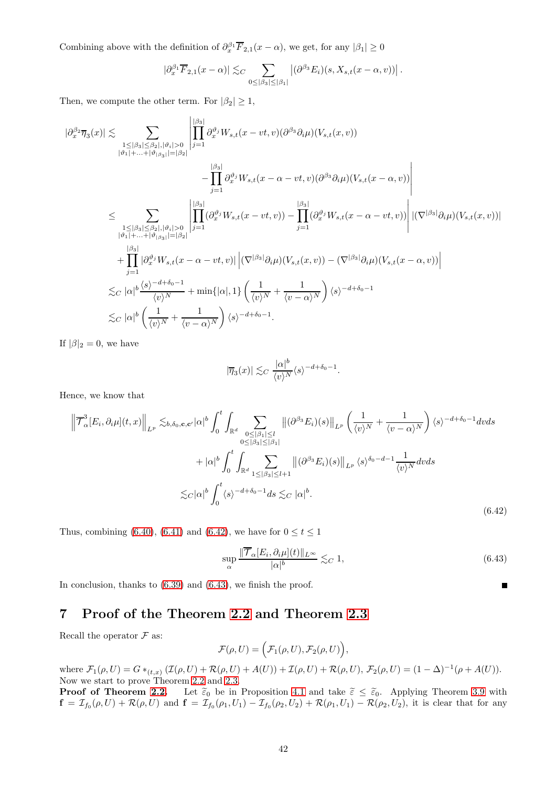Combining above with the definition of  $\partial_x^{\beta_1} \overline{F}_{2,1}(x-\alpha)$ , we get, for any  $|\beta_1| \ge 0$ 

$$
|\partial_x^{\beta_1} \overline{F}_{2,1}(x-\alpha)| \lesssim_C \sum_{0 \leq |\beta_3| \leq |\beta_1|} \left|(\partial^{\beta_3} E_i)(s,X_{s,t}(x-\alpha,v))\right|.
$$

Then, we compute the other term. For  $|\beta_2| \geq 1$ ,

$$
\begin{split} |\partial_x^{\beta_2}\overline{\eta}_3(x)|\lesssim & \sum_{\substack{1\leq|\beta_3|\leq \beta_2|,|\vartheta_i|>0\\|\vartheta_1|+\ldots+|\vartheta_{|\beta_3|}|=|\beta_2|}} \left|\prod_{j=1}^{|\beta_3|} \partial_x^{\vartheta_j}W_{s,t}(x-vt,v)(\partial^{\beta_3}\partial_i\mu)(V_{s,t}(x,v))\right|\\ &\leq & \sum_{\substack{1\leq|\beta_3|\leq \beta_2|,|\vartheta_i|>0\\|\vartheta_1|+\ldots+|\vartheta_{|\beta_3|}|=|\beta_2|}} \left|\prod_{j=1}^{|\beta_3|} (\partial_x^{\vartheta_j}W_{s,t}(x-\alpha-vt,v)(\partial^{\beta_3}\partial_i\mu)(V_{s,t}(x-\alpha,v))\right|\\ &\leq & \sum_{\substack{1\leq|\beta_3|\leq \beta_2|,|\vartheta_i|>0\\|\vartheta_1|+\ldots+|\vartheta_{|\beta_3|}|=|\beta_2|}} \left|\prod_{j=1}^{|\beta_3|} (\partial_x^{\vartheta_j}W_{s,t}(x-vt,v))-\prod_{j=1}^{|\beta_3|} (\partial_x^{\vartheta_j}W_{s,t}(x-\alpha-vt,v))\right| |(\nabla^{|\beta_3|}\partial_i\mu)(V_{s,t}(x,v))\\ &\qquad + \prod_{j=1}^{|\beta_3|} |\partial_x^{\vartheta_j}W_{s,t}(x-\alpha-vt,v)| \left| (\nabla^{|\beta_3|}\partial_i\mu)(V_{s,t}(x,v)) - (\nabla^{|\beta_3|}\partial_i\mu)(V_{s,t}(x-\alpha,v))\right|\\ \lesssim & c\ |\alpha|^b \left(\frac{1}{\langle v \rangle^N}+\frac{1}{\langle v-\alpha \rangle^N}\right)\langle s \rangle^{-d+\delta_0-1}. \end{split}
$$

If  $|\beta|_2 = 0$ , we have

$$
|\overline{\eta}_3(x)|\lesssim_C \frac{|\alpha|^b}{\langle v\rangle^{N}}\langle s\rangle^{-d+\delta_0-1}.
$$

Hence, we know that

$$
\left\| \overline{\mathcal{T}}_{\alpha}^3[E_i, \partial_i \mu](t, x) \right\|_{L^p} \lesssim_{b, \delta_0, \mathbf{c}, \mathbf{c}'} |\alpha|^b \int_0^t \int_{\mathbb{R}^d} \sum_{\substack{0 \leq |\beta_1| \leq l \\ 0 \leq |\beta_3| \leq |\beta_1|}} \|(\partial^{\beta_3} E_i)(s)\|_{L^p} \left(\frac{1}{\langle v \rangle^N} + \frac{1}{\langle v - \alpha \rangle^N}\right) \langle s \rangle^{-d + \delta_0 - 1} dv ds
$$
  
 
$$
+ |\alpha|^b \int_0^t \int_{\mathbb{R}^d} \sum_{1 \leq |\beta_3| \leq l+1} \|(\partial^{\beta_3} E_i)(s)\|_{L^p} \langle s \rangle^{\delta_0 - d - 1} \frac{1}{\langle v \rangle^N} dv ds
$$
  
 
$$
\lesssim_C |\alpha|^b \int_0^t \langle s \rangle^{-d + \delta_0 - 1} ds \lesssim_C |\alpha|^b.
$$
 (6.42)

Thus, combining [\(6.40\)](#page-40-0), [\(6.41\)](#page-40-1) and [\(6.42\)](#page-41-0), we have for  $0 \le t \le 1$ 

$$
\sup_{\alpha} \frac{\|\overline{\mathcal{T}}_{\alpha}[E_i, \partial_i \mu](t)\|_{L^{\infty}}}{|\alpha|^b} \lesssim_C 1,
$$
\n(6.43)

<span id="page-41-1"></span><span id="page-41-0"></span> $\blacksquare$ 

In conclusion, thanks to [\(6.39\)](#page-38-2) and [\(6.43\)](#page-41-1), we finish the proof.

#### 7 Proof of the Theorem [2.2](#page-4-2) and Theorem [2.3](#page-4-3)

Recall the operator  $\mathcal F$  as:

$$
\mathcal{F}(\rho,U)=\Big(\mathcal{F}_1(\rho,U),\mathcal{F}_2(\rho,U)\Big),
$$

where  $\mathcal{F}_1(\rho, U) = G *_{(t,x)} (\mathcal{I}(\rho, U) + \mathcal{R}(\rho, U) + A(U)) + \mathcal{I}(\rho, U) + \mathcal{R}(\rho, U), \ \mathcal{F}_2(\rho, U) = (1 - \Delta)^{-1}(\rho + A(U)).$ Now we start to prove Theorem [2.2](#page-4-2) and [2.3.](#page-4-3)

**Proof of Theorem [2.2.](#page-4-2)** Let  $\tilde{\epsilon}_0$  be in Proposition [4.1](#page-15-0) and take  $\tilde{\epsilon} \leq \tilde{\epsilon}_0$ . Applying Theorem [3.9](#page-12-1) with  $f = \mathcal{I}_{f_0}(\rho, U) + \mathcal{R}(\rho, U)$  and  $f = \mathcal{I}_{f_0}(\rho_1, U_1) - \mathcal{I}_{f_0}(\rho_2, U_2) + \mathcal{R}(\rho_1, U_1) - \mathcal{R}(\rho_2, U_2)$ , it is clear that for any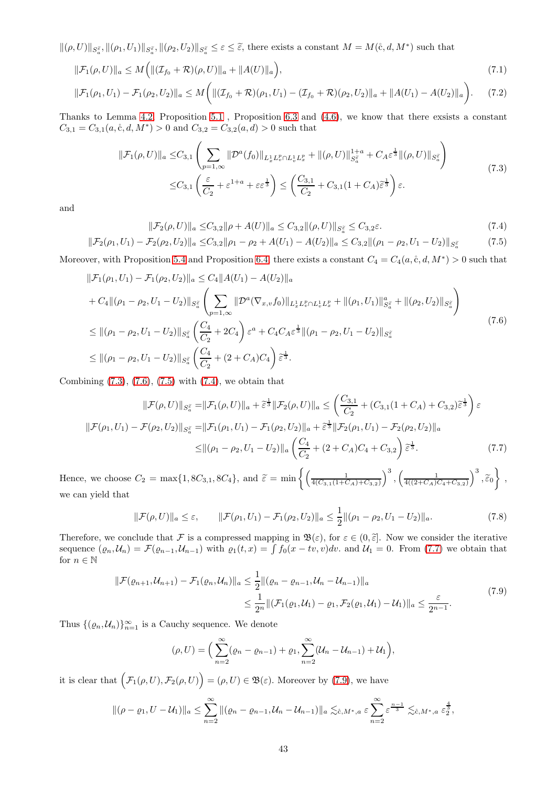$\|(\rho, U)\|_{S_{\tilde{\alpha}}^{\tilde{\varepsilon}}}, \|\rho_1, U_1\|\|_{S_{\tilde{\alpha}}^{\tilde{\varepsilon}}}, \|\rho_2, U_2\|\|_{S_{\tilde{\alpha}}^{\tilde{\varepsilon}}} \leq \varepsilon \leq \tilde{\varepsilon}$ , there exists a constant  $M = M(\dot{c}, d, M^*)$  such that

$$
\|\mathcal{F}_1(\rho, U)\|_a \le M\Big(\|(\mathcal{I}_{f_0} + \mathcal{R})(\rho, U)\|_a + \|A(U)\|_a\Big),\tag{7.1}
$$

$$
\|\mathcal{F}_1(\rho_1, U_1) - \mathcal{F}_1(\rho_2, U_2)\|_a \le M\bigg(\|(\mathcal{I}_{f_0} + \mathcal{R})(\rho_1, U_1) - (\mathcal{I}_{f_0} + \mathcal{R})(\rho_2, U_2)\|_a + \|A(U_1) - A(U_2)\|_a\bigg). \tag{7.2}
$$

Thanks to Lemma [4.2,](#page-15-1) Proposition [5.1](#page-21-2) , Proposition [6.3](#page-29-1) and [\(4.6\)](#page-15-6), we know that there exsists a constant  $C_{3,1} = C_{3,1}(a, \mathbf{c}, d, M^*) > 0$  and  $C_{3,2} = C_{3,2}(a, d) > 0$  such that

<span id="page-42-0"></span>
$$
\|\mathcal{F}_1(\rho, U)\|_a \leq C_{3,1} \left( \sum_{p=1,\infty} \|\mathcal{D}^a(f_0)\|_{L_x^1 L_v^p \cap L_v^1 L_x^p} + \|(\rho, U)\|_{S_a^{\tilde{\varepsilon}}}^{1+a} + C_A \varepsilon^{\frac{1}{3}} \|(\rho, U)\|_{S_a^{\tilde{\varepsilon}}} \right)
$$
  

$$
\leq C_{3,1} \left( \frac{\varepsilon}{C_2} + \varepsilon^{1+a} + \varepsilon \varepsilon^{\frac{1}{3}} \right) \leq \left( \frac{C_{3,1}}{C_2} + C_{3,1} (1 + C_A) \tilde{\varepsilon}^{\frac{1}{3}} \right) \varepsilon.
$$
 (7.3)

and

<span id="page-42-3"></span><span id="page-42-2"></span><span id="page-42-1"></span>
$$
\|\mathcal{F}_2(\rho, U)\|_a \le C_{3,2} \|\rho + A(U)\|_a \le C_{3,2} \|\rho, U\|_{\mathcal{S}_a^{\tilde{\varepsilon}}} \le C_{3,2} \varepsilon. \tag{7.4}
$$

$$
\|\mathcal{F}_2(\rho_1, U_1) - \mathcal{F}_2(\rho_2, U_2)\|_a \leq C_{3,2} \|\rho_1 - \rho_2 + A(U_1) - A(U_2)\|_a \leq C_{3,2} \|\rho_1 - \rho_2, U_1 - U_2\|_{S_a^{\tilde{\varepsilon}}} \tag{7.5}
$$

Moreover, with Proposition [5.4](#page-23-0) and Proposition [6.4,](#page-30-1) there exists a constant  $C_4 = C_4(a, \dot{c}, d, M^*) > 0$  such that

$$
\|\mathcal{F}_{1}(\rho_{1}, U_{1}) - \mathcal{F}_{1}(\rho_{2}, U_{2})\|_{a} \leq C_{4} \|A(U_{1}) - A(U_{2})\|_{a}
$$
  
+  $C_{4} \|(\rho_{1} - \rho_{2}, U_{1} - U_{2})\|_{S_{a}^{\tilde{\epsilon}}} \left( \sum_{p=1,\infty} \|\mathcal{D}^{a}(\nabla_{x,v}f_{0})\|_{L_{x}^{1}L_{v}^{p} \cap L_{v}^{1}L_{x}^{p}} + \|(\rho_{1}, U_{1})\|_{S_{a}^{\tilde{\epsilon}}}^{a} + \|(\rho_{2}, U_{2})\|_{S_{a}^{\tilde{\epsilon}}} \right)$   

$$
\leq \|(\rho_{1} - \rho_{2}, U_{1} - U_{2})\|_{S_{a}^{\tilde{\epsilon}}} \left( \frac{C_{4}}{C_{2}} + 2C_{4} \right) \varepsilon^{a} + C_{4} C_{A} \varepsilon^{\frac{1}{3}} \|(\rho_{1} - \rho_{2}, U_{1} - U_{2})\|_{S_{a}^{\tilde{\epsilon}}} \right)
$$
(7.6)  

$$
\leq \|(\rho_{1} - \rho_{2}, U_{1} - U_{2})\|_{S_{a}^{\tilde{\epsilon}}} \left( \frac{C_{4}}{C_{2}} + (2 + C_{A})C_{4} \right) \tilde{\varepsilon}^{\frac{1}{3}}.
$$

Combining [\(7.3\)](#page-42-0), [\(7.6\)](#page-42-1), [\(7.5\)](#page-42-2) with [\(7.4\)](#page-42-3), we obtain that

$$
\|\mathcal{F}(\rho, U)\|_{S_a^{\tilde{\varepsilon}}} = \|\mathcal{F}_1(\rho, U)\|_a + \tilde{\varepsilon}^{\frac{1}{3}} \|\mathcal{F}_2(\rho, U)\|_a \le \left(\frac{C_{3,1}}{C_2} + (C_{3,1}(1 + C_A) + C_{3,2})\tilde{\varepsilon}^{\frac{1}{3}}\right)\varepsilon
$$
  

$$
\|\mathcal{F}(\rho_1, U_1) - \mathcal{F}(\rho_2, U_2)\|_{S_a^{\tilde{\varepsilon}}} = \|\mathcal{F}_1(\rho_1, U_1) - \mathcal{F}_1(\rho_2, U_2)\|_a + \tilde{\varepsilon}^{\frac{1}{3}} \|\mathcal{F}_2(\rho_1, U_1) - \mathcal{F}_2(\rho_2, U_2)\|_a
$$
  

$$
\le \|(\rho_1 - \rho_2, U_1 - U_2)\|_a \left(\frac{C_4}{C_2} + (2 + C_A)C_4 + C_{3,2}\right)\tilde{\varepsilon}^{\frac{1}{3}}.
$$
 (7.7)

Hence, we choose  $C_2 = \max\{1, 8C_{3,1}, 8C_4\}$ , and  $\tilde{\varepsilon} = \min\left\{\left(\frac{1}{4(C_{3,1}(1+C_A)+C_{3,2})}\right)\right\}$  $\bigg)^3$ ,  $\bigg(\frac{1}{4((2+C_A)C_4+C_{3,2})}$  $\Big)^3\,,$   $\widetilde{\varepsilon}_0$  $\mathcal{L}$ , we can yield that

<span id="page-42-4"></span>
$$
\|\mathcal{F}(\rho, U)\|_{a} \leq \varepsilon, \qquad \|\mathcal{F}(\rho_1, U_1) - \mathcal{F}_1(\rho_2, U_2)\|_{a} \leq \frac{1}{2} \|(\rho_1 - \rho_2, U_1 - U_2)\|_{a}.
$$
\n(7.8)

Therefore, we conclude that F is a compressed mapping in  $\mathfrak{B}(\varepsilon)$ , for  $\varepsilon \in (0,\tilde{\varepsilon}]$ . Now we consider the iterative sequence  $(\varrho_n, \mathcal{U}_n) = \mathcal{F}(\varrho_{n-1}, \mathcal{U}_{n-1})$  with  $\varrho_1(t, x) = \int f_0(x - tv, v) dv$ . and  $\mathcal{U}_1 = 0$ . From [\(7.7\)](#page-42-4) we obtain that for  $n \in \mathbb{N}$ 

$$
\|\mathcal{F}(\varrho_{n+1}, \mathcal{U}_{n+1}) - \mathcal{F}_1(\varrho_n, \mathcal{U}_n)\|_a \le \frac{1}{2} \|(\varrho_n - \varrho_{n-1}, \mathcal{U}_n - \mathcal{U}_{n-1})\|_a
$$
  

$$
\le \frac{1}{2^n} \|(\mathcal{F}_1(\varrho_1, \mathcal{U}_1) - \varrho_1, \mathcal{F}_2(\varrho_1, \mathcal{U}_1) - \mathcal{U}_1)\|_a \le \frac{\varepsilon}{2^{n-1}}.
$$
 (7.9)

Thus  $\{(\varrho_n,\mathcal{U}_n)\}_{n=1}^{\infty}$  is a Cauchy sequence. We denote

<span id="page-42-5"></span>
$$
(\rho, U) = \Big(\sum_{n=2}^{\infty} (\varrho_n - \varrho_{n-1}) + \varrho_1, \sum_{n=2}^{\infty} (\mathcal{U}_n - \mathcal{U}_{n-1}) + \mathcal{U}_1\Big),
$$

it is clear that  $(\mathcal{F}_1(\rho,U), \mathcal{F}_2(\rho,U)) = (\rho, U) \in \mathfrak{B}(\varepsilon)$ . Moreover by [\(7.9\)](#page-42-5), we have

$$
\|(\rho-\varrho_1,U-\mathcal{U}_1)\|_a\leq \sum_{n=2}^{\infty}\|(\varrho_n-\varrho_{n-1},\mathcal{U}_n-\mathcal{U}_{n-1})\|_a\lesssim_{\tilde{c},M^*,a}\varepsilon \sum_{n=2}^{\infty}\varepsilon^{\frac{n-1}{3}}\lesssim_{\tilde{c},M^*,a}\varepsilon_2^{\frac{4}{3}},
$$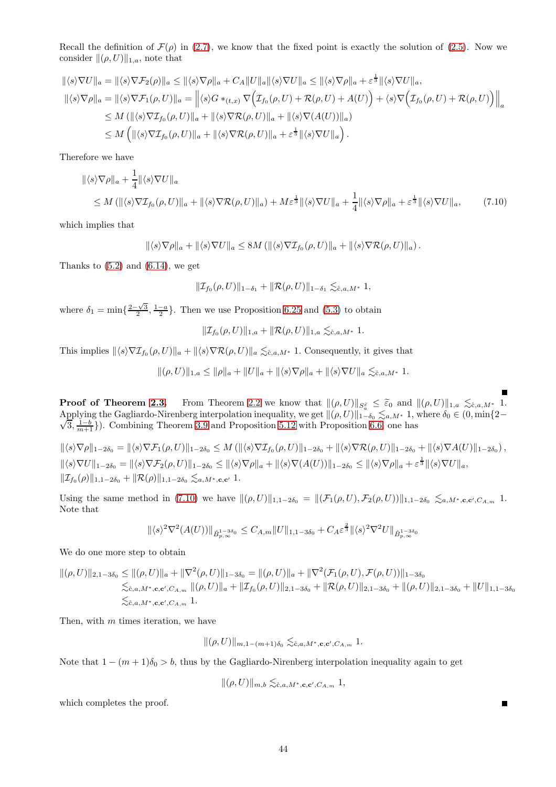Recall the definition of  $\mathcal{F}(\rho)$  in [\(2.7\)](#page-4-4), we know that the fixed point is exactly the solution of [\(2.5\)](#page-4-5). Now we consider  $\|(\rho, U)\|_{1,a}$ , note that

$$
\begin{split}\n\|\langle s \rangle \nabla U\|_{a} &= \|\langle s \rangle \nabla \mathcal{F}_{2}(\rho)\|_{a} \le \|\langle s \rangle \nabla \rho\|_{a} + C_{A} \|U\|_{a} \|\langle s \rangle \nabla U\|_{a} \le \|\langle s \rangle \nabla \rho\|_{a} + \varepsilon^{\frac{1}{3}} \|\langle s \rangle \nabla U\|_{a}, \\
\|\langle s \rangle \nabla \rho\|_{a} &= \|\langle s \rangle \nabla \mathcal{F}_{1}(\rho, U)\|_{a} = \left\| \langle s \rangle G \ast_{(t,x)} \nabla \Big( \mathcal{I}_{f_{0}}(\rho, U) + \mathcal{R}(\rho, U) + A(U) \Big) + \langle s \rangle \nabla \Big( \mathcal{I}_{f_{0}}(\rho, U) + \mathcal{R}(\rho, U) \Big) \right\|_{a} \\
&\leq M \left( \|\langle s \rangle \nabla \mathcal{I}_{f_{0}}(\rho, U)\|_{a} + \|\langle s \rangle \nabla \mathcal{R}(\rho, U)\|_{a} + \|\langle s \rangle \nabla (\mathcal{A}(U))\|_{a} \right) \\
&\leq M \left( \|\langle s \rangle \nabla \mathcal{I}_{f_{0}}(\rho, U)\|_{a} + \|\langle s \rangle \nabla \mathcal{R}(\rho, U)\|_{a} + \varepsilon^{\frac{1}{3}} \|\langle s \rangle \nabla U\|_{a} \right).\n\end{split}
$$

Therefore we have

$$
\begin{split} \|\langle s \rangle \nabla \rho \|_{a} &+ \frac{1}{4} \|\langle s \rangle \nabla U\|_{a} \\ &\leq M \left( \|\langle s \rangle \nabla \mathcal{I}_{f_{0}}(\rho, U) \|_{a} + \|\langle s \rangle \nabla \mathcal{R}(\rho, U) \|_{a} \right) + M \varepsilon^{\frac{1}{3}} \|\langle s \rangle \nabla U \|_{a} + \frac{1}{4} \|\langle s \rangle \nabla \rho \|_{a} + \varepsilon^{\frac{1}{3}} \|\langle s \rangle \nabla U \|_{a}, \end{split} \tag{7.10}
$$

which implies that

$$
\|\langle s\rangle \nabla \rho\|_a + \|\langle s\rangle \nabla U\|_a \leq 8M \left( \|\langle s\rangle \nabla \mathcal{I}_{f_0}(\rho, U)\|_a + \|\langle s\rangle \nabla \mathcal{R}(\rho, U)\|_a \right).
$$

Thanks to  $(5.2)$  and  $(6.14)$ , we get

<span id="page-43-0"></span>
$$
\|\mathcal{I}_{f_0}(\rho, U)\|_{1-\delta_1} + \|\mathcal{R}(\rho, U)\|_{1-\delta_1} \lesssim_{\tilde{c}, a, M^*} 1,
$$

where  $\delta_1 = \min\{\frac{2-\sqrt{3}}{2}, \frac{1-a}{2}\}\.$  Then we use Proposition [6.25](#page-32-3) and [\(5.3\)](#page-21-1) to obtain

$$
\|\mathcal{I}_{f_0}(\rho, U)\|_{1,a} + \|\mathcal{R}(\rho, U)\|_{1,a} \lesssim_{\tilde{c},a,M^*} 1.
$$

This implies  $\|\langle s \rangle \nabla \mathcal{I}_{f_0}(\rho, U)\|_a + \| \langle s \rangle \nabla \mathcal{R}(\rho, U) \|_a \lesssim_{\tilde{c}, a, M^*} 1$ . Consequently, it gives that

$$
\|(\rho, U)\|_{1,a} \le \|\rho\|_a + \|U\|_a + \|\langle s \rangle \nabla \rho\|_a + \|\langle s \rangle \nabla U\|_a \lesssim_{\tilde{c}, a, M^*} 1.
$$

**Proof of Theorem [2.3.](#page-4-3)** From Theorem [2.2](#page-4-2) we know that  $\|(\rho, U)\|_{S_{\alpha}^{\tilde{\alpha}}} \leq \tilde{\epsilon}_0$  and  $\|(\rho, U)\|_{1,\alpha} \lesssim_{\tilde{c},a,M^*} 1$ .<br>Applying the Gagliardo-Nirenberg interpolation inequality, we get  $\|(\rho, U)\|_{1-\delta_0} \lesssim_{a,M^*} 1$  $\{3, \frac{1-b}{m+1}\}\)$ . Combining Theorem [3.9](#page-12-1) and Proposition [5.12](#page-23-1) with Proposition [6.6,](#page-32-4) one has

 $\|\langle s\rangle\nabla\rho\|_{1-2\delta_0} = \|\langle s\rangle\nabla\mathcal{F}_1(\rho,U)\|_{1-2\delta_0} \leq M\left(\|\langle s\rangle\nabla\mathcal{I}_{f_0}(\rho,U)\|_{1-2\delta_0} + \|\langle s\rangle\nabla\mathcal{R}(\rho,U)\|_{1-2\delta_0} + \|\langle s\rangle\nabla A(U)\|_{1-2\delta_0}\right),$  $\|\langle s \rangle \nabla U\|_{1-2\delta_0} = \|\langle s \rangle \nabla \mathcal{F}_2(\rho, U)\|_{1-2\delta_0} \le \|\langle s \rangle \nabla \rho\|_a + \|\langle s \rangle \nabla (A(U))\|_{1-2\delta_0} \le \|\langle s \rangle \nabla \rho\|_a + \varepsilon^{\frac{1}{3}} \|\langle s \rangle \nabla U\|_a$  $||\mathcal{I}_{f_0}(\rho)||_{1,1-2\delta_0} + ||\mathcal{R}(\rho)||_{1,1-2\delta_0} \lesssim_{a,M^*,c,c'} 1.$ 

Using the same method in [\(7.10\)](#page-43-0) we have  $\|(\rho, U)\|_{1,1-2\delta_0} = \|(\mathcal{F}_1(\rho, U), \mathcal{F}_2(\rho, U))\|_{1,1-2\delta_0} \lesssim_{a,M^*,c,c',C_{A,m}} 1.$ Note that

$$
\|\langle s\rangle^{2}\nabla^{2}(A(U))\|_{\dot{B}^{1-3\delta_{0}}_{p,\infty}}\leq C_{A,m}\|U\|_{1,1-3\delta_{0}}+C_{A}\varepsilon^{\frac{2}{3}}\|\langle s\rangle^{2}\nabla^{2}U\|_{\dot{B}^{1-3\delta_{0}}_{p,\infty}}
$$

We do one more step to obtain

$$
\begin{aligned} \|(\rho, U)\|_{2, 1-3\delta_0} &\le \|(\rho, U)\|_a + \|\nabla^2(\rho, U)\|_{1-3\delta_0} = \|(\rho, U)\|_a + \|\nabla^2(\mathcal{F}_1(\rho, U), \mathcal{F}(\rho, U))\|_{1-3\delta_0} \\ &\lesssim_{\tilde{c}, a, M^*, \mathbf{c}, \mathbf{c}', C_{A, m}} \|(\rho, U)\|_a + \|\mathcal{I}_{f_0}(\rho, U)\|_{2, 1-3\delta_0} + \|\mathcal{R}(\rho, U)\|_{2, 1-3\delta_0} + \|(\rho, U)\|_{2, 1-3\delta_0} + \|U\|_{1, 1-3\delta_0} \\ &\lesssim_{\tilde{c}, a, M^*, \mathbf{c}, \mathbf{c}', C_{A, m}} 1. \end{aligned}
$$

Then, with  $m$  times iteration, we have

$$
\|(\rho, U)\|_{m, 1-(m+1)\delta_0} \lesssim_{\mathfrak{S},a,M^*,\mathbf{c},\mathbf{c}',C_{A,m}} 1.
$$

Note that  $1 - (m + 1)\delta_0 > b$ , thus by the Gagliardo-Nirenberg interpolation inequality again to get

$$
\|(\rho, U)\|_{m,b} \lesssim_{\mathfrak{S},a,M^*,\mathbf{c},\mathbf{c}',C_{A,m}} 1,
$$

which completes the proof.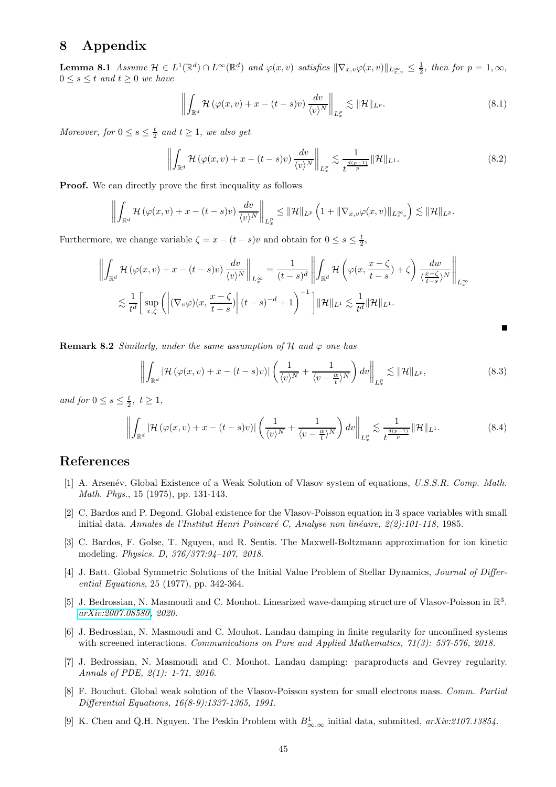# 8 Appendix

<span id="page-44-8"></span>**Lemma 8.1** Assume  $\mathcal{H} \in L^1(\mathbb{R}^d) \cap L^\infty(\mathbb{R}^d)$  and  $\varphi(x, v)$  satisfies  $\|\nabla_{x, v}\varphi(x, v)\|_{L^\infty_{x, v}} \leq \frac{1}{2}$ , then for  $p = 1, \infty$ ,  $0 \leq s \leq t$  and  $t \geq 0$  we have

<span id="page-44-10"></span><span id="page-44-9"></span>
$$
\left\| \int_{\mathbb{R}^d} \mathcal{H} \left( \varphi(x, v) + x - (t - s) v \right) \frac{dv}{\langle v \rangle^N} \right\|_{L^p_x} \lesssim \| \mathcal{H} \|_{L^p}.
$$
 (8.1)

Moreover, for  $0 \leq s \leq \frac{t}{2}$  and  $t \geq 1$ , we also get

$$
\left\| \int_{\mathbb{R}^d} \mathcal{H} \left( \varphi(x, v) + x - (t - s) v \right) \frac{dv}{\langle v \rangle^N} \right\|_{L^p_x} \lesssim \frac{1}{t^{\frac{d(p-1)}{p}}} \|\mathcal{H}\|_{L^1}.
$$
 (8.2)

**Proof.** We can directly prove the first inequality as follows

$$
\left\|\int_{\mathbb{R}^d}\mathcal{H}\left(\varphi(x,v)+x-(t-s)v\right)\frac{dv}{\langle v\rangle^N}\right\|_{L_x^p}\leq \|\mathcal{H}\|_{L^p}\left(1+\|\nabla_{x,v}\varphi(x,v)\|_{L_{x,v}^\infty}\right)\lesssim \|\mathcal{H}\|_{L^p}.
$$

Furthermore, we change variable  $\zeta = x - (t - s)v$  and obtain for  $0 \le s \le \frac{t}{2}$ ,

$$
\left\| \int_{\mathbb{R}^d} \mathcal{H} \left( \varphi(x, v) + x - (t - s) v \right) \frac{dv}{\langle v \rangle^N} \right\|_{L_x^{\infty}} = \frac{1}{(t - s)^d} \left\| \int_{\mathbb{R}^d} \mathcal{H} \left( \varphi(x, \frac{x - \zeta}{t - s}) + \zeta \right) \frac{dw}{\langle \frac{x - \zeta}{t - s} \rangle^N} \right\|_{L_x^{\infty}}
$$
  

$$
\lesssim \frac{1}{t^d} \left[ \sup_{x, \zeta} \left( \left| (\nabla_v \varphi)(x, \frac{x - \zeta}{t - s}) \right| (t - s)^{-d} + 1 \right)^{-1} \right] \|\mathcal{H}\|_{L^1} \lesssim \frac{1}{t^d} \|\mathcal{H}\|_{L^1}.
$$

**Remark 8.2** Similarly, under the same assumption of H and  $\varphi$  one has

<span id="page-44-12"></span><span id="page-44-11"></span>
$$
\left\| \int_{\mathbb{R}^d} \left| \mathcal{H} \left( \varphi(x, v) + x - (t - s) v \right) \right| \left( \frac{1}{\langle v \rangle^N} + \frac{1}{\langle v - \frac{\alpha}{t} \rangle^N} \right) dv \right\|_{L^p_x} \lesssim \| \mathcal{H} \|_{L^p}, \tag{8.3}
$$

and for  $0 \leq s \leq \frac{t}{2}$ ,  $t \geq 1$ ,

$$
\left\| \int_{\mathbb{R}^d} \left| \mathcal{H} \left( \varphi(x, v) + x - (t - s) v \right) \right| \left( \frac{1}{\langle v \rangle^N} + \frac{1}{\langle v - \frac{\alpha}{t} \rangle^N} \right) dv \right\|_{L^p_x} \lesssim \frac{1}{t^{\frac{d(p-1)}{p}}} \|\mathcal{H}\|_{L^1}.
$$
 (8.4)

#### <span id="page-44-1"></span>References

- [1] A. Arsenév. Global Existence of a Weak Solution of Vlasov system of equations, U.S.S.R. Comp. Math. Math. Phys., 15 (1975), pp. 131-143.
- <span id="page-44-4"></span>[2] C. Bardos and P. Degond. Global existence for the Vlasov-Poisson equation in 3 space variables with small initial data. Annales de l'Institut Henri Poincaré C, Analyse non linéaire,  $2(2):101-118$ , 1985.
- [3] C. Bardos, F. Golse, T. Nguyen, and R. Sentis. The Maxwell-Boltzmann approximation for ion kinetic modeling. Physics. D, 376/377:94–107, 2018.
- <span id="page-44-2"></span>[4] J. Batt. Global Symmetric Solutions of the Initial Value Problem of Stellar Dynamics, Journal of Differential Equations, 25 (1977), pp. 342-364.
- <span id="page-44-6"></span>[5] J. Bedrossian, N. Masmoudi and C. Mouhot. Linearized wave-damping structure of Vlasov-Poisson in  $\mathbb{R}^3$ . [arXiv:2007.08580,](http://arxiv.org/abs/2007.08580) 2020.
- <span id="page-44-0"></span>[6] J. Bedrossian, N. Masmoudi and C. Mouhot. Landau damping in finite regularity for unconfined systems with screened interactions. Communications on Pure and Applied Mathematics, 71(3): 537-576, 2018.
- <span id="page-44-5"></span>[7] J. Bedrossian, N. Masmoudi and C. Mouhot. Landau damping: paraproducts and Gevrey regularity. Annals of PDE, 2(1): 1-71, 2016.
- <span id="page-44-3"></span>[8] F. Bouchut. Global weak solution of the Vlasov-Poisson system for small electrons mass. Comm. Partial Differential Equations, 16(8-9):1337-1365, 1991.
- <span id="page-44-7"></span>[9] K. Chen and Q.H. Nguyen. The Peskin Problem with  $B^1_{\infty,\infty}$  initial data, submitted,  $arXiv:2107.13854$ .